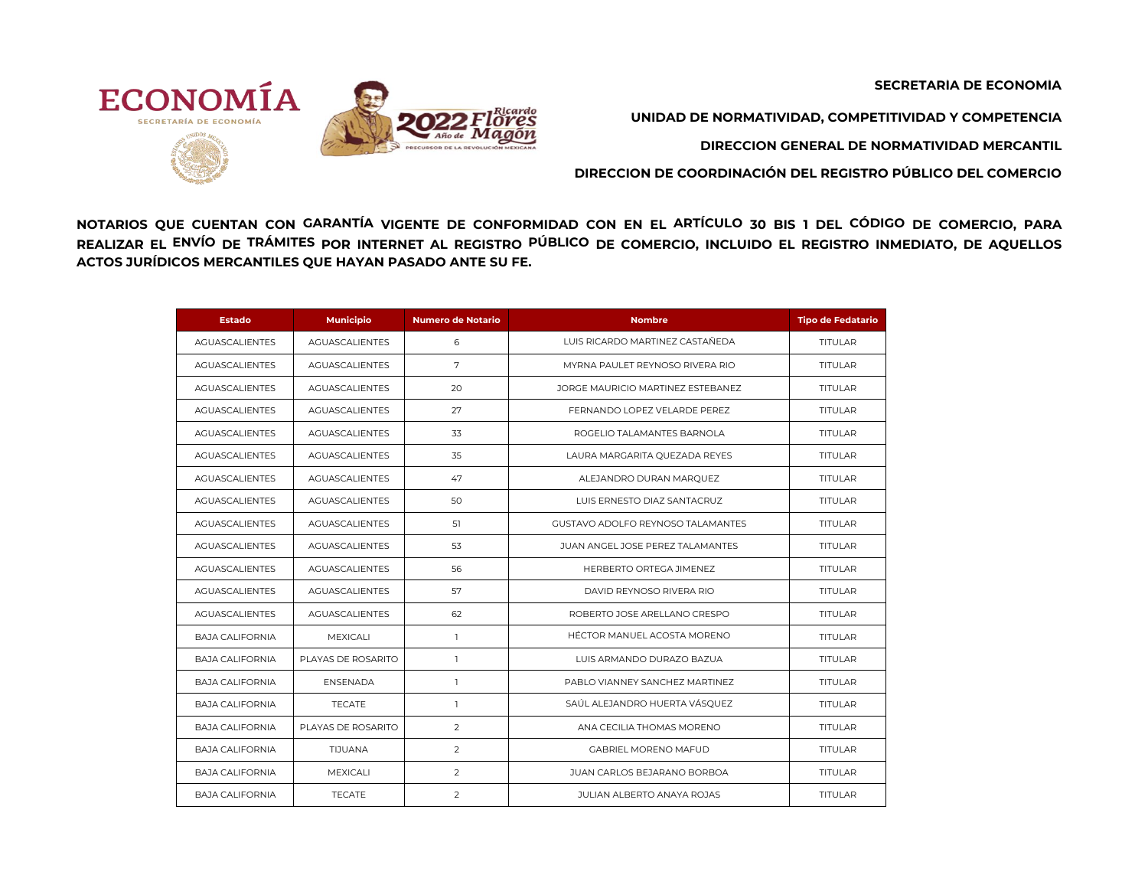**SECRETARÍA DE ECONOMÍA**



**UNIDAD DE NORMATIVIDAD, COMPETITIVIDAD Y COMPETENCIA**

**DIRECCION GENERAL DE NORMATIVIDAD MERCANTIL**

**DIRECCION DE COORDINACIÓN DEL REGISTRO PÚBLICO DEL COMERCIO** 

NOTARIOS QUE CUENTAN CON GARANTÍA VIGENTE DE CONFORMIDAD CON EN EL ARTÍCULO 30 BIS 1 DEL CÓDIGO DE COMERCIO, PARA REALIZAR EL ENVÍO DE TRÁMITES POR INTERNET AL REGISTRO PÚBLICO DE COMERCIO, INCLUIDO EL REGISTRO INMEDIATO, DE AQUELLOS **ACTOS JURÍDICOS MERCANTILES QUE HAYAN PASADO ANTE SU FE.** 

| <b>Estado</b>          | <b>Municipio</b>      | <b>Numero de Notario</b> | <b>Nombre</b>                       | <b>Tipo de Fedatario</b> |
|------------------------|-----------------------|--------------------------|-------------------------------------|--------------------------|
| <b>AGUASCALIENTES</b>  | <b>AGUASCALIENTES</b> | 6                        | LUIS RICARDO MARTINEZ CASTAÑEDA     | <b>TITULAR</b>           |
| <b>AGUASCALIENTES</b>  | <b>AGUASCALIENTES</b> | 7                        | MYRNA PAULET REYNOSO RIVERA RIO     | <b>TITUI AR</b>          |
| <b>AGUASCALIENTES</b>  | <b>AGUASCALIENTES</b> | 20                       | JORGE MAURICIO MARTINEZ ESTEBANEZ   | <b>TITULAR</b>           |
| AGUASCALIENTES         | AGUASCALIENTES        | 27                       | FERNANDO LOPEZ VELARDE PEREZ        | TITULAR                  |
| <b>AGUASCALIENTES</b>  | <b>AGUASCALIENTES</b> | 33                       | ROGELIO TALAMANTES BARNOLA          | <b>TITULAR</b>           |
| <b>AGUASCALIENTES</b>  | <b>AGUASCALIENTES</b> | 35                       | LAURA MARGARITA QUEZADA REYES       | TITULAR                  |
| <b>AGUASCALIENTES</b>  | <b>AGUASCALIENTES</b> | 47                       | ALEJANDRO DURAN MARQUEZ             | <b>TITULAR</b>           |
| AGUASCALIENTES         | AGUASCALIENTES        | 50                       | LUIS ERNESTO DIAZ SANTACRUZ         | <b>TITULAR</b>           |
| <b>AGUASCALIENTES</b>  | <b>AGUASCALIENTES</b> | 51                       | GUSTAVO ADOI FO REYNOSO TAI AMANTES | <b>TITULAR</b>           |
| <b>AGUASCALIENTES</b>  | <b>AGUASCALIENTES</b> | 53                       | JUAN ANGEL JOSE PEREZ TALAMANTES    | <b>TITULAR</b>           |
| <b>AGUASCALIENTES</b>  | <b>AGUASCALIENTES</b> | 56                       | HERBERTO ORTEGA JIMENEZ             | TITULAR                  |
| <b>AGUASCALIENTES</b>  | <b>AGUASCALIENTES</b> | 57                       | DAVID REYNOSO RIVERA RIO            | <b>TITULAR</b>           |
| <b>AGUASCALIENTES</b>  | <b>AGUASCALIENTES</b> | 62                       | ROBERTO JOSE ARELLANO CRESPO        | <b>TITULAR</b>           |
| <b>BAJA CALIFORNIA</b> | <b>MEXICALI</b>       | $\mathbf{1}$             | HÉCTOR MANUEL ACOSTA MORENO         | <b>TITULAR</b>           |
| <b>BAJA CALIFORNIA</b> | PLAYAS DE ROSARITO    | $\overline{1}$           | LUIS ARMANDO DURAZO BAZUA           | TITULAR                  |
| <b>BAJA CALIFORNIA</b> | <b>ENSENADA</b>       | $\mathbf{1}$             | PABLO VIANNEY SANCHEZ MARTINEZ      | <b>TITULAR</b>           |
| <b>BAJA CALIFORNIA</b> | <b>TECATE</b>         | $\overline{1}$           | SAÚL ALEJANDRO HUERTA VÁSQUEZ       | <b>TITULAR</b>           |
| <b>BAJA CALIFORNIA</b> | PLAYAS DE ROSARITO    | 2                        | ANA CECILIA THOMAS MORENO           | <b>TITULAR</b>           |
| <b>BAJA CALIFORNIA</b> | TIJUANA               | $\overline{2}$           | <b>GABRIEL MORENO MAFUD</b>         | <b>TITULAR</b>           |
| <b>BAJA CALIFORNIA</b> | MEXICALI              | $\overline{2}$           | JUAN CARLOS BEJARANO BORBOA         | <b>TITULAR</b>           |
| <b>BAJA CALIFORNIA</b> | <b>TECATE</b>         | $\overline{2}$           | <b>JULIAN ALBERTO ANAYA ROJAS</b>   | <b>TITULAR</b>           |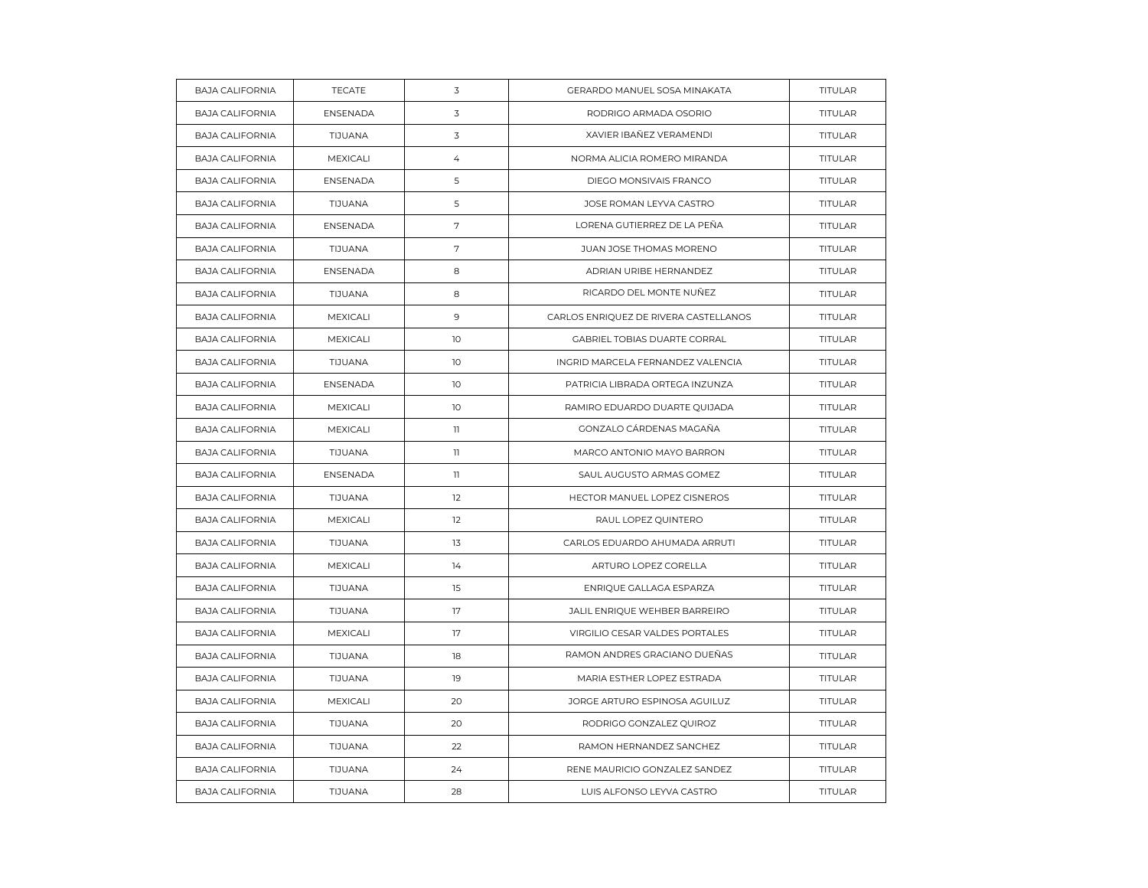| <b>BAJA CALIFORNIA</b> | <b>TECATE</b>   | 3               | GERARDO MANUEL SOSA MINAKATA          | TITULAR        |
|------------------------|-----------------|-----------------|---------------------------------------|----------------|
| <b>BAJA CALIFORNIA</b> | <b>ENSENADA</b> | 3               | RODRIGO ARMADA OSORIO                 | <b>TITULAR</b> |
| <b>BAJA CALIFORNIA</b> | TIJUANA         | 3               | XAVIER IBAÑEZ VERAMENDI               | TITULAR        |
| <b>BAJA CALIFORNIA</b> | MEXICALI        | $\overline{4}$  | NORMA ALICIA ROMERO MIRANDA           | TITULAR        |
| <b>BAJA CALIFORNIA</b> | <b>ENSENADA</b> | 5               | DIEGO MONSIVAIS FRANCO                | <b>TITULAR</b> |
| <b>BAJA CALIFORNIA</b> | TIJUANA         | 5               | JOSE ROMAN LEYVA CASTRO               | TITULAR        |
| <b>BAJA CALIFORNIA</b> | <b>ENSENADA</b> | $\sqrt{ }$      | LORENA GUTIERREZ DE LA PEÑA           | TITULAR        |
| <b>BAJA CALIFORNIA</b> | TIJUANA         | 7               | JUAN JOSE THOMAS MORENO               | <b>TITULAR</b> |
| <b>BAJA CALIFORNIA</b> | <b>ENSENADA</b> | 8               | ADRIAN URIBE HERNANDEZ                | TITULAR        |
| <b>BAJA CALIFORNIA</b> | TIJUANA         | 8               | RICARDO DEL MONTE NUÑEZ               | TITULAR        |
| <b>BAJA CALIFORNIA</b> | MEXICALI        | 9               | CARLOS ENRIQUEZ DE RIVERA CASTELLANOS | <b>TITULAR</b> |
| <b>BAJA CALIFORNIA</b> | MEXICALI        | 10              | GABRIEL TOBIAS DUARTE CORRAL          | TITULAR        |
| <b>BAJA CALIFORNIA</b> | TIJUANA         | 10              | INGRID MARCELA FERNANDEZ VALENCIA     | TITULAR        |
| <b>BAJA CALIFORNIA</b> | <b>ENSENADA</b> | 10 <sup>°</sup> | PATRICIA LIBRADA ORTEGA INZUNZA       | <b>TITULAR</b> |
| <b>BAJA CALIFORNIA</b> | MEXICALI        | 10              | RAMIRO EDUARDO DUARTE QUIJADA         | TITULAR        |
| <b>BAJA CALIFORNIA</b> | MEXICALI        | $\mathbf{1}$    | GONZALO CÁRDENAS MAGAÑA               | <b>TITULAR</b> |
| <b>BAJA CALIFORNIA</b> | TIJUANA         | $\mathbb{I}$    | MARCO ANTONIO MAYO BARRON             | <b>TITULAR</b> |
| <b>BAJA CALIFORNIA</b> | <b>ENSENADA</b> | 11              | SAUL AUGUSTO ARMAS GOMEZ              | TITULAR        |
| <b>BAJA CALIFORNIA</b> | TIJUANA         | 12              | HECTOR MANUEL LOPEZ CISNEROS          | TITULAR        |
| <b>BAJA CALIFORNIA</b> | MEXICALI        | 12              | RAUL LOPEZ QUINTERO                   | <b>TITULAR</b> |
| <b>BAJA CALIFORNIA</b> | TIJUANA         | 13              | CARLOS EDUARDO AHUMADA ARRUTI         | TITULAR        |
| <b>BAJA CALIFORNIA</b> | MEXICALI        | 14              | ARTURO LOPEZ CORELLA                  | TITULAR        |
| <b>BAJA CALIFORNIA</b> | TIJUANA         | 15              | ENRIQUE GALLAGA ESPARZA               | <b>TITULAR</b> |
| <b>BAJA CALIFORNIA</b> | TIJUANA         | 17              | JALIL ENRIQUE WEHBER BARREIRO         | <b>TITULAR</b> |
| <b>BAJA CALIFORNIA</b> | MEXICALI        | 17              | VIRGILIO CESAR VALDES PORTALES        | TITULAR        |
| <b>BAJA CALIFORNIA</b> | TIJUANA         | 18              | RAMON ANDRES GRACIANO DUEÑAS          | <b>TITULAR</b> |
| <b>BAJA CALIFORNIA</b> | TIJUANA         | 19              | MARIA ESTHER LOPEZ ESTRADA            | <b>TITULAR</b> |
| <b>BAJA CALIFORNIA</b> | MEXICALI        | 20              | JORGE ARTURO ESPINOSA AGUILUZ         | TITULAR        |
| <b>BAJA CALIFORNIA</b> | TIJUANA         | 20              | RODRIGO GONZALEZ QUIROZ               | <b>TITULAR</b> |
| <b>BAJA CALIFORNIA</b> | TIJUANA         | 22              | RAMON HERNANDEZ SANCHEZ               | <b>TITULAR</b> |
| <b>BAJA CALIFORNIA</b> | TIJUANA         | 24              | RENE MAURICIO GONZALEZ SANDEZ         | TITULAR        |
| <b>BAJA CALIFORNIA</b> | TIJUANA         | 28              | LUIS ALFONSO LEYVA CASTRO             | TITULAR        |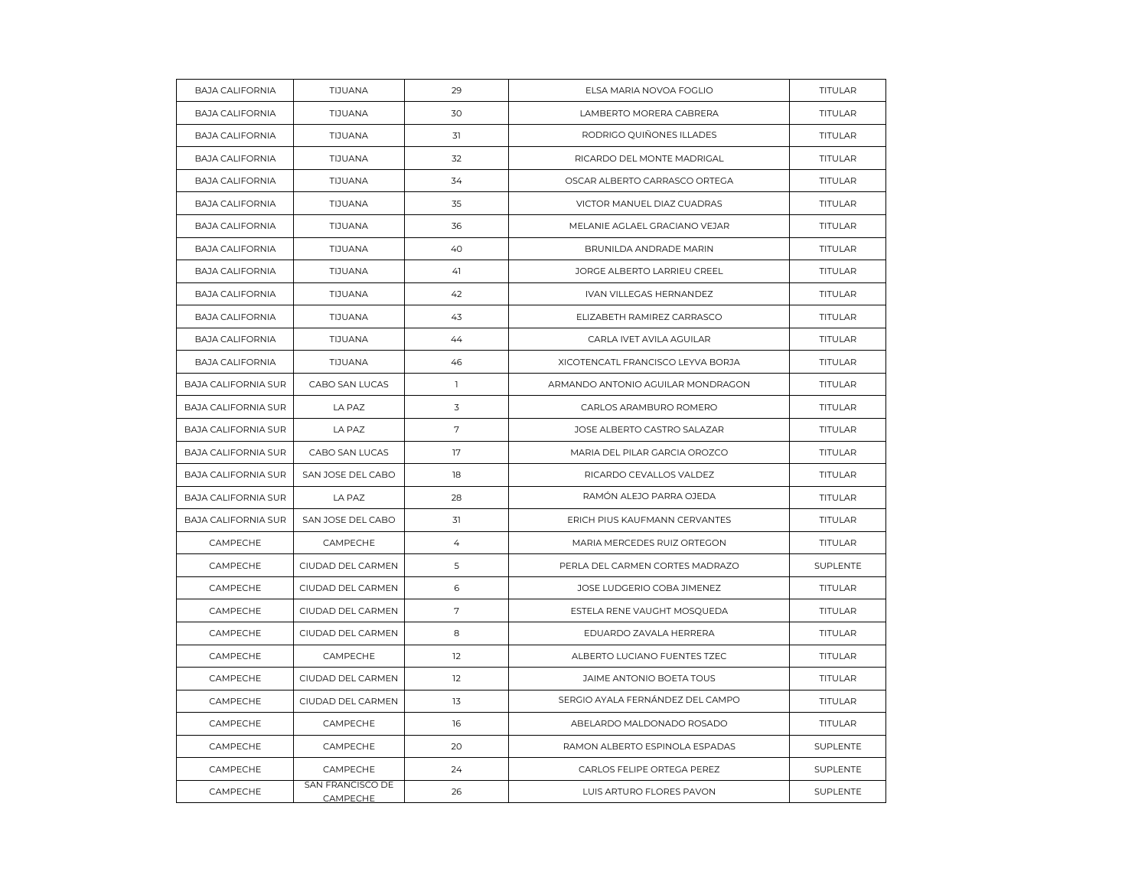| <b>BAJA CALIFORNIA</b>     | TIJUANA                      | 29             | ELSA MARIA NOVOA FOGLIO           | TITULAR        |
|----------------------------|------------------------------|----------------|-----------------------------------|----------------|
| <b>BAJA CALIFORNIA</b>     | TIJUANA                      | 30             | LAMBERTO MORERA CABRERA           | <b>TITULAR</b> |
| <b>BAJA CALIFORNIA</b>     | <b>TIJUANA</b>               | 31             | RODRIGO QUIÑONES ILLADES          | TITULAR        |
| <b>BAJA CALIFORNIA</b>     | TIJUANA                      | 32             | RICARDO DEL MONTE MADRIGAL        | TITULAR        |
| <b>BAJA CALIFORNIA</b>     | TIJUANA                      | 34             | OSCAR ALBERTO CARRASCO ORTEGA     | <b>TITULAR</b> |
| <b>BAJA CALIFORNIA</b>     | TIJUANA                      | 35             | VICTOR MANUEL DIAZ CUADRAS        | <b>TITULAR</b> |
| <b>BAJA CALIFORNIA</b>     | TIJUANA                      | 36             | MELANIE AGLAEL GRACIANO VEJAR     | TITULAR        |
| <b>BAJA CALIFORNIA</b>     | TIJUANA                      | 40             | BRUNILDA ANDRADE MARIN            | TITULAR        |
| <b>BAJA CALIFORNIA</b>     | TIJUANA                      | 41             | JORGE ALBERTO LARRIEU CREEL       | <b>TITULAR</b> |
| <b>BAJA CALIFORNIA</b>     | TIJUANA                      | 42             | IVAN VILLEGAS HERNANDEZ           | TITULAR        |
| <b>BAJA CALIFORNIA</b>     | TIJUANA                      | 43             | ELIZABETH RAMIREZ CARRASCO        | TITULAR        |
| <b>BAJA CALIFORNIA</b>     | TIJUANA                      | 44             | CARLA IVET AVILA AGUILAR          | <b>TITULAR</b> |
| <b>BAJA CALIFORNIA</b>     | TIJUANA                      | 46             | XICOTENCATL FRANCISCO LEYVA BORJA | <b>TITULAR</b> |
| <b>BAJA CALIFORNIA SUR</b> | CABO SAN LUCAS               | $\mathbb{I}$   | ARMANDO ANTONIO AGUILAR MONDRAGON | <b>TITULAR</b> |
| <b>BAJA CALIFORNIA SUR</b> | LA PAZ                       | 3              | CARLOS ARAMBURO ROMERO            | <b>TITULAR</b> |
| <b>BAJA CALIFORNIA SUR</b> | LA PAZ                       | $\sqrt{ }$     | JOSE ALBERTO CASTRO SALAZAR       | TITULAR        |
| <b>BAJA CALIFORNIA SUR</b> | CABO SAN LUCAS               | 17             | MARIA DEL PILAR GARCIA OROZCO     | <b>TITULAR</b> |
| <b>BAJA CALIFORNIA SUR</b> | SAN JOSE DEL CABO            | 18             | RICARDO CEVALLOS VALDEZ           | <b>TITULAR</b> |
| <b>BAJA CALIFORNIA SUR</b> | LA PAZ                       | 28             | RAMÓN ALEJO PARRA OJEDA           | TITULAR        |
| <b>BAJA CALIFORNIA SUR</b> | SAN JOSE DEL CABO            | 31             | ERICH PIUS KAUFMANN CERVANTES     | <b>TITULAR</b> |
| CAMPECHE                   | CAMPECHE                     | $\overline{4}$ | MARIA MERCEDES RUIZ ORTEGON       | TITULAR        |
| CAMPECHE                   | CIUDAD DEL CARMEN            | 5              | PERLA DEL CARMEN CORTES MADRAZO   | SUPLENTE       |
| CAMPECHE                   | CIUDAD DEL CARMEN            | 6              | JOSE LUDGERIO COBA JIMENEZ        | <b>TITULAR</b> |
| CAMPECHE                   | CIUDAD DEL CARMEN            | $\overline{7}$ | ESTELA RENE VAUGHT MOSQUEDA       | <b>TITULAR</b> |
| CAMPECHE                   | CIUDAD DEL CARMEN            | 8              | EDUARDO ZAVALA HERRERA            | TITULAR        |
| CAMPECHE                   | CAMPECHE                     | 12             | ALBERTO LUCIANO FUENTES TZEC      | <b>TITULAR</b> |
| CAMPECHE                   | CIUDAD DEL CARMEN            | 12             | JAIME ANTONIO BOETA TOUS          | <b>TITULAR</b> |
| CAMPECHE                   | CIUDAD DEL CARMEN            | 13             | SERGIO AYALA FERNÁNDEZ DEL CAMPO  | <b>TITULAR</b> |
| CAMPECHE                   | CAMPECHE                     | 16             | ABELARDO MALDONADO ROSADO         | TITULAR        |
| CAMPECHE                   | CAMPECHE                     | 20             | RAMON ALBERTO ESPINOLA ESPADAS    | SUPLENTE       |
| CAMPECHE                   | CAMPECHE                     | 24             | CARLOS FELIPE ORTEGA PEREZ        | SUPLENTE       |
| CAMPECHE                   | SAN FRANCISCO DE<br>CAMPECHE | 26             | LUIS ARTURO FLORES PAVON          | SUPLENTE       |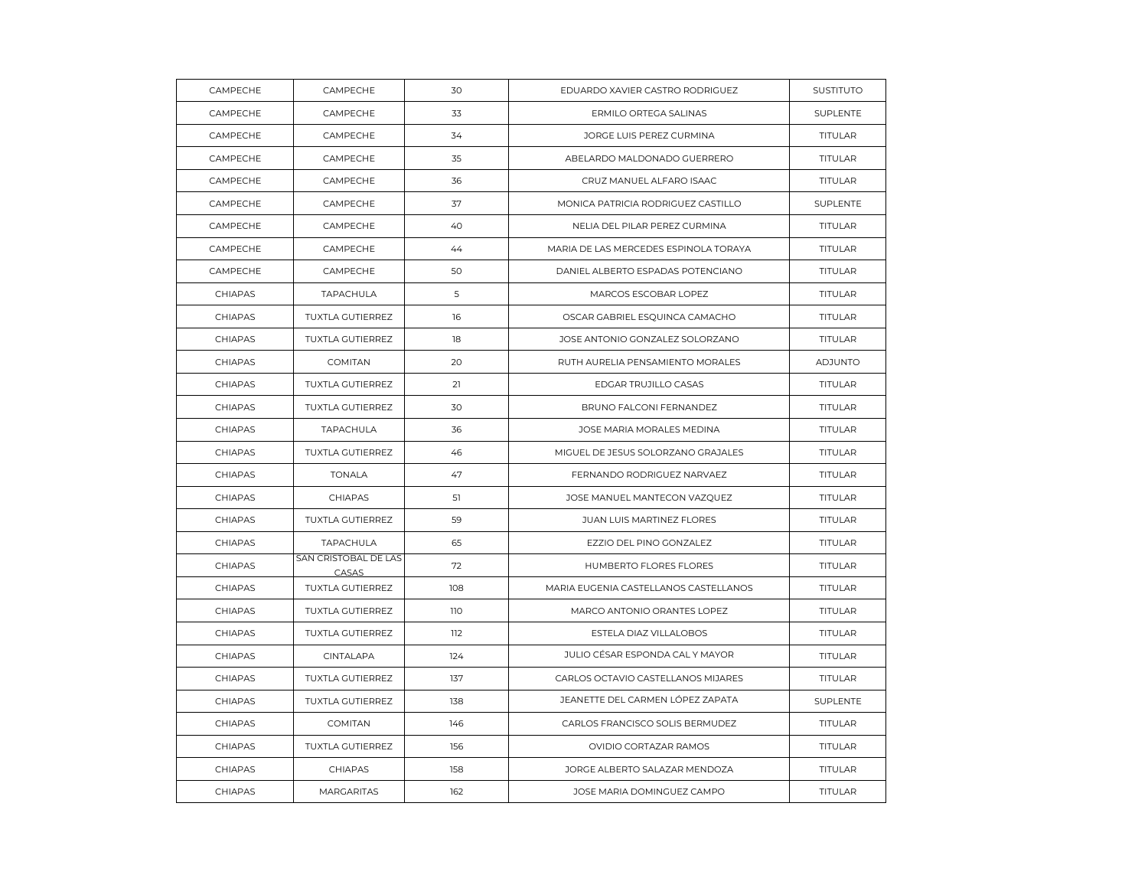| CAMPECHE | CAMPECHE                      | 30  | EDUARDO XAVIER CASTRO RODRIGUEZ       | <b>SUSTITUTO</b> |
|----------|-------------------------------|-----|---------------------------------------|------------------|
| CAMPECHE | CAMPECHE                      | 33  | ERMILO ORTEGA SALINAS                 | SUPLENTE         |
| CAMPECHE | CAMPECHE                      | 34  | JORGE LUIS PEREZ CURMINA              | TITULAR          |
| CAMPECHE | CAMPECHE                      | 35  | ABELARDO MALDONADO GUERRERO           | TITULAR          |
| CAMPECHE | CAMPECHE                      | 36  | CRUZ MANUEL ALFARO ISAAC              | <b>TITULAR</b>   |
| CAMPECHE | CAMPECHE                      | 37  | MONICA PATRICIA RODRIGUEZ CASTILLO    | SUPLENTE         |
| CAMPECHE | CAMPECHE                      | 40  | NELIA DEL PILAR PEREZ CURMINA         | TITULAR          |
| CAMPECHE | CAMPECHE                      | 44  | MARIA DE LAS MERCEDES ESPINOLA TORAYA | <b>TITULAR</b>   |
| CAMPECHE | CAMPECHE                      | 50  | DANIEL ALBERTO ESPADAS POTENCIANO     | TITULAR          |
| CHIAPAS  | TAPACHULA                     | 5   | MARCOS ESCOBAR LOPEZ                  | TITULAR          |
| CHIAPAS  | TUXTLA GUTIERREZ              | 16  | OSCAR GABRIEL ESQUINCA CAMACHO        | <b>TITULAR</b>   |
| CHIAPAS  | TUXTLA GUTIERREZ              | 18  | JOSE ANTONIO GONZALEZ SOLORZANO       | TITULAR          |
| CHIAPAS  | COMITAN                       | 20  | RUTH AURELIA PENSAMIENTO MORALES      | <b>ADJUNTO</b>   |
| CHIAPAS  | <b>TUXTLA GUTIERREZ</b>       | 21  | EDGAR TRUJILLO CASAS                  | <b>TITULAR</b>   |
| CHIAPAS  | TUXTLA GUTIERREZ              | 30  | BRUNO FALCONI FERNANDEZ               | TITULAR          |
| CHIAPAS  | TAPACHULA                     | 36  | JOSE MARIA MORALES MEDINA             | <b>TITULAR</b>   |
| CHIAPAS  | TUXTLA GUTIERREZ              | 46  | MIGUEL DE JESUS SOLORZANO GRAJALES    | <b>TITULAR</b>   |
| CHIAPAS  | <b>TONALA</b>                 | 47  | FERNANDO RODRIGUEZ NARVAEZ            | TITULAR          |
| CHIAPAS  | CHIAPAS                       | 51  | JOSE MANUEL MANTECON VAZQUEZ          | TITULAR          |
| CHIAPAS  | <b>TUXTLA GUTIERREZ</b>       | 59  | JUAN LUIS MARTINEZ FLORES             | <b>TITULAR</b>   |
| CHIAPAS  | TAPACHULA                     | 65  | EZZIO DEL PINO GONZALEZ               | TITULAR          |
| CHIAPAS  | SAN CRISTOBAL DE LAS<br>CASAS | 72  | HUMBERTO FLORES FLORES                | TITULAR          |
| CHIAPAS  | TUXTLA GUTIERREZ              | 108 | MARIA EUGENIA CASTELLANOS CASTELLANOS | <b>TITULAR</b>   |
| CHIAPAS  | TUXTLA GUTIERREZ              | 110 | MARCO ANTONIO ORANTES LOPEZ           | <b>TITULAR</b>   |
| CHIAPAS  | TUXTLA GUTIERREZ              | 112 | ESTELA DIAZ VILLALOBOS                | TITULAR          |
| CHIAPAS  | CINTALAPA                     | 124 | JULIO CÉSAR ESPONDA CAL Y MAYOR       | <b>TITULAR</b>   |
| CHIAPAS  | TUXTLA GUTIERREZ              | 137 | CARLOS OCTAVIO CASTELLANOS MIJARES    | <b>TITULAR</b>   |
| CHIAPAS  | TUXTLA GUTIERREZ              | 138 | JEANETTE DEL CARMEN LÓPEZ ZAPATA      | SUPLENTE         |
| CHIAPAS  | COMITAN                       | 146 | CARLOS FRANCISCO SOLIS BERMUDEZ       | <b>TITULAR</b>   |
| CHIAPAS  | TUXTLA GUTIERREZ              | 156 | OVIDIO CORTAZAR RAMOS                 | <b>TITULAR</b>   |
| CHIAPAS  | CHIAPAS                       | 158 | JORGE ALBERTO SALAZAR MENDOZA         | TITULAR          |
| CHIAPAS  | <b>MARGARITAS</b>             | 162 | JOSE MARIA DOMINGUEZ CAMPO            | TITULAR          |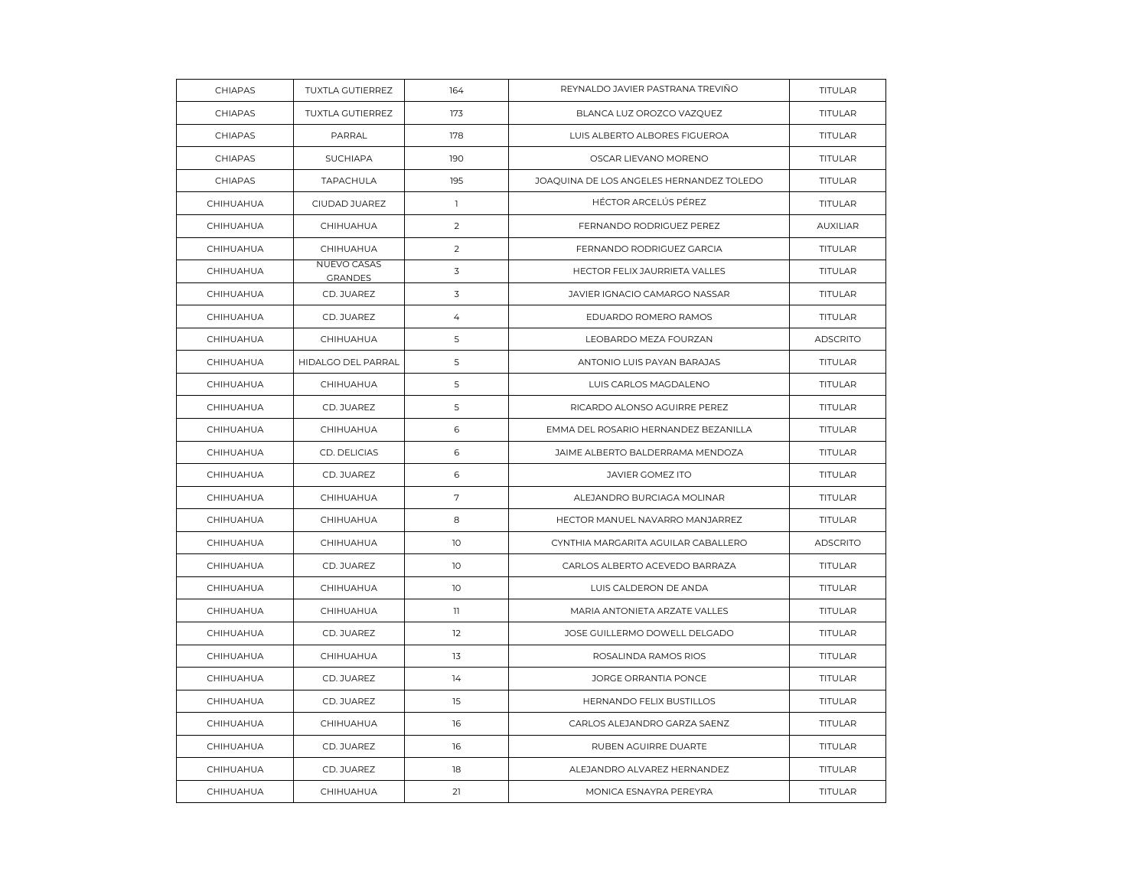| <b>CHIAPAS</b> | TUXTLA GUTIERREZ                     | 164            | REYNALDO JAVIER PASTRANA TREVIÑO         | TITULAR         |
|----------------|--------------------------------------|----------------|------------------------------------------|-----------------|
| CHIAPAS        | <b>TUXTLA GUTIERREZ</b>              | 173            | BLANCA LUZ OROZCO VAZQUEZ                | <b>TITULAR</b>  |
| CHIAPAS        | PARRAL                               | 178            | LUIS ALBERTO ALBORES FIGUEROA            | TITULAR         |
| CHIAPAS        | <b>SUCHIAPA</b>                      | 190            | OSCAR LIEVANO MORENO                     | <b>TITULAR</b>  |
| CHIAPAS        | TAPACHULA                            | 195            | JOAQUINA DE LOS ANGELES HERNANDEZ TOLEDO | <b>TITULAR</b>  |
| CHIHUAHUA      | CIUDAD JUAREZ                        | $\mathbb{I}$   | HÉCTOR ARCELÚS PÉREZ                     | <b>TITULAR</b>  |
| CHIHUAHUA      | CHIHUAHUA                            | $\overline{2}$ | FERNANDO RODRIGUEZ PEREZ                 | <b>AUXILIAR</b> |
| CHIHUAHUA      | CHIHUAHUA                            | 2              | FERNANDO RODRIGUEZ GARCIA                | TITULAR         |
| CHIHUAHUA      | <b>NUEVO CASAS</b><br><b>GRANDES</b> | 3              | HECTOR FELIX JAURRIETA VALLES            | <b>TITULAR</b>  |
| CHIHUAHUA      | CD. JUAREZ                           | 3              | JAVIER IGNACIO CAMARGO NASSAR            | <b>TITULAR</b>  |
| CHIHUAHUA      | CD. JUAREZ                           | $\overline{4}$ | EDUARDO ROMERO RAMOS                     | TITULAR         |
| CHIHUAHUA      | CHIHUAHUA                            | 5              | LEOBARDO MEZA FOURZAN                    | <b>ADSCRITO</b> |
| CHIHUAHUA      | HIDALGO DEL PARRAL                   | 5              | ANTONIO LUIS PAYAN BARAJAS               | TITULAR         |
| CHIHUAHUA      | CHIHUAHUA                            | 5              | LUIS CARLOS MAGDALENO                    | <b>TITULAR</b>  |
| CHIHUAHUA      | CD. JUAREZ                           | 5              | RICARDO ALONSO AGUIRRE PEREZ             | TITULAR         |
| CHIHUAHUA      | CHIHUAHUA                            | 6              | EMMA DEL ROSARIO HERNANDEZ BEZANILLA     | <b>TITULAR</b>  |
| CHIHUAHUA      | CD. DELICIAS                         | 6              | JAIME ALBERTO BALDERRAMA MENDOZA         | <b>TITULAR</b>  |
| CHIHUAHUA      | CD. JUAREZ                           | 6              | <b>JAVIER GOMEZ ITO</b>                  | TITULAR         |
| CHIHUAHUA      | CHIHUAHUA                            | 7              | ALEJANDRO BURCIAGA MOLINAR               | TITULAR         |
| CHIHUAHUA      | CHIHUAHUA                            | 8              | HECTOR MANUEL NAVARRO MANJARREZ          | <b>TITULAR</b>  |
| CHIHUAHUA      | CHIHUAHUA                            | 10             | CYNTHIA MARGARITA AGUILAR CABALLERO      | <b>ADSCRITO</b> |
| CHIHUAHUA      | CD. JUAREZ                           | 10             | CARLOS ALBERTO ACEVEDO BARRAZA           | <b>TITULAR</b>  |
| CHIHUAHUA      | CHIHUAHUA                            | 10             | LUIS CALDERON DE ANDA                    | <b>TITULAR</b>  |
| CHIHUAHUA      | CHIHUAHUA                            | $\mathbf{1}$   | MARIA ANTONIETA ARZATE VALLES            | TITULAR         |
| CHIHUAHUA      | CD. JUAREZ                           | 12             | JOSE GUILLERMO DOWELL DELGADO            | TITULAR         |
| CHIHUAHUA      | CHIHUAHUA                            | 13             | ROSALINDA RAMOS RIOS                     | <b>TITULAR</b>  |
| CHIHUAHUA      | CD. JUAREZ                           | 14             | JORGE ORRANTIA PONCE                     | <b>TITULAR</b>  |
| CHIHUAHUA      | CD. JUAREZ                           | 15             | HERNANDO FELIX BUSTILLOS                 | TITULAR         |
| CHIHUAHUA      | CHIHUAHUA                            | 16             | CARLOS ALEJANDRO GARZA SAENZ             | <b>TITULAR</b>  |
| CHIHUAHUA      | CD. JUAREZ                           | 16             | RUBEN AGUIRRE DUARTE                     | <b>TITULAR</b>  |
| CHIHUAHUA      | CD. JUAREZ                           | 18             | ALEJANDRO ALVAREZ HERNANDEZ              | TITULAR         |
| CHIHUAHUA      | CHIHUAHUA                            | 21             | MONICA ESNAYRA PEREYRA                   | TITULAR         |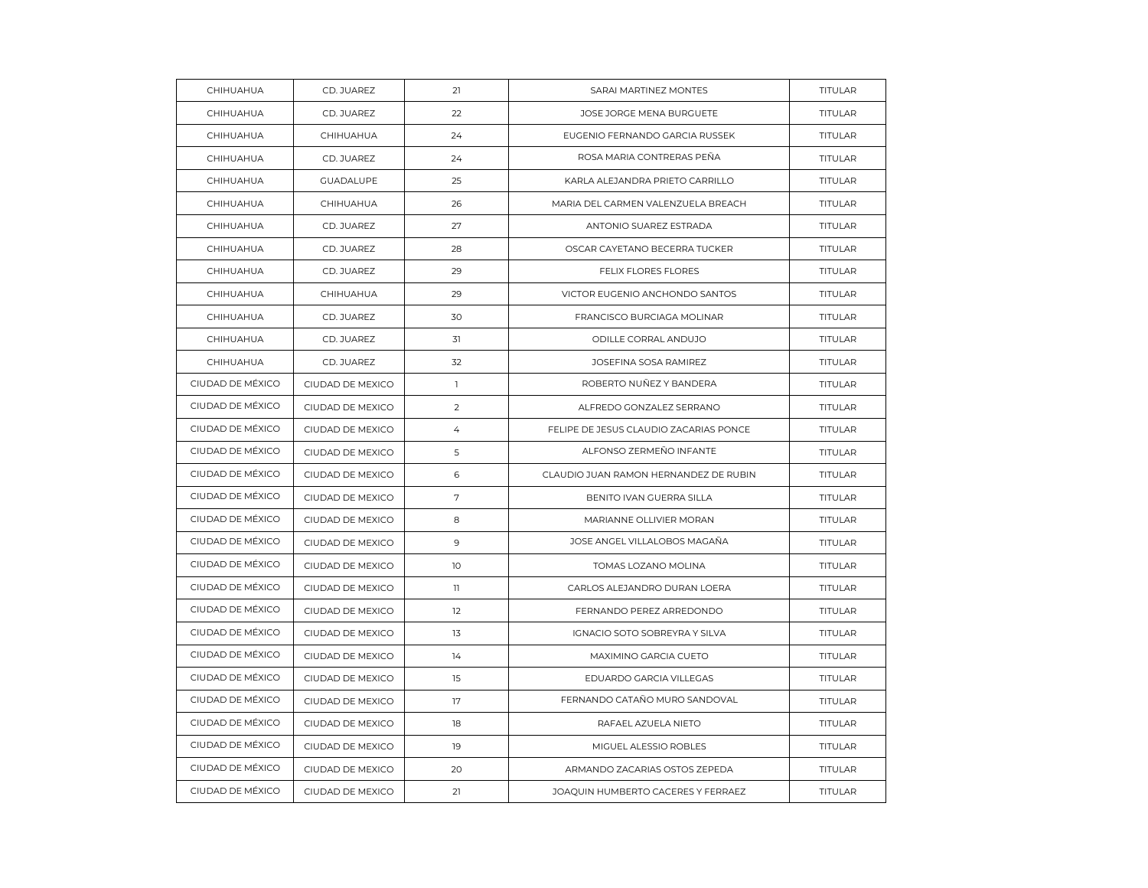| CHIHUAHUA        | CD. JUAREZ       | 21             | SARAI MARTINEZ MONTES                  | TITULAR        |
|------------------|------------------|----------------|----------------------------------------|----------------|
| CHIHUAHUA        | CD. JUAREZ       | 22             | JOSE JORGE MENA BURGUETE               | <b>TITULAR</b> |
| CHIHUAHUA        | CHIHUAHUA        | 24             | EUGENIO FERNANDO GARCIA RUSSEK         | <b>TITULAR</b> |
| CHIHUAHUA        | CD. JUAREZ       | 24             | ROSA MARIA CONTRERAS PEÑA              | TITULAR        |
| CHIHUAHUA        | <b>GUADALUPE</b> | 25             | KARLA ALEJANDRA PRIETO CARRILLO        | <b>TITULAR</b> |
| CHIHUAHUA        | CHIHUAHUA        | 26             | MARIA DEL CARMEN VALENZUELA BREACH     | <b>TITULAR</b> |
| CHIHUAHUA        | CD. JUAREZ       | 27             | ANTONIO SUAREZ ESTRADA                 | TITULAR        |
| CHIHUAHUA        | CD. JUAREZ       | 28             | OSCAR CAYETANO BECERRA TUCKER          | <b>TITULAR</b> |
| CHIHUAHUA        | CD. JUAREZ       | 29             | FELIX FLORES FLORES                    | <b>TITULAR</b> |
| CHIHUAHUA        | CHIHUAHUA        | 29             | VICTOR EUGENIO ANCHONDO SANTOS         | TITULAR        |
| CHIHUAHUA        | CD. JUAREZ       | 30             | FRANCISCO BURCIAGA MOLINAR             | <b>TITULAR</b> |
| CHIHUAHUA        | CD. JUAREZ       | 31             | ODILLE CORRAL ANDUJO                   | <b>TITULAR</b> |
| CHIHUAHUA        | CD. JUAREZ       | 32             | JOSEFINA SOSA RAMIREZ                  | <b>TITULAR</b> |
| CIUDAD DE MÉXICO | CIUDAD DE MEXICO | $\mathbb{L}$   | ROBERTO NUÑEZ Y BANDERA                | <b>TITULAR</b> |
| CIUDAD DE MÉXICO | CIUDAD DE MEXICO | $\overline{2}$ | ALFREDO GONZALEZ SERRANO               | <b>TITULAR</b> |
| CIUDAD DE MÉXICO | CIUDAD DE MEXICO | $\overline{4}$ | FELIPE DE JESUS CLAUDIO ZACARIAS PONCE | <b>TITULAR</b> |
| CIUDAD DE MÉXICO | CIUDAD DE MEXICO | 5              | ALFONSO ZERMEÑO INFANTE                | <b>TITULAR</b> |
| CIUDAD DE MÉXICO | CIUDAD DE MEXICO | 6              | CLAUDIO JUAN RAMON HERNANDEZ DE RUBIN  | TITULAR        |
| CIUDAD DE MÉXICO | CIUDAD DE MEXICO | $\sqrt{ }$     | BENITO IVAN GUERRA SILLA               | TITULAR        |
| CIUDAD DE MÉXICO | CIUDAD DE MEXICO | 8              | MARIANNE OLLIVIER MORAN                | <b>TITULAR</b> |
| CIUDAD DE MÉXICO | CIUDAD DE MEXICO | 9              | JOSE ANGEL VILLALOBOS MAGAÑA           | TITULAR        |
| CIUDAD DE MÉXICO | CIUDAD DE MEXICO | 10             | TOMAS LOZANO MOLINA                    | TITULAR        |
| CIUDAD DE MÉXICO | CIUDAD DE MEXICO | $\mathbb{I}$   | CARLOS ALEJANDRO DURAN LOERA           | <b>TITULAR</b> |
| CIUDAD DE MÉXICO | CIUDAD DE MEXICO | 12             | FERNANDO PEREZ ARREDONDO               | <b>TITULAR</b> |
| CIUDAD DE MÉXICO | CIUDAD DE MEXICO | 13             | IGNACIO SOTO SOBREYRA Y SILVA          | TITULAR        |
| CIUDAD DE MÉXICO | CIUDAD DE MEXICO | 14             | MAXIMINO GARCIA CUETO                  | <b>TITULAR</b> |
| CIUDAD DE MÉXICO | CIUDAD DE MEXICO | 15             | EDUARDO GARCIA VILLEGAS                | TITULAR        |
| CIUDAD DE MÉXICO | CIUDAD DE MEXICO | 17             | FERNANDO CATAÑO MURO SANDOVAL          | <b>TITULAR</b> |
| CIUDAD DE MÉXICO | CIUDAD DE MEXICO | 18             | RAFAEL AZUELA NIETO                    | <b>TITULAR</b> |
| CIUDAD DE MÉXICO | CIUDAD DE MEXICO | 19             | MIGUEL ALESSIO ROBLES                  | <b>TITULAR</b> |
| CIUDAD DE MÉXICO | CIUDAD DE MEXICO | 20             | ARMANDO ZACARIAS OSTOS ZEPEDA          | TITULAR        |
| CIUDAD DE MÉXICO | CIUDAD DE MEXICO | 21             | JOAQUIN HUMBERTO CACERES Y FERRAEZ     | TITULAR        |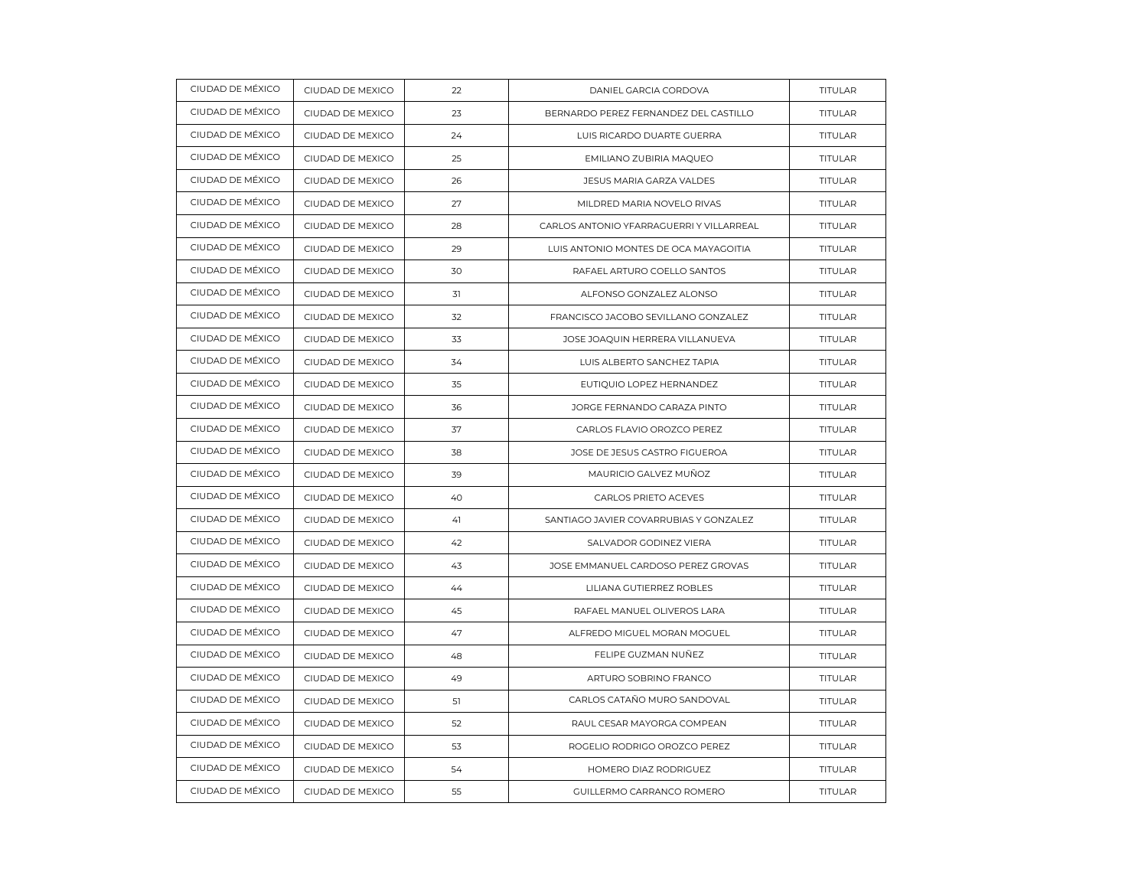| CIUDAD DE MÉXICO | CIUDAD DE MEXICO | 22 | DANIEL GARCIA CORDOVA                    | TITULAR        |
|------------------|------------------|----|------------------------------------------|----------------|
| CIUDAD DE MÉXICO | CIUDAD DE MEXICO | 23 | BERNARDO PEREZ FERNANDEZ DEL CASTILLO    | TITULAR        |
| CIUDAD DE MÉXICO | CIUDAD DE MEXICO | 24 | LUIS RICARDO DUARTE GUERRA               | <b>TITULAR</b> |
| CIUDAD DE MÉXICO | CIUDAD DE MEXICO | 25 | EMILIANO ZUBIRIA MAQUEO                  | TITULAR        |
| CIUDAD DE MÉXICO | CIUDAD DE MEXICO | 26 | JESUS MARIA GARZA VALDES                 | TITULAR        |
| CIUDAD DE MÉXICO | CIUDAD DE MEXICO | 27 | MILDRED MARIA NOVELO RIVAS               | <b>TITULAR</b> |
| CIUDAD DE MÉXICO | CIUDAD DE MEXICO | 28 | CARLOS ANTONIO YFARRAGUERRI Y VILLARREAL | TITULAR        |
| CIUDAD DE MÉXICO | CIUDAD DE MEXICO | 29 | LUIS ANTONIO MONTES DE OCA MAYAGOITIA    | TITULAR        |
| CIUDAD DE MÉXICO | CIUDAD DE MEXICO | 30 | RAFAEL ARTURO COELLO SANTOS              | <b>TITULAR</b> |
| CIUDAD DE MÉXICO | CIUDAD DE MEXICO | 31 | ALFONSO GONZALEZ ALONSO                  | TITULAR        |
| CIUDAD DE MÉXICO | CIUDAD DE MEXICO | 32 | FRANCISCO JACOBO SEVILLANO GONZALEZ      | TITULAR        |
| CIUDAD DE MÉXICO | CIUDAD DE MEXICO | 33 | JOSE JOAQUIN HERRERA VILLANUEVA          | <b>TITULAR</b> |
| CIUDAD DE MÉXICO | CIUDAD DE MEXICO | 34 | LUIS ALBERTO SANCHEZ TAPIA               | TITULAR        |
| CIUDAD DE MÉXICO | CIUDAD DE MEXICO | 35 | EUTIQUIO LOPEZ HERNANDEZ                 | TITULAR        |
| CIUDAD DE MÉXICO | CIUDAD DE MEXICO | 36 | JORGE FERNANDO CARAZA PINTO              | <b>TITULAR</b> |
| CIUDAD DE MÉXICO | CIUDAD DE MEXICO | 37 | CARLOS FLAVIO OROZCO PEREZ               | TITULAR        |
| CIUDAD DE MÉXICO | CIUDAD DE MEXICO | 38 | JOSE DE JESUS CASTRO FIGUEROA            | <b>TITULAR</b> |
| CIUDAD DE MÉXICO | CIUDAD DE MEXICO | 39 | MAURICIO GALVEZ MUÑOZ                    | <b>TITULAR</b> |
| CIUDAD DE MÉXICO | CIUDAD DE MEXICO | 40 | CARLOS PRIETO ACEVES                     | TITULAR        |
| CIUDAD DE MÉXICO | CIUDAD DE MEXICO | 41 | SANTIAGO JAVIER COVARRUBIAS Y GONZALEZ   | <b>TITULAR</b> |
| CIUDAD DE MÉXICO | CIUDAD DE MEXICO | 42 | SALVADOR GODINEZ VIERA                   | TITULAR        |
| CIUDAD DE MÉXICO | CIUDAD DE MEXICO | 43 | JOSE EMMANUEL CARDOSO PEREZ GROVAS       | <b>TITULAR</b> |
| CIUDAD DE MÉXICO | CIUDAD DE MEXICO | 44 | LILIANA GUTIERREZ ROBLES                 | <b>TITULAR</b> |
| CIUDAD DE MÉXICO | CIUDAD DE MEXICO | 45 | RAFAEL MANUEL OLIVEROS LARA              | <b>TITULAR</b> |
| CIUDAD DE MÉXICO | CIUDAD DE MEXICO | 47 | ALFREDO MIGUEL MORAN MOGUEL              | TITULAR        |
| CIUDAD DE MÉXICO | CIUDAD DE MEXICO | 48 | FELIPE GUZMAN NUÑEZ                      | <b>TITULAR</b> |
| CIUDAD DE MÉXICO | CIUDAD DE MEXICO | 49 | ARTURO SOBRINO FRANCO                    | TITULAR        |
| CIUDAD DE MÉXICO | CIUDAD DE MEXICO | 51 | CARLOS CATAÑO MURO SANDOVAL              | <b>TITULAR</b> |
| CIUDAD DE MÉXICO | CIUDAD DE MEXICO | 52 | RAUL CESAR MAYORGA COMPEAN               | <b>TITULAR</b> |
| CIUDAD DE MÉXICO | CIUDAD DE MEXICO | 53 | ROGELIO RODRIGO OROZCO PEREZ             | <b>TITULAR</b> |
| CIUDAD DE MÉXICO | CIUDAD DE MEXICO | 54 | HOMERO DIAZ RODRIGUEZ                    | <b>TITULAR</b> |
| CIUDAD DE MÉXICO | CIUDAD DE MEXICO | 55 | GUILLERMO CARRANCO ROMERO                | TITULAR        |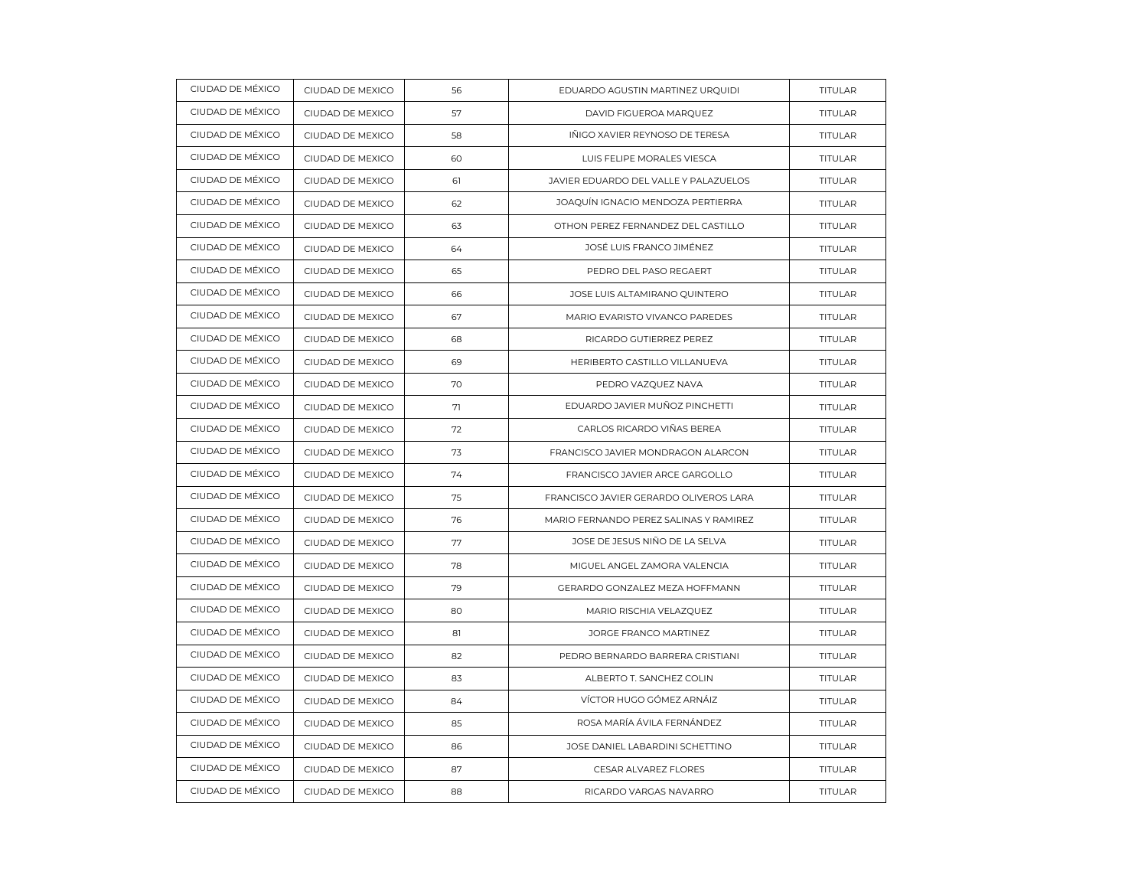| CIUDAD DE MÉXICO | CIUDAD DE MEXICO | 56 | EDUARDO AGUSTIN MARTINEZ URQUIDI       | TITULAR        |
|------------------|------------------|----|----------------------------------------|----------------|
| CIUDAD DE MÉXICO | CIUDAD DE MEXICO | 57 | DAVID FIGUEROA MARQUEZ                 | TITULAR        |
| CIUDAD DE MÉXICO | CIUDAD DE MEXICO | 58 | IÑIGO XAVIER REYNOSO DE TERESA         | <b>TITULAR</b> |
| CIUDAD DE MÉXICO | CIUDAD DE MEXICO | 60 | LUIS FELIPE MORALES VIESCA             | TITULAR        |
| CIUDAD DE MÉXICO | CIUDAD DE MEXICO | 61 | JAVIER EDUARDO DEL VALLE Y PALAZUELOS  | TITULAR        |
| CIUDAD DE MÉXICO | CIUDAD DE MEXICO | 62 | JOAQUÍN IGNACIO MENDOZA PERTIERRA      | <b>TITULAR</b> |
| CIUDAD DE MÉXICO | CIUDAD DE MEXICO | 63 | OTHON PEREZ FERNANDEZ DEL CASTILLO     | TITULAR        |
| CIUDAD DE MÉXICO | CIUDAD DE MEXICO | 64 | JOSÉ LUIS FRANCO JIMÉNEZ               | TITULAR        |
| CIUDAD DE MÉXICO | CIUDAD DE MEXICO | 65 | PEDRO DEL PASO REGAERT                 | <b>TITULAR</b> |
| CIUDAD DE MÉXICO | CIUDAD DE MEXICO | 66 | JOSE LUIS ALTAMIRANO QUINTERO          | TITULAR        |
| CIUDAD DE MÉXICO | CIUDAD DE MEXICO | 67 | MARIO EVARISTO VIVANCO PAREDES         | TITULAR        |
| CIUDAD DE MÉXICO | CIUDAD DE MEXICO | 68 | RICARDO GUTIERREZ PEREZ                | <b>TITULAR</b> |
| CIUDAD DE MÉXICO | CIUDAD DE MEXICO | 69 | HERIBERTO CASTILLO VILLANUEVA          | TITULAR        |
| CIUDAD DE MÉXICO | CIUDAD DE MEXICO | 70 | PEDRO VAZQUEZ NAVA                     | TITULAR        |
| CIUDAD DE MÉXICO | CIUDAD DE MEXICO | 71 | EDUARDO JAVIER MUÑOZ PINCHETTI         | <b>TITULAR</b> |
| CIUDAD DE MÉXICO | CIUDAD DE MEXICO | 72 | CARLOS RICARDO VIÑAS BEREA             | TITULAR        |
| CIUDAD DE MÉXICO | CIUDAD DE MEXICO | 73 | FRANCISCO JAVIER MONDRAGON ALARCON     | <b>TITULAR</b> |
| CIUDAD DE MÉXICO | CIUDAD DE MEXICO | 74 | FRANCISCO JAVIER ARCE GARGOLLO         | TITULAR        |
| CIUDAD DE MÉXICO | CIUDAD DE MEXICO | 75 | FRANCISCO JAVIER GERARDO OLIVEROS LARA | <b>TITULAR</b> |
| CIUDAD DE MÉXICO | CIUDAD DE MEXICO | 76 | MARIO FERNANDO PEREZ SALINAS Y RAMIREZ | <b>TITULAR</b> |
| CIUDAD DE MÉXICO | CIUDAD DE MEXICO | 77 | JOSE DE JESUS NIÑO DE LA SELVA         | TITULAR        |
| CIUDAD DE MÉXICO | CIUDAD DE MEXICO | 78 | MIGUEL ANGEL ZAMORA VALENCIA           | TITULAR        |
| CIUDAD DE MÉXICO | CIUDAD DE MEXICO | 79 | GERARDO GONZALEZ MEZA HOFFMANN         | <b>TITULAR</b> |
| CIUDAD DE MÉXICO | CIUDAD DE MEXICO | 80 | MARIO RISCHIA VELAZQUEZ                | <b>TITULAR</b> |
| CIUDAD DE MÉXICO | CIUDAD DE MEXICO | 81 | JORGE FRANCO MARTINEZ                  | TITULAR        |
| CIUDAD DE MÉXICO | CIUDAD DE MEXICO | 82 | PEDRO BERNARDO BARRERA CRISTIANI       | <b>TITULAR</b> |
| CIUDAD DE MÉXICO | CIUDAD DE MEXICO | 83 | ALBERTO T. SANCHEZ COLIN               | TITULAR        |
| CIUDAD DE MÉXICO | CIUDAD DE MEXICO | 84 | VÍCTOR HUGO GÓMEZ ARNÁIZ               | TITULAR        |
| CIUDAD DE MÉXICO | CIUDAD DE MEXICO | 85 | ROSA MARÍA ÁVILA FERNÁNDEZ             | <b>TITULAR</b> |
| CIUDAD DE MÉXICO | CIUDAD DE MEXICO | 86 | JOSE DANIEL LABARDINI SCHETTINO        | <b>TITULAR</b> |
| CIUDAD DE MÉXICO | CIUDAD DE MEXICO | 87 | CESAR ALVAREZ FLORES                   | TITULAR        |
| CIUDAD DE MÉXICO | CIUDAD DE MEXICO | 88 | RICARDO VARGAS NAVARRO                 | TITULAR        |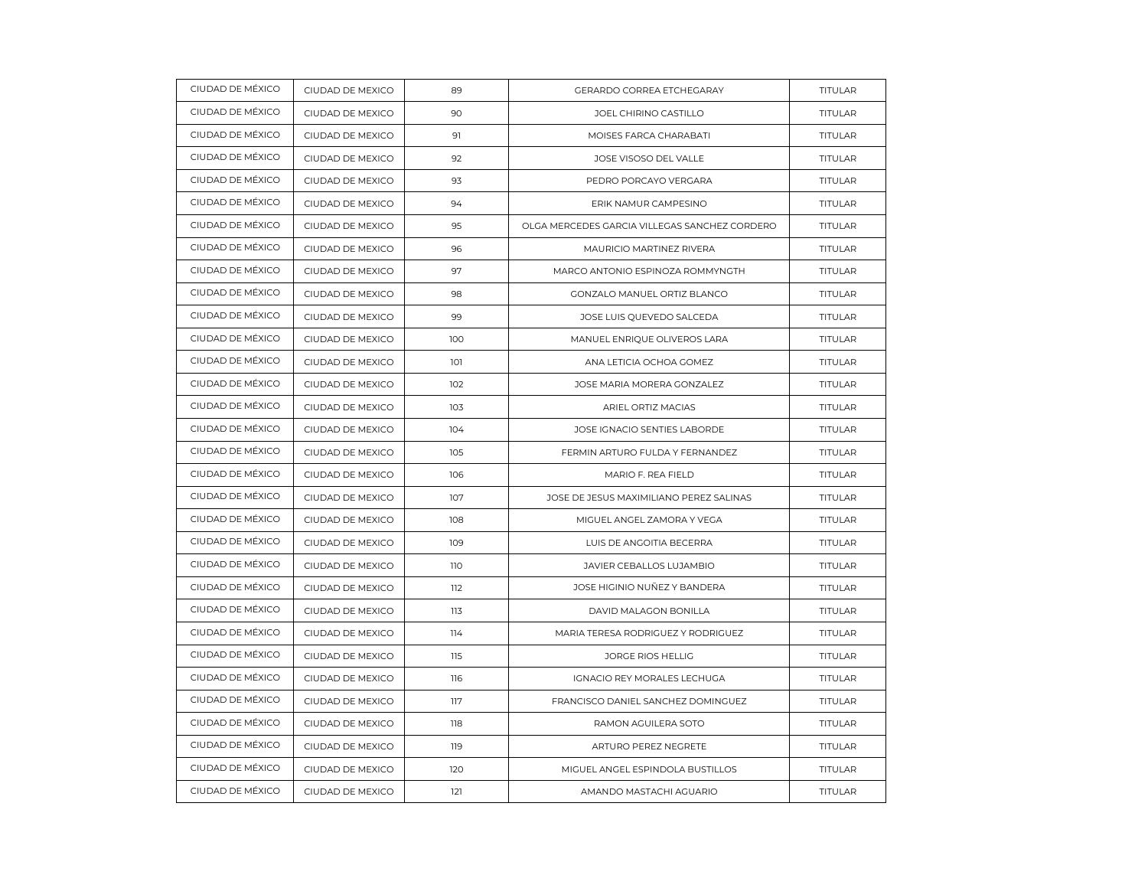| CIUDAD DE MÉXICO | CIUDAD DE MEXICO | 89  | GERARDO CORREA ETCHEGARAY                     | TITULAR        |
|------------------|------------------|-----|-----------------------------------------------|----------------|
| CIUDAD DE MÉXICO | CIUDAD DE MEXICO | 90  | JOEL CHIRINO CASTILLO                         | <b>TITULAR</b> |
| CIUDAD DE MÉXICO | CIUDAD DE MEXICO | 91  | MOISES FARCA CHARABATI                        | <b>TITULAR</b> |
| CIUDAD DE MÉXICO | CIUDAD DE MEXICO | 92  | JOSE VISOSO DEL VALLE                         | TITULAR        |
| CIUDAD DE MÉXICO | CIUDAD DE MEXICO | 93  | PEDRO PORCAYO VERGARA                         | TITULAR        |
| CIUDAD DE MÉXICO | CIUDAD DE MEXICO | 94  | ERIK NAMUR CAMPESINO                          | TITULAR        |
| CIUDAD DE MÉXICO | CIUDAD DE MEXICO | 95  | OLGA MERCEDES GARCIA VILLEGAS SANCHEZ CORDERO | <b>TITULAR</b> |
| CIUDAD DE MÉXICO | CIUDAD DE MEXICO | 96  | MAURICIO MARTINEZ RIVERA                      | TITULAR        |
| CIUDAD DE MÉXICO | CIUDAD DE MEXICO | 97  | MARCO ANTONIO ESPINOZA ROMMYNGTH              | TITULAR        |
| CIUDAD DE MÉXICO | CIUDAD DE MEXICO | 98  | GONZALO MANUEL ORTIZ BLANCO                   | <b>TITULAR</b> |
| CIUDAD DE MÉXICO | CIUDAD DE MEXICO | 99  | JOSE LUIS QUEVEDO SALCEDA                     | TITULAR        |
| CIUDAD DE MÉXICO | CIUDAD DE MEXICO | 100 | MANUEL ENRIQUE OLIVEROS LARA                  | TITULAR        |
| CIUDAD DE MÉXICO | CIUDAD DE MEXICO | 101 | ANA LETICIA OCHOA GOMEZ                       | TITULAR        |
| CIUDAD DE MÉXICO | CIUDAD DE MEXICO | 102 | JOSE MARIA MORERA GONZALEZ                    | TITULAR        |
| CIUDAD DE MÉXICO | CIUDAD DE MEXICO | 103 | ARIEL ORTIZ MACIAS                            | TITULAR        |
| CIUDAD DE MÉXICO | CIUDAD DE MEXICO | 104 | JOSE IGNACIO SENTIES LABORDE                  | TITULAR        |
| CIUDAD DE MÉXICO | CIUDAD DE MEXICO | 105 | FERMIN ARTURO FULDA Y FERNANDEZ               | <b>TITULAR</b> |
| CIUDAD DE MÉXICO | CIUDAD DE MEXICO | 106 | MARIO F. REA FIELD                            | <b>TITULAR</b> |
| CIUDAD DE MÉXICO | CIUDAD DE MEXICO | 107 | JOSE DE JESUS MAXIMILIANO PEREZ SALINAS       | TITULAR        |
| CIUDAD DE MÉXICO | CIUDAD DE MEXICO | 108 | MIGUEL ANGEL ZAMORA Y VEGA                    | TITULAR        |
| CIUDAD DE MÉXICO | CIUDAD DE MEXICO | 109 | LUIS DE ANGOITIA BECERRA                      | TITULAR        |
| CIUDAD DE MÉXICO | CIUDAD DE MEXICO | 110 | JAVIER CEBALLOS LUJAMBIO                      | <b>TITULAR</b> |
| CIUDAD DE MÉXICO | CIUDAD DE MEXICO | 112 | JOSE HIGINIO NUÑEZ Y BANDERA                  | TITULAR        |
| CIUDAD DE MÉXICO | CIUDAD DE MEXICO | 113 | DAVID MALAGON BONILLA                         | TITULAR        |
| CIUDAD DE MÉXICO | CIUDAD DE MEXICO | 114 | MARIA TERESA RODRIGUEZ Y RODRIGUEZ            | <b>TITULAR</b> |
| CIUDAD DE MÉXICO | CIUDAD DE MEXICO | 115 | JORGE RIOS HELLIG                             | TITULAR        |
| CIUDAD DE MÉXICO | CIUDAD DE MEXICO | 116 | IGNACIO REY MORALES LECHUGA                   | TITULAR        |
| CIUDAD DE MÉXICO | CIUDAD DE MEXICO | 117 | FRANCISCO DANIEL SANCHEZ DOMINGUEZ            | TITULAR        |
| CIUDAD DE MÉXICO | CIUDAD DE MEXICO | 118 | RAMON AGUILERA SOTO                           | TITULAR        |
| CIUDAD DE MÉXICO | CIUDAD DE MEXICO | 119 | ARTURO PEREZ NEGRETE                          | TITULAR        |
| CIUDAD DE MÉXICO | CIUDAD DE MEXICO | 120 | MIGUEL ANGEL ESPINDOLA BUSTILLOS              | <b>TITULAR</b> |
| CIUDAD DE MÉXICO | CIUDAD DE MEXICO | 121 | AMANDO MASTACHI AGUARIO                       | <b>TITULAR</b> |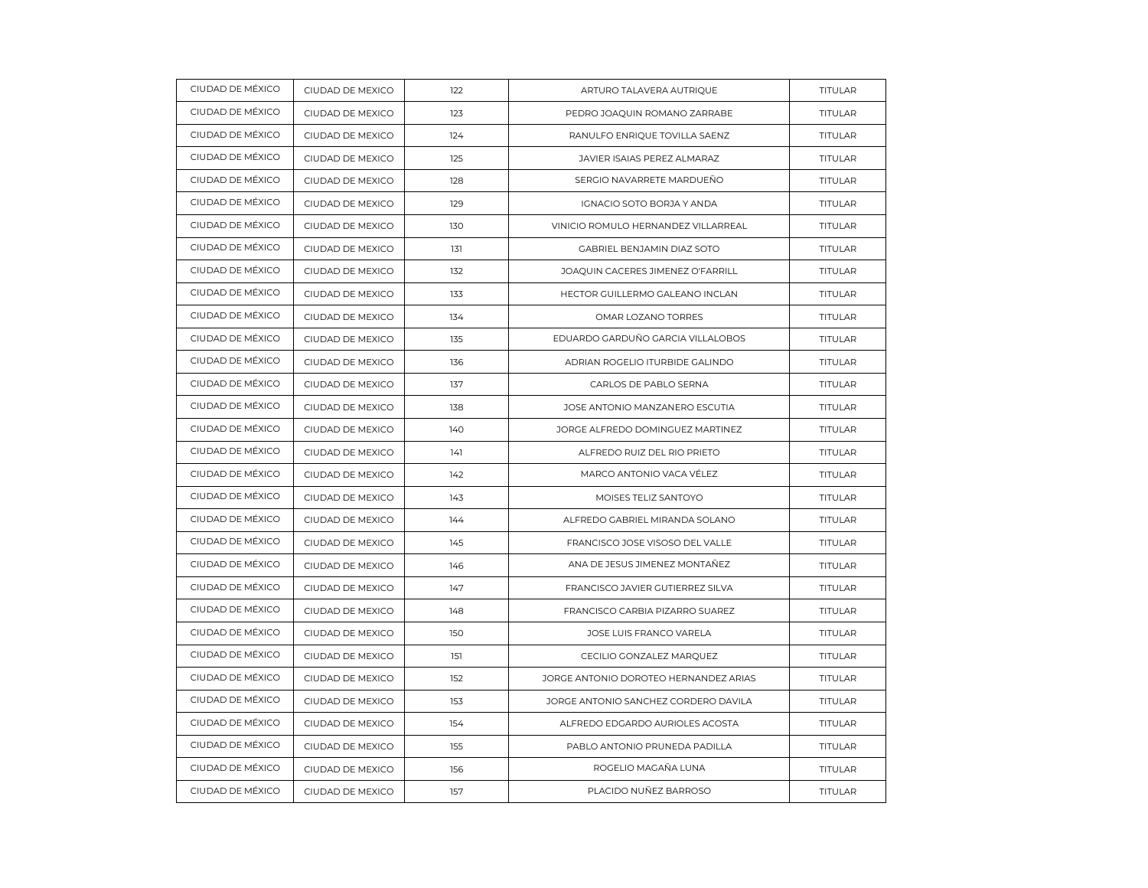| CIUDAD DE MÉXICO | CIUDAD DE MEXICO | 122 | ARTURO TALAVERA AUTRIQUE              | TITULAR        |
|------------------|------------------|-----|---------------------------------------|----------------|
| CIUDAD DE MÉXICO | CIUDAD DE MEXICO | 123 | PEDRO JOAQUIN ROMANO ZARRABE          | TITULAR        |
| CIUDAD DE MÉXICO | CIUDAD DE MEXICO | 124 | RANULFO ENRIQUE TOVILLA SAENZ         | TITULAR        |
| CIUDAD DE MÉXICO | CIUDAD DE MEXICO | 125 | JAVIER ISAIAS PEREZ ALMARAZ           | TITULAR        |
| CIUDAD DE MÉXICO | CIUDAD DE MEXICO | 128 | SERGIO NAVARRETE MARDUEÑO             | TITULAR        |
| CIUDAD DE MÉXICO | CIUDAD DE MEXICO | 129 | IGNACIO SOTO BORJA Y ANDA             | TITULAR        |
| CIUDAD DE MÉXICO | CIUDAD DE MEXICO | 130 | VINICIO ROMULO HERNANDEZ VILLARREAL   | TITULAR        |
| CIUDAD DE MÉXICO | CIUDAD DE MEXICO | 131 | GABRIEL BENJAMIN DIAZ SOTO            | TITULAR        |
| CIUDAD DE MÉXICO | CIUDAD DE MEXICO | 132 | JOAQUIN CACERES JIMENEZ O'FARRILL     | TITULAR        |
| CIUDAD DE MÉXICO | CIUDAD DE MEXICO | 133 | HECTOR GUILLERMO GALEANO INCLAN       | TITULAR        |
| CIUDAD DE MÉXICO | CIUDAD DE MEXICO | 134 | OMAR LOZANO TORRES                    | TITULAR        |
| CIUDAD DE MÉXICO | CIUDAD DE MEXICO | 135 | EDUARDO GARDUÑO GARCIA VILLALOBOS     | TITULAR        |
| CIUDAD DE MÉXICO | CIUDAD DE MEXICO | 136 | ADRIAN ROGELIO ITURBIDE GALINDO       | TITULAR        |
| CIUDAD DE MÉXICO | CIUDAD DE MEXICO | 137 | CARLOS DE PABLO SERNA                 | TITULAR        |
| CIUDAD DE MÉXICO | CIUDAD DE MEXICO | 138 | JOSE ANTONIO MANZANERO ESCUTIA        | TITULAR        |
| CIUDAD DE MÉXICO | CIUDAD DE MEXICO | 140 | JORGE ALFREDO DOMINGUEZ MARTINEZ      | TITULAR        |
| CIUDAD DE MÉXICO | CIUDAD DE MEXICO | 141 | ALFREDO RUIZ DEL RIO PRIETO           | <b>TITULAR</b> |
| CIUDAD DE MÉXICO | CIUDAD DE MEXICO | 142 | MARCO ANTONIO VACA VÉLEZ              | TITULAR        |
| CIUDAD DE MÉXICO | CIUDAD DE MEXICO | 143 | MOISES TELIZ SANTOYO                  | TITULAR        |
| CIUDAD DE MÉXICO | CIUDAD DE MEXICO | 144 | ALFREDO GABRIEL MIRANDA SOLANO        | <b>TITULAR</b> |
| CIUDAD DE MÉXICO | CIUDAD DE MEXICO | 145 | FRANCISCO JOSE VISOSO DEL VALLE       | TITULAR        |
| CIUDAD DE MÉXICO | CIUDAD DE MEXICO | 146 | ANA DE JESUS JIMENEZ MONTAÑEZ         | TITULAR        |
| CIUDAD DE MÉXICO | CIUDAD DE MEXICO | 147 | FRANCISCO JAVIER GUTIERREZ SILVA      | <b>TITULAR</b> |
| CIUDAD DE MÉXICO | CIUDAD DE MEXICO | 148 | FRANCISCO CARBIA PIZARRO SUAREZ       | <b>TITULAR</b> |
| CIUDAD DE MÉXICO | CIUDAD DE MEXICO | 150 | JOSE LUIS FRANCO VARELA               | TITULAR        |
| CIUDAD DE MÉXICO | CIUDAD DE MEXICO | 151 | CECILIO GONZALEZ MARQUEZ              | <b>TITULAR</b> |
| CIUDAD DE MÉXICO | CIUDAD DE MEXICO | 152 | JORGE ANTONIO DOROTEO HERNANDEZ ARIAS | <b>TITULAR</b> |
| CIUDAD DE MÉXICO | CIUDAD DE MEXICO | 153 | JORGE ANTONIO SANCHEZ CORDERO DAVILA  | TITULAR        |
| CIUDAD DE MÉXICO | CIUDAD DE MEXICO | 154 | ALFREDO EDGARDO AURIOLES ACOSTA       | <b>TITULAR</b> |
| CIUDAD DE MÉXICO | CIUDAD DE MEXICO | 155 | PABLO ANTONIO PRUNEDA PADILLA         | <b>TITULAR</b> |
| CIUDAD DE MÉXICO | CIUDAD DE MEXICO | 156 | ROGELIO MAGAÑA LUNA                   | TITULAR        |
| CIUDAD DE MÉXICO | CIUDAD DE MEXICO | 157 | PLACIDO NUÑEZ BARROSO                 | TITULAR        |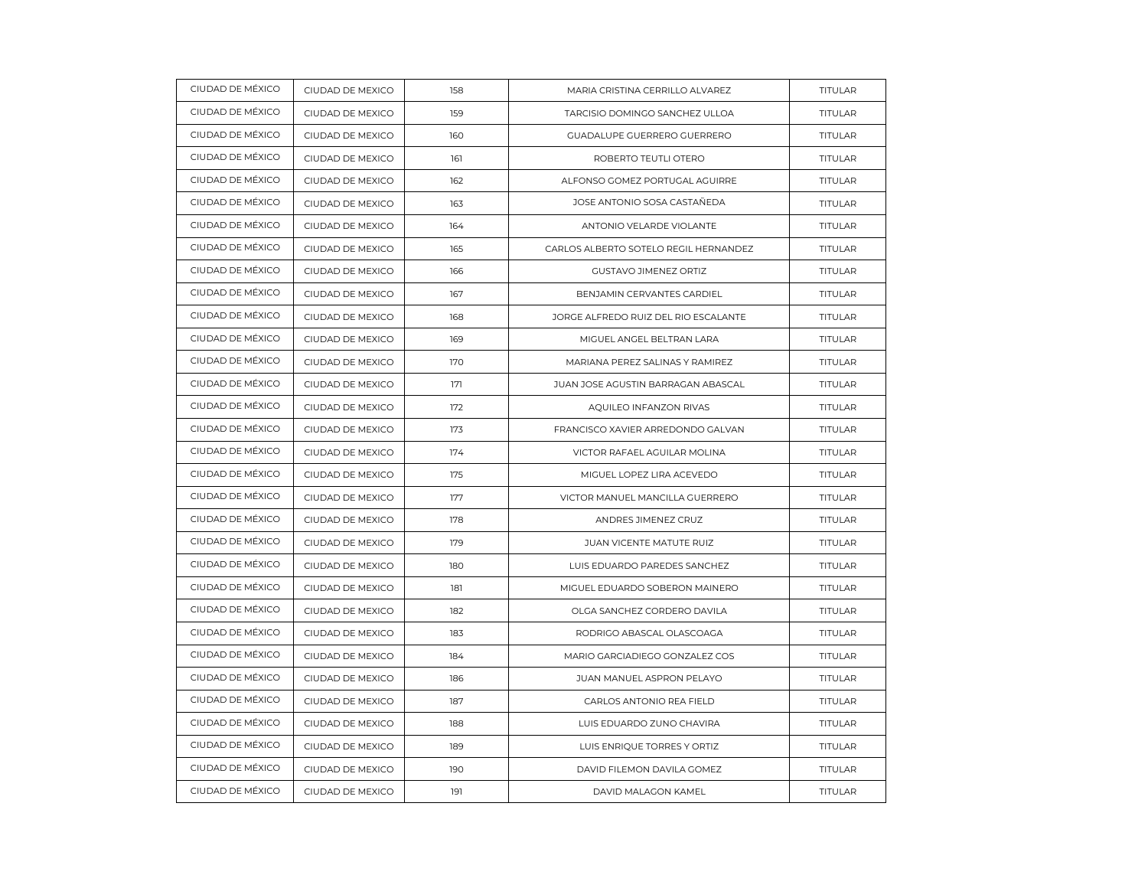| CIUDAD DE MÉXICO | CIUDAD DE MEXICO | 158 | MARIA CRISTINA CERRILLO ALVAREZ       | TITULAR        |
|------------------|------------------|-----|---------------------------------------|----------------|
| CIUDAD DE MÉXICO | CIUDAD DE MEXICO | 159 | TARCISIO DOMINGO SANCHEZ ULLOA        | TITULAR        |
| CIUDAD DE MÉXICO | CIUDAD DE MEXICO | 160 | GUADALUPE GUERRERO GUERRERO           | TITULAR        |
| CIUDAD DE MÉXICO | CIUDAD DE MEXICO | 161 | ROBERTO TEUTLI OTERO                  | <b>TITULAR</b> |
| CIUDAD DE MÉXICO | CIUDAD DE MEXICO | 162 | ALFONSO GOMEZ PORTUGAL AGUIRRE        | TITULAR        |
| CIUDAD DE MÉXICO | CIUDAD DE MEXICO | 163 | JOSE ANTONIO SOSA CASTAÑEDA           | TITULAR        |
| CIUDAD DE MÉXICO | CIUDAD DE MEXICO | 164 | ANTONIO VELARDE VIOLANTE              | TITULAR        |
| CIUDAD DE MÉXICO | CIUDAD DE MEXICO | 165 | CARLOS ALBERTO SOTELO REGIL HERNANDEZ | TITULAR        |
| CIUDAD DE MÉXICO | CIUDAD DE MEXICO | 166 | <b>GUSTAVO JIMENEZ ORTIZ</b>          | TITULAR        |
| CIUDAD DE MÉXICO | CIUDAD DE MEXICO | 167 | BENJAMIN CERVANTES CARDIEL            | <b>TITULAR</b> |
| CIUDAD DE MÉXICO | CIUDAD DE MEXICO | 168 | JORGE ALFREDO RUIZ DEL RIO ESCALANTE  | TITULAR        |
| CIUDAD DE MÉXICO | CIUDAD DE MEXICO | 169 | MIGUEL ANGEL BELTRAN LARA             | TITULAR        |
| CIUDAD DE MÉXICO | CIUDAD DE MEXICO | 170 | MARIANA PEREZ SALINAS Y RAMIREZ       | TITULAR        |
| CIUDAD DE MÉXICO | CIUDAD DE MEXICO | 171 | JUAN JOSE AGUSTIN BARRAGAN ABASCAL    | TITULAR        |
| CIUDAD DE MÉXICO | CIUDAD DE MEXICO | 172 | AQUILEO INFANZON RIVAS                | TITULAR        |
| CIUDAD DE MÉXICO | CIUDAD DE MEXICO | 173 | FRANCISCO XAVIER ARREDONDO GALVAN     | <b>TITULAR</b> |
| CIUDAD DE MÉXICO | CIUDAD DE MEXICO | 174 | VICTOR RAFAEL AGUILAR MOLINA          | <b>TITULAR</b> |
| CIUDAD DE MÉXICO | CIUDAD DE MEXICO | 175 | MIGUEL LOPEZ LIRA ACEVEDO             | TITULAR        |
| CIUDAD DE MÉXICO | CIUDAD DE MEXICO | 177 | VICTOR MANUEL MANCILLA GUERRERO       | TITULAR        |
| CIUDAD DE MÉXICO | CIUDAD DE MEXICO | 178 | ANDRES JIMENEZ CRUZ                   | TITULAR        |
| CIUDAD DE MÉXICO | CIUDAD DE MEXICO | 179 | JUAN VICENTE MATUTE RUIZ              | TITULAR        |
| CIUDAD DE MÉXICO | CIUDAD DE MEXICO | 180 | LUIS EDUARDO PAREDES SANCHEZ          | TITULAR        |
| CIUDAD DE MÉXICO | CIUDAD DE MEXICO | 181 | MIGUEL EDUARDO SOBERON MAINERO        | TITULAR        |
| CIUDAD DE MÉXICO | CIUDAD DE MEXICO | 182 | OLGA SANCHEZ CORDERO DAVILA           | TITULAR        |
| CIUDAD DE MÉXICO | CIUDAD DE MEXICO | 183 | RODRIGO ABASCAL OLASCOAGA             | TITULAR        |
| CIUDAD DE MÉXICO | CIUDAD DE MEXICO | 184 | MARIO GARCIADIEGO GONZALEZ COS        | <b>TITULAR</b> |
| CIUDAD DE MÉXICO | CIUDAD DE MEXICO | 186 | JUAN MANUEL ASPRON PELAYO             | <b>TITULAR</b> |
| CIUDAD DE MÉXICO | CIUDAD DE MEXICO | 187 | CARLOS ANTONIO REA FIELD              | <b>TITULAR</b> |
| CIUDAD DE MÉXICO | CIUDAD DE MEXICO | 188 | LUIS EDUARDO ZUNO CHAVIRA             | TITULAR        |
| CIUDAD DE MÉXICO | CIUDAD DE MEXICO | 189 | LUIS ENRIQUE TORRES Y ORTIZ           | <b>TITULAR</b> |
| CIUDAD DE MÉXICO | CIUDAD DE MEXICO | 190 | DAVID FILEMON DAVILA GOMEZ            | <b>TITULAR</b> |
| CIUDAD DE MÉXICO | CIUDAD DE MEXICO | 191 | DAVID MALAGON KAMEL                   | <b>TITULAR</b> |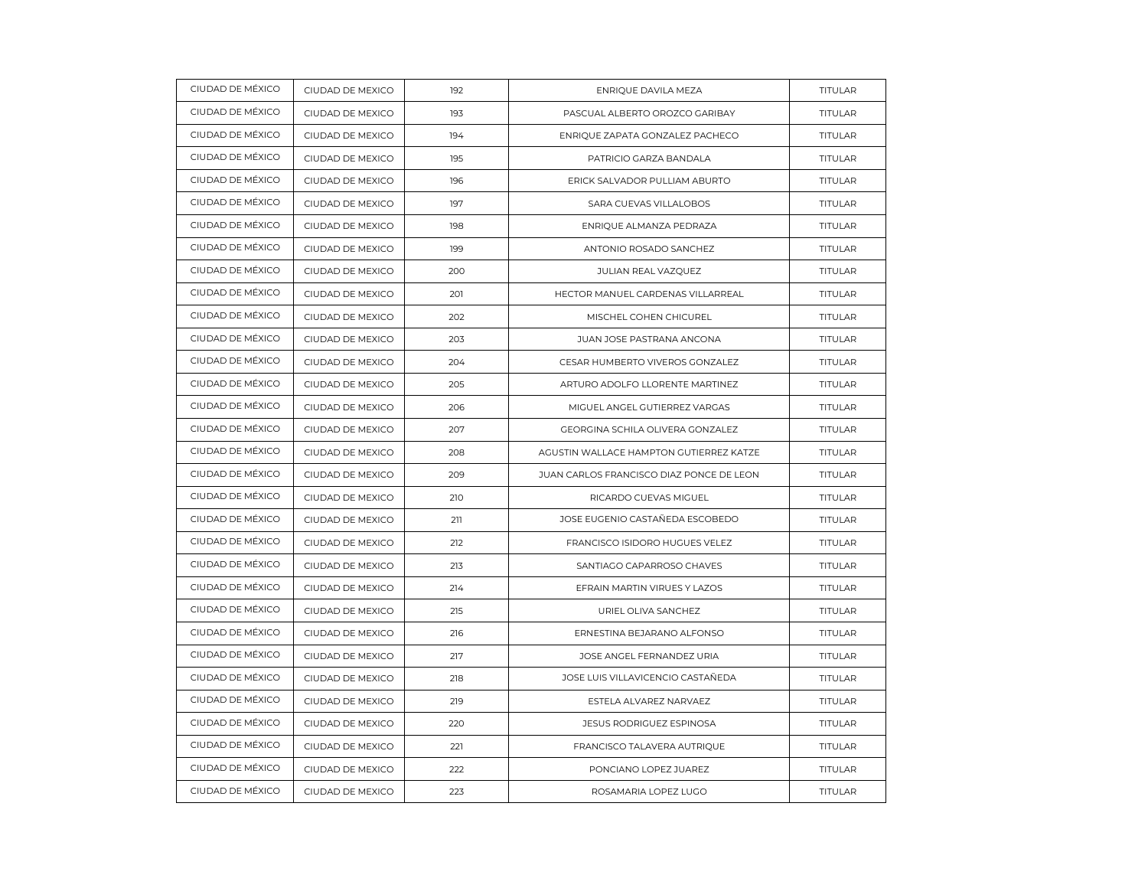| CIUDAD DE MÉXICO | CIUDAD DE MEXICO | 192 | ENRIQUE DAVILA MEZA                      | TITULAR        |
|------------------|------------------|-----|------------------------------------------|----------------|
| CIUDAD DE MÉXICO | CIUDAD DE MEXICO | 193 | PASCUAL ALBERTO OROZCO GARIBAY           | <b>TITULAR</b> |
| CIUDAD DE MÉXICO | CIUDAD DE MEXICO | 194 | ENRIQUE ZAPATA GONZALEZ PACHECO          | <b>TITULAR</b> |
| CIUDAD DE MÉXICO | CIUDAD DE MEXICO | 195 | PATRICIO GARZA BANDALA                   | <b>TITULAR</b> |
| CIUDAD DE MÉXICO | CIUDAD DE MEXICO | 196 | ERICK SALVADOR PULLIAM ABURTO            | <b>TITULAR</b> |
| CIUDAD DE MÉXICO | CIUDAD DE MEXICO | 197 | SARA CUEVAS VILLALOBOS                   | TITULAR        |
| CIUDAD DE MÉXICO | CIUDAD DE MEXICO | 198 | ENRIQUE ALMANZA PEDRAZA                  | TITULAR        |
| CIUDAD DE MÉXICO | CIUDAD DE MEXICO | 199 | ANTONIO ROSADO SANCHEZ                   | TITULAR        |
| CIUDAD DE MÉXICO | CIUDAD DE MEXICO | 200 | JULIAN REAL VAZQUEZ                      | <b>TITULAR</b> |
| CIUDAD DE MÉXICO | CIUDAD DE MEXICO | 201 | HECTOR MANUEL CARDENAS VILLARREAL        | <b>TITULAR</b> |
| CIUDAD DE MÉXICO | CIUDAD DE MEXICO | 202 | MISCHEL COHEN CHICUREL                   | TITULAR        |
| CIUDAD DE MÉXICO | CIUDAD DE MEXICO | 203 | JUAN JOSE PASTRANA ANCONA                | <b>TITULAR</b> |
| CIUDAD DE MÉXICO | CIUDAD DE MEXICO | 204 | CESAR HUMBERTO VIVEROS GONZALEZ          | TITULAR        |
| CIUDAD DE MÉXICO | CIUDAD DE MEXICO | 205 | ARTURO ADOLFO LLORENTE MARTINEZ          | TITULAR        |
| CIUDAD DE MÉXICO | CIUDAD DE MEXICO | 206 | MIGUEL ANGEL GUTIERREZ VARGAS            | TITULAR        |
| CIUDAD DE MÉXICO | CIUDAD DE MEXICO | 207 | GEORGINA SCHILA OLIVERA GONZALEZ         | <b>TITULAR</b> |
| CIUDAD DE MÉXICO | CIUDAD DE MEXICO | 208 | AGUSTIN WALLACE HAMPTON GUTIERREZ KATZE  | TITULAR        |
| CIUDAD DE MÉXICO | CIUDAD DE MEXICO | 209 | JUAN CARLOS FRANCISCO DIAZ PONCE DE LEON | TITULAR        |
| CIUDAD DE MÉXICO | CIUDAD DE MEXICO | 210 | RICARDO CUEVAS MIGUEL                    | <b>TITULAR</b> |
| CIUDAD DE MÉXICO | CIUDAD DE MEXICO | 211 | JOSE EUGENIO CASTAÑEDA ESCOBEDO          | TITULAR        |
| CIUDAD DE MÉXICO | CIUDAD DE MEXICO | 212 | FRANCISCO ISIDORO HUGUES VELEZ           | <b>TITULAR</b> |
| CIUDAD DE MÉXICO | CIUDAD DE MEXICO | 213 | SANTIAGO CAPARROSO CHAVES                | <b>TITULAR</b> |
| CIUDAD DE MÉXICO | CIUDAD DE MEXICO | 214 | EFRAIN MARTIN VIRUES Y LAZOS             | <b>TITULAR</b> |
| CIUDAD DE MÉXICO | CIUDAD DE MEXICO | 215 | URIEL OLIVA SANCHEZ                      | TITULAR        |
| CIUDAD DE MÉXICO | CIUDAD DE MEXICO | 216 | ERNESTINA BEJARANO ALFONSO               | TITULAR        |
| CIUDAD DE MÉXICO | CIUDAD DE MEXICO | 217 | JOSE ANGEL FERNANDEZ URIA                | <b>TITULAR</b> |
| CIUDAD DE MÉXICO | CIUDAD DE MEXICO | 218 | JOSE LUIS VILLAVICENCIO CASTAÑEDA        | <b>TITULAR</b> |
| CIUDAD DE MÉXICO | CIUDAD DE MEXICO | 219 | ESTELA ALVAREZ NARVAEZ                   | <b>TITULAR</b> |
| CIUDAD DE MÉXICO | CIUDAD DE MEXICO | 220 | <b>JESUS RODRIGUEZ ESPINOSA</b>          | <b>TITULAR</b> |
| CIUDAD DE MÉXICO | CIUDAD DE MEXICO | 221 | FRANCISCO TALAVERA AUTRIQUE              | <b>TITULAR</b> |
| CIUDAD DE MÉXICO | CIUDAD DE MEXICO | 222 | PONCIANO LOPEZ JUAREZ                    | TITULAR        |
| CIUDAD DE MÉXICO | CIUDAD DE MEXICO | 223 | ROSAMARIA LOPEZ LUGO                     | <b>TITULAR</b> |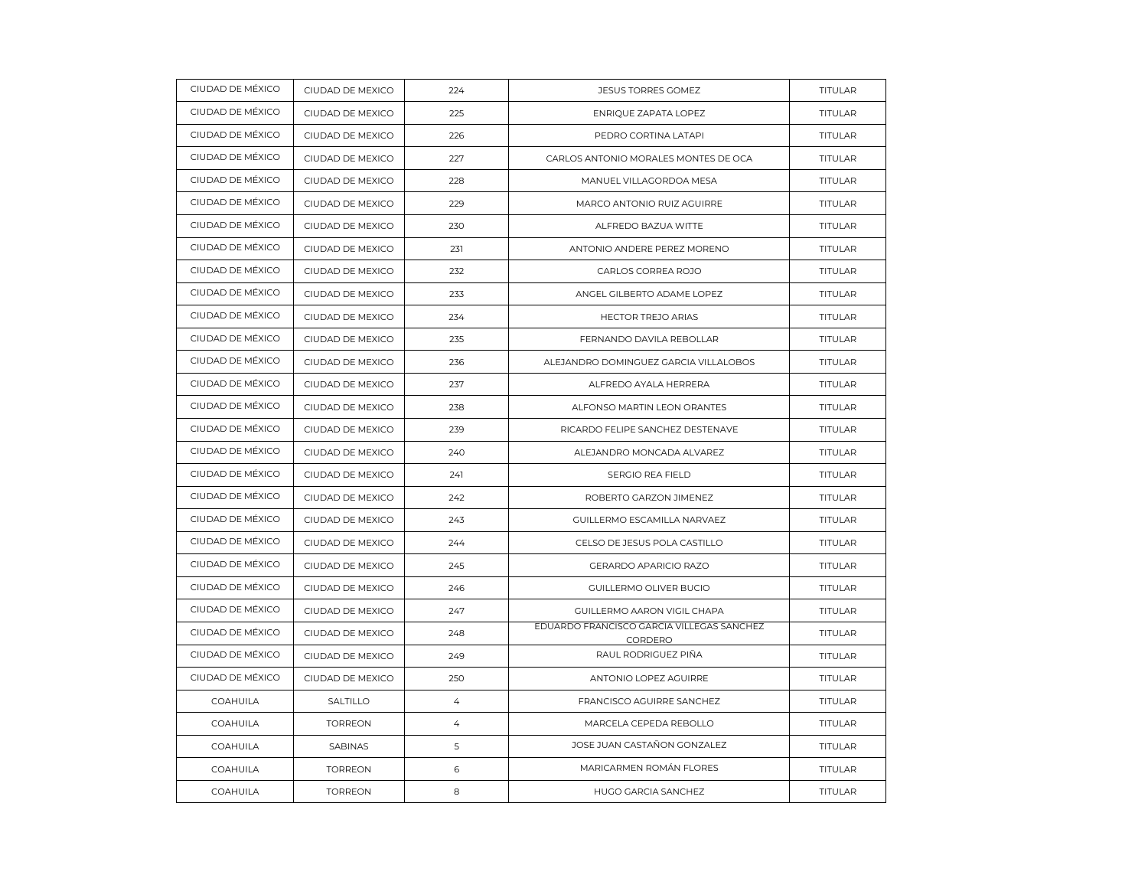| CIUDAD DE MÉXICO | CIUDAD DE MEXICO | 224            | <b>JESUS TORRES GOMEZ</b>                            | TITULAR        |
|------------------|------------------|----------------|------------------------------------------------------|----------------|
| CIUDAD DE MÉXICO | CIUDAD DE MEXICO | 225            | ENRIQUE ZAPATA LOPEZ                                 | <b>TITULAR</b> |
| CIUDAD DE MÉXICO | CIUDAD DE MEXICO | 226            | PEDRO CORTINA LATAPI                                 | <b>TITULAR</b> |
| CIUDAD DE MÉXICO | CIUDAD DE MEXICO | 227            | CARLOS ANTONIO MORALES MONTES DE OCA                 | <b>TITULAR</b> |
| CIUDAD DE MÉXICO | CIUDAD DE MEXICO | 228            | MANUEL VILLAGORDOA MESA                              | <b>TITULAR</b> |
| CIUDAD DE MÉXICO | CIUDAD DE MEXICO | 229            | MARCO ANTONIO RUIZ AGUIRRE                           | <b>TITULAR</b> |
| CIUDAD DE MÉXICO | CIUDAD DE MEXICO | 230            | ALFREDO BAZUA WITTE                                  | <b>TITULAR</b> |
| CIUDAD DE MÉXICO | CIUDAD DE MEXICO | 231            | ANTONIO ANDERE PEREZ MORENO                          | TITULAR        |
| CIUDAD DE MÉXICO | CIUDAD DE MEXICO | 232            | CARLOS CORREA ROJO                                   | TITULAR        |
| CIUDAD DE MÉXICO | CIUDAD DE MEXICO | 233            | ANGEL GILBERTO ADAME LOPEZ                           | <b>TITULAR</b> |
| CIUDAD DE MÉXICO | CIUDAD DE MEXICO | 234            | HECTOR TREJO ARIAS                                   | TITULAR        |
| CIUDAD DE MÉXICO | CIUDAD DE MEXICO | 235            | FERNANDO DAVILA REBOLLAR                             | <b>TITULAR</b> |
| CIUDAD DE MÉXICO | CIUDAD DE MEXICO | 236            | ALEJANDRO DOMINGUEZ GARCIA VILLALOBOS                | <b>TITULAR</b> |
| CIUDAD DE MÉXICO | CIUDAD DE MEXICO | 237            | ALFREDO AYALA HERRERA                                | <b>TITULAR</b> |
| CIUDAD DE MÉXICO | CIUDAD DE MEXICO | 238            | ALFONSO MARTIN LEON ORANTES                          | <b>TITULAR</b> |
| CIUDAD DE MÉXICO | CIUDAD DE MEXICO | 239            | RICARDO FELIPE SANCHEZ DESTENAVE                     | TITULAR        |
| CIUDAD DE MÉXICO | CIUDAD DE MEXICO | 240            | ALEJANDRO MONCADA ALVAREZ                            | <b>TITULAR</b> |
| CIUDAD DE MÉXICO | CIUDAD DE MEXICO | 241            | SERGIO REA FIELD                                     | <b>TITULAR</b> |
| CIUDAD DE MÉXICO | CIUDAD DE MEXICO | 242            | ROBERTO GARZON JIMENEZ                               | <b>TITULAR</b> |
| CIUDAD DE MÉXICO | CIUDAD DE MEXICO | 243            | GUILLERMO ESCAMILLA NARVAEZ                          | TITULAR        |
| CIUDAD DE MÉXICO | CIUDAD DE MEXICO | 244            | CELSO DE JESUS POLA CASTILLO                         | <b>TITULAR</b> |
| CIUDAD DE MÉXICO | CIUDAD DE MEXICO | 245            | <b>GERARDO APARICIO RAZO</b>                         | <b>TITULAR</b> |
| CIUDAD DE MÉXICO | CIUDAD DE MEXICO | 246            | GUILLERMO OLIVER BUCIO                               | TITULAR        |
| CIUDAD DE MÉXICO | CIUDAD DE MEXICO | 247            | GUILLERMO AARON VIGIL CHAPA                          | TITULAR        |
| CIUDAD DE MÉXICO | CIUDAD DE MEXICO | 248            | EDUARDO FRANCISCO GARCIA VILLEGAS SANCHEZ<br>CORDERO | <b>TITULAR</b> |
| CIUDAD DE MÉXICO | CIUDAD DE MEXICO | 249            | RAUL RODRIGUEZ PIÑA                                  | TITULAR        |
| CIUDAD DE MÉXICO | CIUDAD DE MEXICO | 250            | ANTONIO LOPEZ AGUIRRE                                | <b>TITULAR</b> |
| <b>COAHUILA</b>  | SALTILLO         | $\overline{4}$ | FRANCISCO AGUIRRE SANCHEZ                            | <b>TITULAR</b> |
| <b>COAHUILA</b>  | <b>TORREON</b>   | $\overline{4}$ | MARCELA CEPEDA REBOLLO                               | <b>TITULAR</b> |
| COAHUILA         | SABINAS          | 5              | JOSE JUAN CASTAÑON GONZALEZ                          | <b>TITULAR</b> |
| COAHUILA         | <b>TORREON</b>   | 6              | MARICARMEN ROMÁN FLORES                              | TITULAR        |
| COAHUILA         | <b>TORREON</b>   | 8              | HUGO GARCIA SANCHEZ                                  | <b>TITULAR</b> |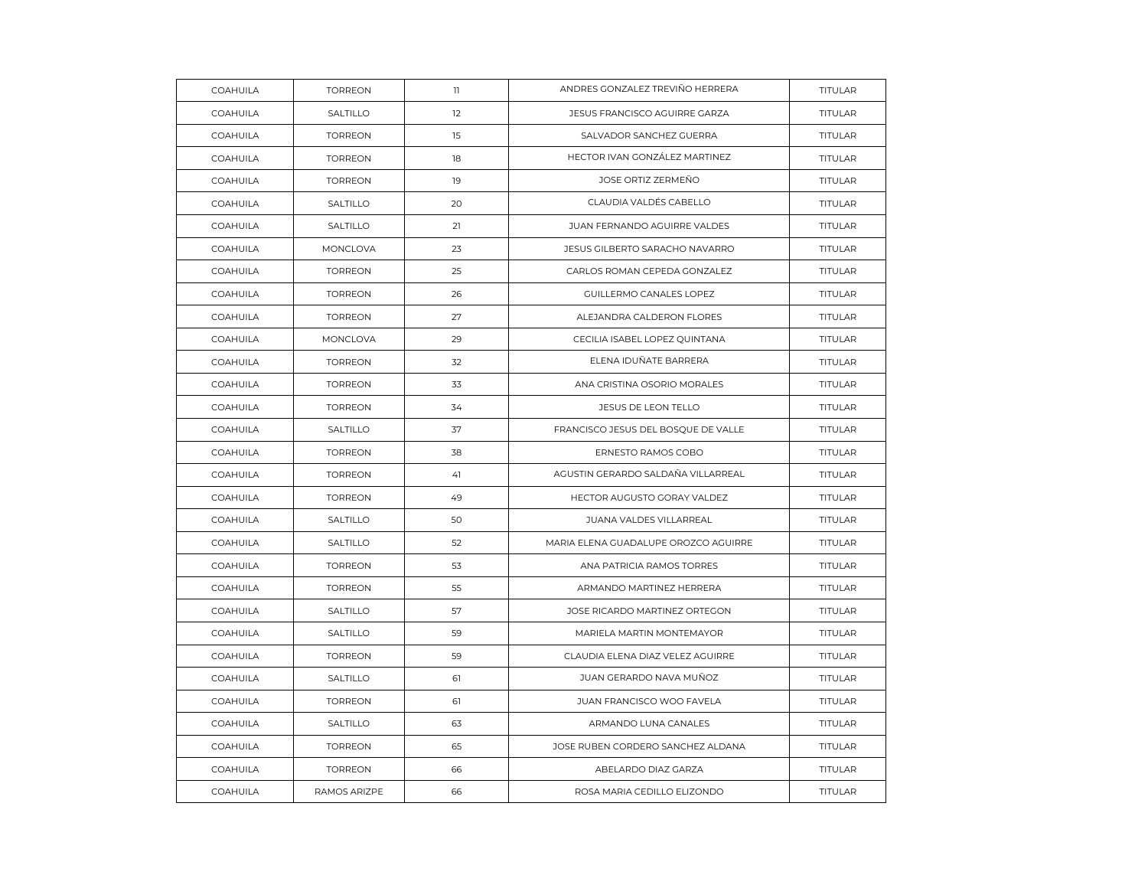| COAHUILA        | <b>TORREON</b> | $\mathbf{1}$ | ANDRES GONZALEZ TREVIÑO HERRERA      | TITULAR        |
|-----------------|----------------|--------------|--------------------------------------|----------------|
| <b>COAHUILA</b> | SALTILLO       | 12           | JESUS FRANCISCO AGUIRRE GARZA        | <b>TITULAR</b> |
| COAHUILA        | <b>TORREON</b> | 15           | SALVADOR SANCHEZ GUERRA              | TITULAR        |
| <b>COAHUILA</b> | <b>TORREON</b> | 18           | HECTOR IVAN GONZÁLEZ MARTINEZ        | <b>TITULAR</b> |
| <b>COAHUILA</b> | <b>TORREON</b> | 19           | JOSE ORTIZ ZERMEÑO                   | <b>TITULAR</b> |
| COAHUILA        | SALTILLO       | 20           | CLAUDIA VALDÉS CABELLO               | TITULAR        |
| COAHUILA        | SALTILLO       | 21           | JUAN FERNANDO AGUIRRE VALDES         | <b>TITULAR</b> |
| <b>COAHUILA</b> | MONCLOVA       | 23           | JESUS GILBERTO SARACHO NAVARRO       | <b>TITULAR</b> |
| <b>COAHUILA</b> | <b>TORREON</b> | 25           | CARLOS ROMAN CEPEDA GONZALEZ         | <b>TITULAR</b> |
| COAHUILA        | <b>TORREON</b> | 26           | GUILLERMO CANALES LOPEZ              | <b>TITULAR</b> |
| COAHUILA        | <b>TORREON</b> | 27           | ALEJANDRA CALDERON FLORES            | TITULAR        |
| <b>COAHUILA</b> | MONCLOVA       | 29           | CECILIA ISABEL LOPEZ QUINTANA        | <b>TITULAR</b> |
| COAHUILA        | <b>TORREON</b> | 32           | ELENA IDUÑATE BARRERA                | <b>TITULAR</b> |
| COAHUILA        | <b>TORREON</b> | 33           | ANA CRISTINA OSORIO MORALES          | TITULAR        |
| COAHUILA        | <b>TORREON</b> | 34           | JESUS DE LEON TELLO                  | TITULAR        |
| <b>COAHUILA</b> | SALTILLO       | 37           | FRANCISCO JESUS DEL BOSQUE DE VALLE  | <b>TITULAR</b> |
| COAHUILA        | <b>TORREON</b> | 38           | ERNESTO RAMOS COBO                   | TITULAR        |
| COAHUILA        | <b>TORREON</b> | 41           | AGUSTIN GERARDO SALDAÑA VILLARREAL   | TITULAR        |
| COAHUILA        | <b>TORREON</b> | 49           | HECTOR AUGUSTO GORAY VALDEZ          | <b>TITULAR</b> |
| COAHUILA        | SALTILLO       | 50           | JUANA VALDES VILLARREAL              | <b>TITULAR</b> |
| COAHUILA        | SALTILLO       | 52           | MARIA ELENA GUADALUPE OROZCO AGUIRRE | TITULAR        |
| COAHUILA        | <b>TORREON</b> | 53           | ANA PATRICIA RAMOS TORRES            | <b>TITULAR</b> |
| COAHUILA        | <b>TORREON</b> | 55           | ARMANDO MARTINEZ HERRERA             | <b>TITULAR</b> |
| COAHUILA        | SALTILLO       | 57           | JOSE RICARDO MARTINEZ ORTEGON        | TITULAR        |
| COAHUILA        | SALTILLO       | 59           | MARIELA MARTIN MONTEMAYOR            | TITULAR        |
| COAHUILA        | <b>TORREON</b> | 59           | CLAUDIA ELENA DIAZ VELEZ AGUIRRE     | <b>TITULAR</b> |
| COAHUILA        | SALTILLO       | 61           | JUAN GERARDO NAVA MUÑOZ              | TITULAR        |
| COAHUILA        | <b>TORREON</b> | 61           | JUAN FRANCISCO WOO FAVELA            | <b>TITULAR</b> |
| COAHUILA        | SALTILLO       | 63           | ARMANDO LUNA CANALES                 | <b>TITULAR</b> |
| COAHUILA        | <b>TORREON</b> | 65           | JOSE RUBEN CORDERO SANCHEZ ALDANA    | <b>TITULAR</b> |
| COAHUILA        | <b>TORREON</b> | 66           | ABELARDO DIAZ GARZA                  | <b>TITULAR</b> |
| COAHUILA        | RAMOS ARIZPE   | 66           | ROSA MARIA CEDILLO ELIZONDO          | <b>TITULAR</b> |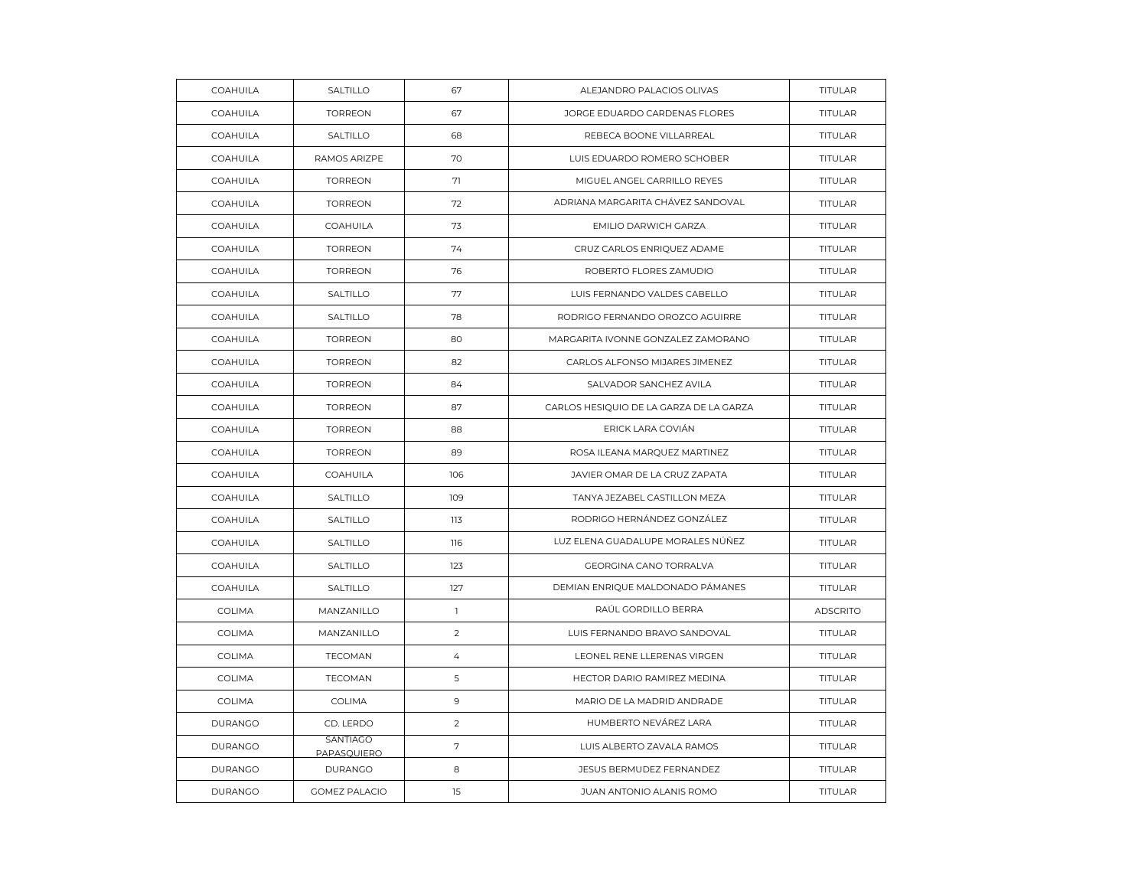| COAHUILA       | SALTILLO                | 67             | ALEJANDRO PALACIOS OLIVAS               | TITULAR         |
|----------------|-------------------------|----------------|-----------------------------------------|-----------------|
| COAHUILA       | <b>TORREON</b>          | 67             | JORGE EDUARDO CARDENAS FLORES           | <b>TITULAR</b>  |
| COAHUILA       | SALTILLO                | 68             | REBECA BOONE VILLARREAL                 | TITULAR         |
| COAHUILA       | RAMOS ARIZPE            | 70             | LUIS EDUARDO ROMERO SCHOBER             | <b>TITULAR</b>  |
| COAHUILA       | <b>TORREON</b>          | 71             | MIGUEL ANGEL CARRILLO REYES             | <b>TITULAR</b>  |
| COAHUILA       | <b>TORREON</b>          | 72             | ADRIANA MARGARITA CHÁVEZ SANDOVAL       | TITULAR         |
| COAHUILA       | COAHUILA                | 73             | EMILIO DARWICH GARZA                    | <b>TITULAR</b>  |
| COAHUILA       | <b>TORREON</b>          | 74             | CRUZ CARLOS ENRIQUEZ ADAME              | <b>TITULAR</b>  |
| COAHUILA       | <b>TORREON</b>          | 76             | ROBERTO FLORES ZAMUDIO                  | <b>TITULAR</b>  |
| COAHUILA       | SALTILLO                | 77             | LUIS FERNANDO VALDES CABELLO            | <b>TITULAR</b>  |
| COAHUILA       | SALTILLO                | 78             | RODRIGO FERNANDO OROZCO AGUIRRE         | TITULAR         |
| COAHUILA       | <b>TORREON</b>          | 80             | MARGARITA IVONNE GONZALEZ ZAMORANO      | <b>TITULAR</b>  |
| COAHUILA       | <b>TORREON</b>          | 82             | CARLOS ALFONSO MIJARES JIMENEZ          | TITULAR         |
| COAHUILA       | <b>TORREON</b>          | 84             | SALVADOR SANCHEZ AVILA                  | TITULAR         |
| COAHUILA       | <b>TORREON</b>          | 87             | CARLOS HESIQUIO DE LA GARZA DE LA GARZA | TITULAR         |
| COAHUILA       | <b>TORREON</b>          | 88             | ERICK LARA COVIÁN                       | <b>TITULAR</b>  |
| COAHUILA       | <b>TORREON</b>          | 89             | ROSA ILEANA MARQUEZ MARTINEZ            | TITULAR         |
| COAHUILA       | COAHUILA                | 106            | JAVIER OMAR DE LA CRUZ ZAPATA           | TITULAR         |
| COAHUILA       | SALTILLO                | 109            | TANYA JEZABEL CASTILLON MEZA            | TITULAR         |
| COAHUILA       | SALTILLO                | 113            | RODRIGO HERNÁNDEZ GONZÁLEZ              | <b>TITULAR</b>  |
| COAHUILA       | SALTILLO                | 116            | LUZ ELENA GUADALUPE MORALES NÚÑEZ       | TITULAR         |
| COAHUILA       | <b>SALTILLO</b>         | 123            | GEORGINA CANO TORRALVA                  | TITULAR         |
| COAHUILA       | SALTILLO                | 127            | DEMIAN ENRIQUE MALDONADO PÁMANES        | TITULAR         |
| COLIMA         | MANZANILLO              | $\mathbf{1}$   | RAÚL GORDILLO BERRA                     | <b>ADSCRITO</b> |
| COLIMA         | MANZANILLO              | $\overline{2}$ | LUIS FERNANDO BRAVO SANDOVAL            | <b>TITULAR</b>  |
| COLIMA         | <b>TECOMAN</b>          | 4              | LEONEL RENE LLERENAS VIRGEN             | TITULAR         |
| COLIMA         | <b>TECOMAN</b>          | 5              | HECTOR DARIO RAMIREZ MEDINA             | TITULAR         |
| <b>COLIMA</b>  | <b>COLIMA</b>           | $\overline{9}$ | MARIO DE LA MADRID ANDRADE              | TITULAR         |
| <b>DURANGO</b> | CD. LERDO               | 2              | HUMBERTO NEVÁREZ LARA                   | TITULAR         |
| <b>DURANGO</b> | SANTIAGO<br>PAPASQUIERO | $\sqrt{ }$     | LUIS ALBERTO ZAVALA RAMOS               | <b>TITULAR</b>  |
| <b>DURANGO</b> | <b>DURANGO</b>          | 8              | JESUS BERMUDEZ FERNANDEZ                | TITULAR         |
| <b>DURANGO</b> | <b>GOMEZ PALACIO</b>    | 15             | JUAN ANTONIO ALANIS ROMO                | TITULAR         |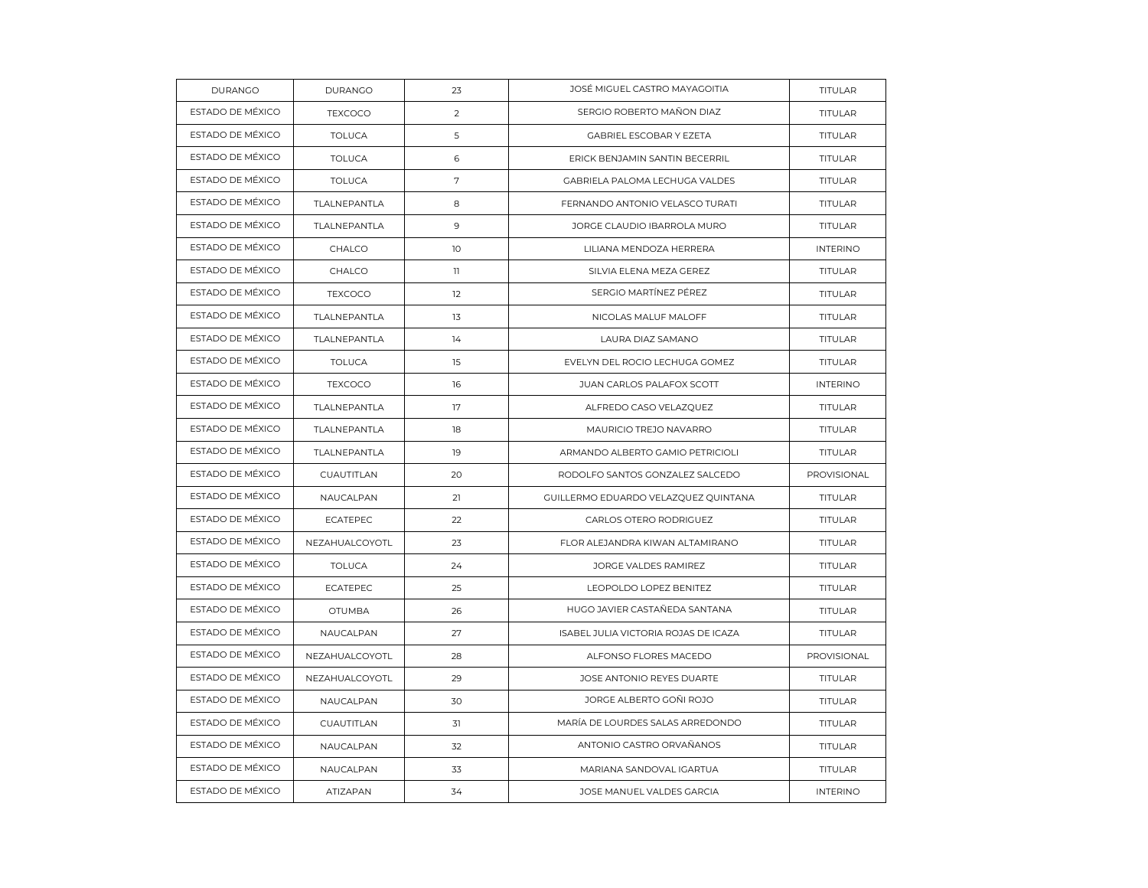| <b>DURANGO</b>   | <b>DURANGO</b>  | 23           | JOSÉ MIGUEL CASTRO MAYAGOITIA        | TITULAR         |
|------------------|-----------------|--------------|--------------------------------------|-----------------|
| ESTADO DE MÉXICO | <b>TEXCOCO</b>  | 2            | SERGIO ROBERTO MAÑON DIAZ            | <b>TITULAR</b>  |
| ESTADO DE MÉXICO | <b>TOLUCA</b>   | 5            | GABRIEL ESCOBAR Y EZETA              | <b>TITULAR</b>  |
| ESTADO DE MÉXICO | <b>TOLUCA</b>   | 6            | ERICK BENJAMIN SANTIN BECERRIL       | TITULAR         |
| ESTADO DE MÉXICO | <b>TOLUCA</b>   | 7            | GABRIELA PALOMA LECHUGA VALDES       | <b>TITULAR</b>  |
| ESTADO DE MÉXICO | TLALNEPANTLA    | 8            | FERNANDO ANTONIO VELASCO TURATI      | TITULAR         |
| ESTADO DE MÉXICO | TLALNEPANTLA    | 9            | JORGE CLAUDIO IBARROLA MURO          | TITULAR         |
| ESTADO DE MÉXICO | CHALCO          | 10           | LILIANA MENDOZA HERRERA              | <b>INTERINO</b> |
| ESTADO DE MÉXICO | CHALCO          | $\mathbb{I}$ | SILVIA ELENA MEZA GEREZ              | TITULAR         |
| ESTADO DE MÉXICO | <b>TEXCOCO</b>  | 12           | SERGIO MARTÍNEZ PÉREZ                | TITULAR         |
| ESTADO DE MÉXICO | TLALNEPANTLA    | 13           | NICOLAS MALUF MALOFF                 | TITULAR         |
| ESTADO DE MÉXICO | TLALNEPANTLA    | 14           | LAURA DIAZ SAMANO                    | <b>TITULAR</b>  |
| ESTADO DE MÉXICO | <b>TOLUCA</b>   | 15           | EVELYN DEL ROCIO LECHUGA GOMEZ       | <b>TITULAR</b>  |
| ESTADO DE MÉXICO | <b>TEXCOCO</b>  | 16           | JUAN CARLOS PALAFOX SCOTT            | <b>INTERINO</b> |
| ESTADO DE MÉXICO | TLALNEPANTLA    | 17           | ALFREDO CASO VELAZQUEZ               | TITULAR         |
| ESTADO DE MÉXICO | TLALNEPANTLA    | 18           | MAURICIO TREJO NAVARRO               | <b>TITULAR</b>  |
| ESTADO DE MÉXICO | TLALNEPANTLA    | 19           | ARMANDO ALBERTO GAMIO PETRICIOLI     | <b>TITULAR</b>  |
| ESTADO DE MÉXICO | CUAUTITLAN      | 20           | RODOLFO SANTOS GONZALEZ SALCEDO      | PROVISIONAL     |
| ESTADO DE MÉXICO | NAUCALPAN       | 21           | GUILLERMO EDUARDO VELAZQUEZ QUINTANA | TITULAR         |
| ESTADO DE MÉXICO | <b>ECATEPEC</b> | 22           | CARLOS OTERO RODRIGUEZ               | <b>TITULAR</b>  |
| ESTADO DE MÉXICO | NEZAHUALCOYOTL  | 23           | FLOR ALEJANDRA KIWAN ALTAMIRANO      | TITULAR         |
| ESTADO DE MÉXICO | <b>TOLUCA</b>   | 24           | JORGE VALDES RAMIREZ                 | TITULAR         |
| ESTADO DE MÉXICO | <b>ECATEPEC</b> | 25           | LEOPOLDO LOPEZ BENITEZ               | <b>TITULAR</b>  |
| ESTADO DE MÉXICO | <b>OTUMBA</b>   | 26           | HUGO JAVIER CASTAÑEDA SANTANA        | TITULAR         |
| ESTADO DE MÉXICO | NAUCALPAN       | 27           | ISABEL JULIA VICTORIA ROJAS DE ICAZA | TITULAR         |
| ESTADO DE MÉXICO | NEZAHUALCOYOTL  | 28           | ALFONSO FLORES MACEDO                | PROVISIONAL     |
| ESTADO DE MÉXICO | NEZAHUALCOYOTL  | 29           | JOSE ANTONIO REYES DUARTE            | TITULAR         |
| ESTADO DE MÉXICO | NAUCALPAN       | 30           | JORGE ALBERTO GOÑI ROJO              | TITULAR         |
| ESTADO DE MÉXICO | CUAUTITLAN      | 31           | MARÍA DE LOURDES SALAS ARREDONDO     | <b>TITULAR</b>  |
| ESTADO DE MÉXICO | NAUCALPAN       | 32           | ANTONIO CASTRO ORVAÑANOS             | TITULAR         |
| ESTADO DE MÉXICO | NAUCALPAN       | 33           | MARIANA SANDOVAL IGARTUA             | TITULAR         |
| ESTADO DE MÉXICO | ATIZAPAN        | 34           | JOSE MANUEL VALDES GARCIA            | <b>INTERINO</b> |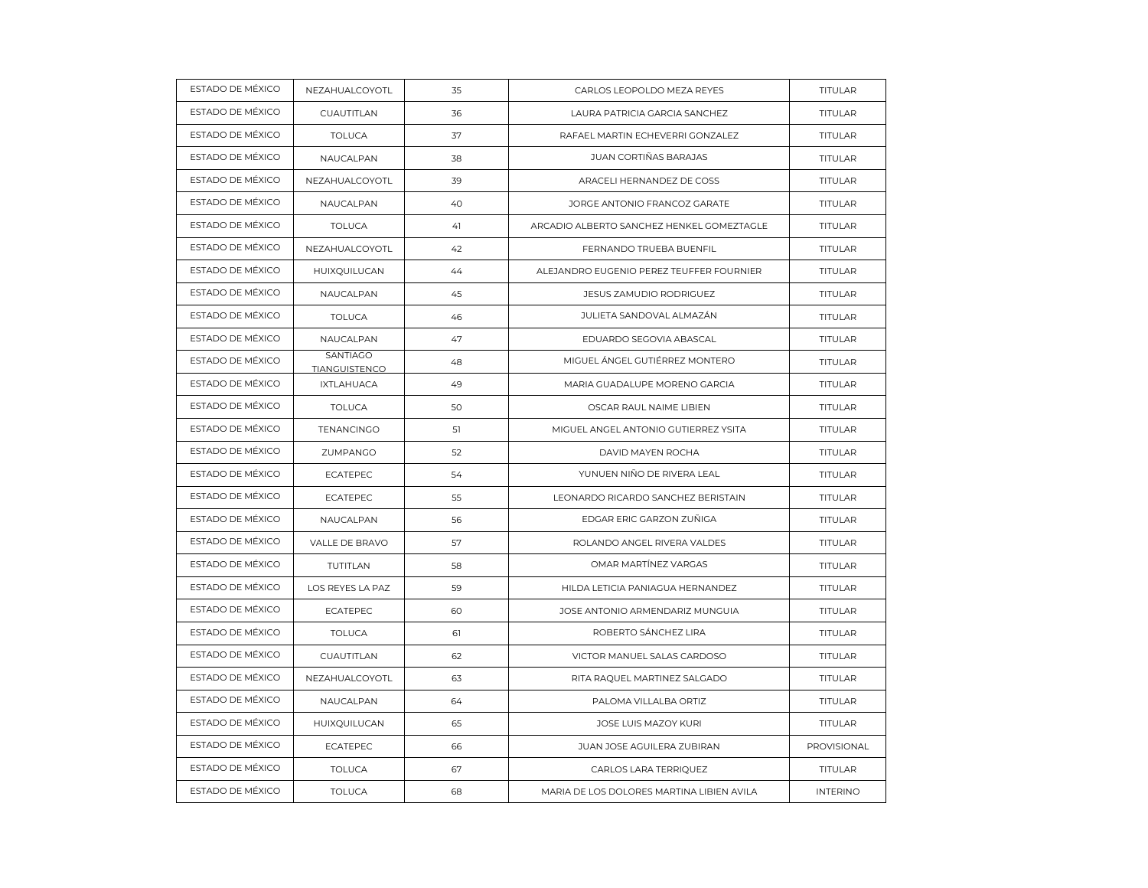| ESTADO DE MÉXICO | NEZAHUALCOYOTL                          | 35 | CARLOS LEOPOLDO MEZA REYES                | TITULAR         |
|------------------|-----------------------------------------|----|-------------------------------------------|-----------------|
| ESTADO DE MÉXICO | CUAUTITLAN                              | 36 | LAURA PATRICIA GARCIA SANCHEZ             | <b>TITULAR</b>  |
| ESTADO DE MÉXICO | <b>TOLUCA</b>                           | 37 | RAFAEL MARTIN ECHEVERRI GONZALEZ          | TITULAR         |
| ESTADO DE MÉXICO | NAUCALPAN                               | 38 | JUAN CORTIÑAS BARAJAS                     | TITULAR         |
| ESTADO DE MÉXICO | NEZAHUALCOYOTL                          | 39 | ARACELI HERNANDEZ DE COSS                 | <b>TITULAR</b>  |
| ESTADO DE MÉXICO | NAUCALPAN                               | 40 | JORGE ANTONIO FRANCOZ GARATE              | <b>TITULAR</b>  |
| ESTADO DE MÉXICO | <b>TOLUCA</b>                           | 41 | ARCADIO ALBERTO SANCHEZ HENKEL GOMEZTAGLE | TITULAR         |
| ESTADO DE MÉXICO | NEZAHUALCOYOTL                          | 42 | FERNANDO TRUEBA BUENFIL                   | TITULAR         |
| ESTADO DE MÉXICO | HUIXQUILUCAN                            | 44 | ALEJANDRO EUGENIO PEREZ TEUFFER FOURNIER  | <b>TITULAR</b>  |
| ESTADO DE MÉXICO | NAUCALPAN                               | 45 | JESUS ZAMUDIO RODRIGUEZ                   | TITULAR         |
| ESTADO DE MÉXICO | <b>TOLUCA</b>                           | 46 | JULIETA SANDOVAL ALMAZÁN                  | TITULAR         |
| ESTADO DE MÉXICO | NAUCALPAN                               | 47 | EDUARDO SEGOVIA ABASCAL                   | <b>TITULAR</b>  |
| ESTADO DE MÉXICO | <b>SANTIAGO</b><br><b>TIANGUISTENCO</b> | 48 | MIGUEL ÁNGEL GUTIÉRREZ MONTERO            | <b>TITULAR</b>  |
| ESTADO DE MÉXICO | <b>IXTLAHUACA</b>                       | 49 | MARIA GUADALUPE MORENO GARCIA             | TITULAR         |
| ESTADO DE MÉXICO | <b>TOLUCA</b>                           | 50 | OSCAR RAUL NAIME LIBIEN                   | TITULAR         |
| ESTADO DE MÉXICO | <b>TENANCINGO</b>                       | 51 | MIGUEL ANGEL ANTONIO GUTIERREZ YSITA      | <b>TITULAR</b>  |
| ESTADO DE MÉXICO | ZUMPANGO                                | 52 | DAVID MAYEN ROCHA                         | <b>TITULAR</b>  |
| ESTADO DE MÉXICO | <b>ECATEPEC</b>                         | 54 | YUNUEN NIÑO DE RIVERA LEAL                | TITULAR         |
| ESTADO DE MÉXICO | <b>ECATEPEC</b>                         | 55 | LEONARDO RICARDO SANCHEZ BERISTAIN        | TITULAR         |
| ESTADO DE MÉXICO | NAUCALPAN                               | 56 | EDGAR ERIC GARZON ZUÑIGA                  | <b>TITULAR</b>  |
| ESTADO DE MÉXICO | VALLE DE BRAVO                          | 57 | ROLANDO ANGEL RIVERA VALDES               | TITULAR         |
| ESTADO DE MÉXICO | TUTITLAN                                | 58 | OMAR MARTÍNEZ VARGAS                      | TITULAR         |
| ESTADO DE MÉXICO | LOS REYES LA PAZ                        | 59 | HILDA LETICIA PANIAGUA HERNANDEZ          | <b>TITULAR</b>  |
| ESTADO DE MÉXICO | <b>ECATEPEC</b>                         | 60 | JOSE ANTONIO ARMENDARIZ MUNGUIA           | TITULAR         |
| ESTADO DE MÉXICO | <b>TOLUCA</b>                           | 61 | ROBERTO SÁNCHEZ LIRA                      | TITULAR         |
| ESTADO DE MÉXICO | CUAUTITLAN                              | 62 | VICTOR MANUEL SALAS CARDOSO               | <b>TITULAR</b>  |
| ESTADO DE MÉXICO | NEZAHUALCOYOTL                          | 63 | RITA RAQUEL MARTINEZ SALGADO              | TITULAR         |
| ESTADO DE MÉXICO | NAUCALPAN                               | 64 | PALOMA VILLALBA ORTIZ                     | TITULAR         |
| ESTADO DE MÉXICO | HUIXQUILUCAN                            | 65 | JOSE LUIS MAZOY KURI                      | <b>TITULAR</b>  |
| ESTADO DE MÉXICO | <b>ECATEPEC</b>                         | 66 | JUAN JOSE AGUILERA ZUBIRAN                | PROVISIONAL     |
| ESTADO DE MÉXICO | <b>TOLUCA</b>                           | 67 | CARLOS LARA TERRIQUEZ                     | TITULAR         |
| ESTADO DE MÉXICO | <b>TOLUCA</b>                           | 68 | MARIA DE LOS DOLORES MARTINA LIBIEN AVILA | <b>INTERINO</b> |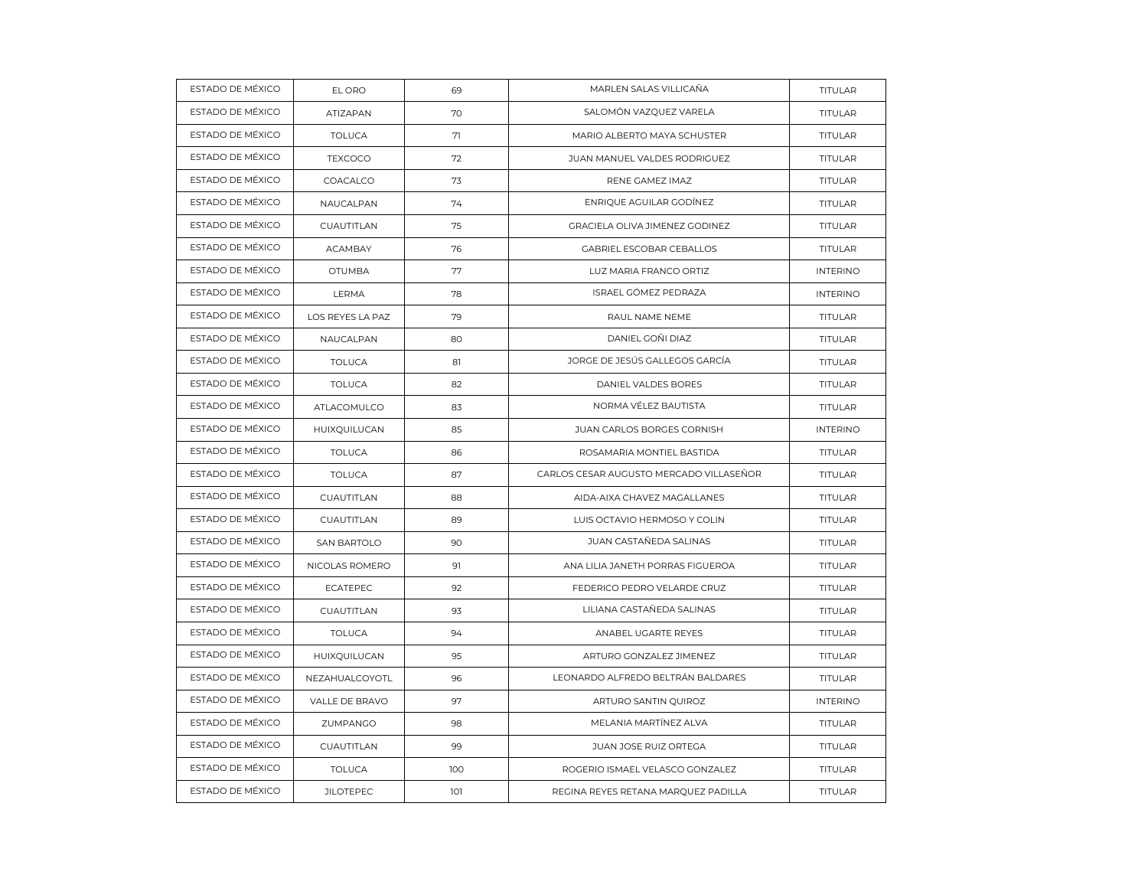| ESTADO DE MÉXICO | EL ORO             | 69  | MARLEN SALAS VILLICAÑA                  | TITULAR         |
|------------------|--------------------|-----|-----------------------------------------|-----------------|
| ESTADO DE MÉXICO | ATIZAPAN           | 70  | SALOMÓN VAZQUEZ VARELA                  | <b>TITULAR</b>  |
| ESTADO DE MÉXICO | <b>TOLUCA</b>      | 71  | MARIO ALBERTO MAYA SCHUSTER             | TITULAR         |
| ESTADO DE MÉXICO | <b>TEXCOCO</b>     | 72  | JUAN MANUEL VALDES RODRIGUEZ            | TITULAR         |
| ESTADO DE MÉXICO | COACALCO           | 73  | RENE GAMEZ IMAZ                         | <b>TITULAR</b>  |
| ESTADO DE MÉXICO | NAUCALPAN          | 74  | ENRIQUE AGUILAR GODÍNEZ                 | <b>TITULAR</b>  |
| ESTADO DE MÉXICO | CUAUTITLAN         | 75  | GRACIELA OLIVA JIMENEZ GODINEZ          | TITULAR         |
| ESTADO DE MÉXICO | ACAMBAY            | 76  | GABRIEL ESCOBAR CEBALLOS                | TITULAR         |
| ESTADO DE MÉXICO | <b>OTUMBA</b>      | 77  | LUZ MARIA FRANCO ORTIZ                  | <b>INTERINO</b> |
| ESTADO DE MÉXICO | <b>LERMA</b>       | 78  | ISRAEL GÓMEZ PEDRAZA                    | <b>INTERINO</b> |
| ESTADO DE MÉXICO | LOS REYES LA PAZ   | 79  | RAUL NAME NEME                          | TITULAR         |
| ESTADO DE MÉXICO | NAUCALPAN          | 80  | DANIEL GOÑI DIAZ                        | <b>TITULAR</b>  |
| ESTADO DE MÉXICO | <b>TOLUCA</b>      | 81  | JORGE DE JESÚS GALLEGOS GARCÍA          | <b>TITULAR</b>  |
| ESTADO DE MÉXICO | <b>TOLUCA</b>      | 82  | DANIEL VALDES BORES                     | TITULAR         |
| ESTADO DE MÉXICO | ATLACOMULCO        | 83  | NORMA VÉLEZ BAUTISTA                    | TITULAR         |
| ESTADO DE MÉXICO | HUIXQUILUCAN       | 85  | JUAN CARLOS BORGES CORNISH              | <b>INTERINO</b> |
| ESTADO DE MÉXICO | <b>TOLUCA</b>      | 86  | ROSAMARIA MONTIEL BASTIDA               | TITULAR         |
| ESTADO DE MÉXICO | <b>TOLUCA</b>      | 87  | CARLOS CESAR AUGUSTO MERCADO VILLASEÑOR | TITULAR         |
| ESTADO DE MÉXICO | CUAUTITLAN         | 88  | AIDA-AIXA CHAVEZ MAGALLANES             | TITULAR         |
| ESTADO DE MÉXICO | CUAUTITLAN         | 89  | LUIS OCTAVIO HERMOSO Y COLIN            | <b>TITULAR</b>  |
| ESTADO DE MÉXICO | <b>SAN BARTOLO</b> | 90  | JUAN CASTAÑEDA SALINAS                  | TITULAR         |
| ESTADO DE MÉXICO | NICOLAS ROMERO     | 91  | ANA LILIA JANETH PORRAS FIGUEROA        | TITULAR         |
| ESTADO DE MÉXICO | <b>ECATEPEC</b>    | 92  | FEDERICO PEDRO VELARDE CRUZ             | <b>TITULAR</b>  |
| ESTADO DE MÉXICO | CUAUTITLAN         | 93  | LILIANA CASTAÑEDA SALINAS               | TITULAR         |
| ESTADO DE MÉXICO | <b>TOLUCA</b>      | 94  | ANABEL UGARTE REYES                     | TITULAR         |
| ESTADO DE MÉXICO | HUIXQUILUCAN       | 95  | ARTURO GONZALEZ JIMENEZ                 | <b>TITULAR</b>  |
| ESTADO DE MÉXICO | NEZAHUALCOYOTL     | 96  | LEONARDO ALFREDO BELTRÁN BALDARES       | TITULAR         |
| ESTADO DE MÉXICO | VALLE DE BRAVO     | 97  | ARTURO SANTIN QUIROZ                    | <b>INTERINO</b> |
| ESTADO DE MÉXICO | ZUMPANGO           | 98  | MELANIA MARTÍNEZ ALVA                   | <b>TITULAR</b>  |
| ESTADO DE MÉXICO | CUAUTITLAN         | 99  | JUAN JOSE RUIZ ORTEGA                   | <b>TITULAR</b>  |
| ESTADO DE MÉXICO | <b>TOLUCA</b>      | 100 | ROGERIO ISMAEL VELASCO GONZALEZ         | TITULAR         |
| ESTADO DE MÉXICO | <b>JILOTEPEC</b>   | 101 | REGINA REYES RETANA MARQUEZ PADILLA     | TITULAR         |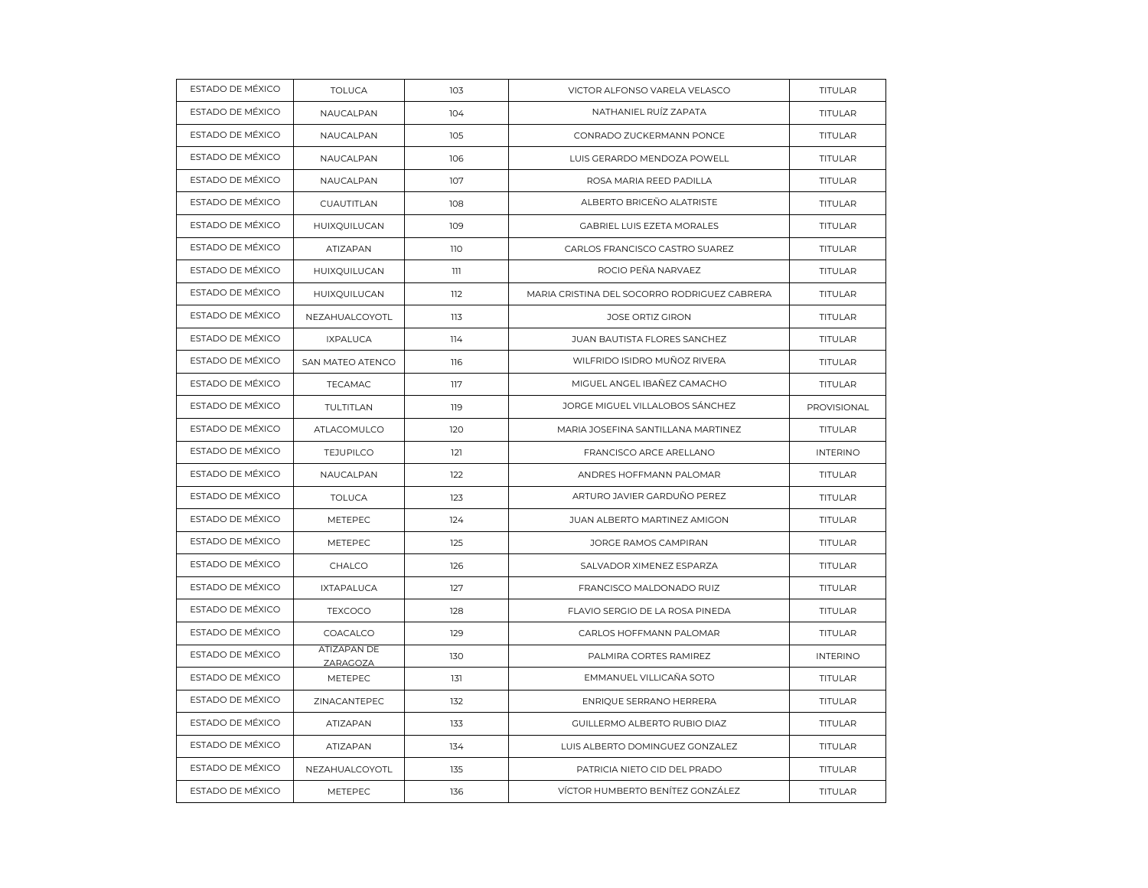| ESTADO DE MÉXICO | <b>TOLUCA</b>           | 103 | VICTOR ALFONSO VARELA VELASCO                | TITULAR         |
|------------------|-------------------------|-----|----------------------------------------------|-----------------|
| ESTADO DE MÉXICO | NAUCALPAN               | 104 | NATHANIEL RUÍZ ZAPATA                        | <b>TITULAR</b>  |
| ESTADO DE MÉXICO | NAUCALPAN               | 105 | CONRADO ZUCKERMANN PONCE                     | TITULAR         |
| ESTADO DE MÉXICO | NAUCALPAN               | 106 | LUIS GERARDO MENDOZA POWELL                  | TITULAR         |
| ESTADO DE MÉXICO | NAUCALPAN               | 107 | ROSA MARIA REED PADILLA                      | <b>TITULAR</b>  |
| ESTADO DE MÉXICO | CUAUTITLAN              | 108 | ALBERTO BRICEÑO ALATRISTE                    | <b>TITULAR</b>  |
| ESTADO DE MÉXICO | HUIXQUILUCAN            | 109 | GABRIEL LUIS EZETA MORALES                   | TITULAR         |
| ESTADO DE MÉXICO | ATIZAPAN                | 110 | CARLOS FRANCISCO CASTRO SUAREZ               | TITULAR         |
| ESTADO DE MÉXICO | HUIXQUILUCAN            | 111 | ROCIO PEÑA NARVAEZ                           | <b>TITULAR</b>  |
| ESTADO DE MÉXICO | HUIXQUILUCAN            | 112 | MARIA CRISTINA DEL SOCORRO RODRIGUEZ CABRERA | TITULAR         |
| ESTADO DE MÉXICO | NEZAHUALCOYOTL          | 113 | JOSE ORTIZ GIRON                             | TITULAR         |
| ESTADO DE MÉXICO | <b>IXPALUCA</b>         | 114 | JUAN BAUTISTA FLORES SANCHEZ                 | <b>TITULAR</b>  |
| ESTADO DE MÉXICO | SAN MATEO ATENCO        | 116 | WILFRIDO ISIDRO MUÑOZ RIVERA                 | <b>TITULAR</b>  |
| ESTADO DE MÉXICO | <b>TECAMAC</b>          | 117 | MIGUEL ANGEL IBAÑEZ CAMACHO                  | <b>TITULAR</b>  |
| ESTADO DE MÉXICO | TULTITLAN               | 119 | JORGE MIGUEL VILLALOBOS SÁNCHEZ              | PROVISIONAL     |
| ESTADO DE MÉXICO | ATLACOMULCO             | 120 | MARIA JOSEFINA SANTILLANA MARTINEZ           | <b>TITULAR</b>  |
| ESTADO DE MÉXICO | <b>TEJUPILCO</b>        | 121 | FRANCISCO ARCE ARELLANO                      | <b>INTERINO</b> |
| ESTADO DE MÉXICO | NAUCALPAN               | 122 | ANDRES HOFFMANN PALOMAR                      | TITULAR         |
| ESTADO DE MÉXICO | <b>TOLUCA</b>           | 123 | ARTURO JAVIER GARDUÑO PEREZ                  | TITULAR         |
| ESTADO DE MÉXICO | METEPEC                 | 124 | JUAN ALBERTO MARTINEZ AMIGON                 | <b>TITULAR</b>  |
| ESTADO DE MÉXICO | METEPEC                 | 125 | JORGE RAMOS CAMPIRAN                         | TITULAR         |
| ESTADO DE MÉXICO | CHALCO                  | 126 | SALVADOR XIMENEZ ESPARZA                     | TITULAR         |
| ESTADO DE MÉXICO | <b>IXTAPALUCA</b>       | 127 | FRANCISCO MALDONADO RUIZ                     | <b>TITULAR</b>  |
| ESTADO DE MÉXICO | <b>TEXCOCO</b>          | 128 | FLAVIO SERGIO DE LA ROSA PINEDA              | TITULAR         |
| ESTADO DE MÉXICO | COACALCO                | 129 | CARLOS HOFFMANN PALOMAR                      | TITULAR         |
| ESTADO DE MÉXICO | ATIZAPAN DE<br>ZARAGOZA | 130 | PALMIRA CORTES RAMIREZ                       | <b>INTERINO</b> |
| ESTADO DE MÉXICO | <b>METEPEC</b>          | 131 | EMMANUEL VILLICAÑA SOTO                      | TITULAR         |
| ESTADO DE MÉXICO | ZINACANTEPEC            | 132 | ENRIQUE SERRANO HERRERA                      | TITULAR         |
| ESTADO DE MÉXICO | ATIZAPAN                | 133 | GUILLERMO ALBERTO RUBIO DIAZ                 | <b>TITULAR</b>  |
| ESTADO DE MÉXICO | ATIZAPAN                | 134 | LUIS ALBERTO DOMINGUEZ GONZALEZ              | <b>TITULAR</b>  |
| ESTADO DE MÉXICO | NEZAHUALCOYOTL          | 135 | PATRICIA NIETO CID DEL PRADO                 | TITULAR         |
| ESTADO DE MÉXICO | METEPEC                 | 136 | VÍCTOR HUMBERTO BENÍTEZ GONZÁLEZ             | TITULAR         |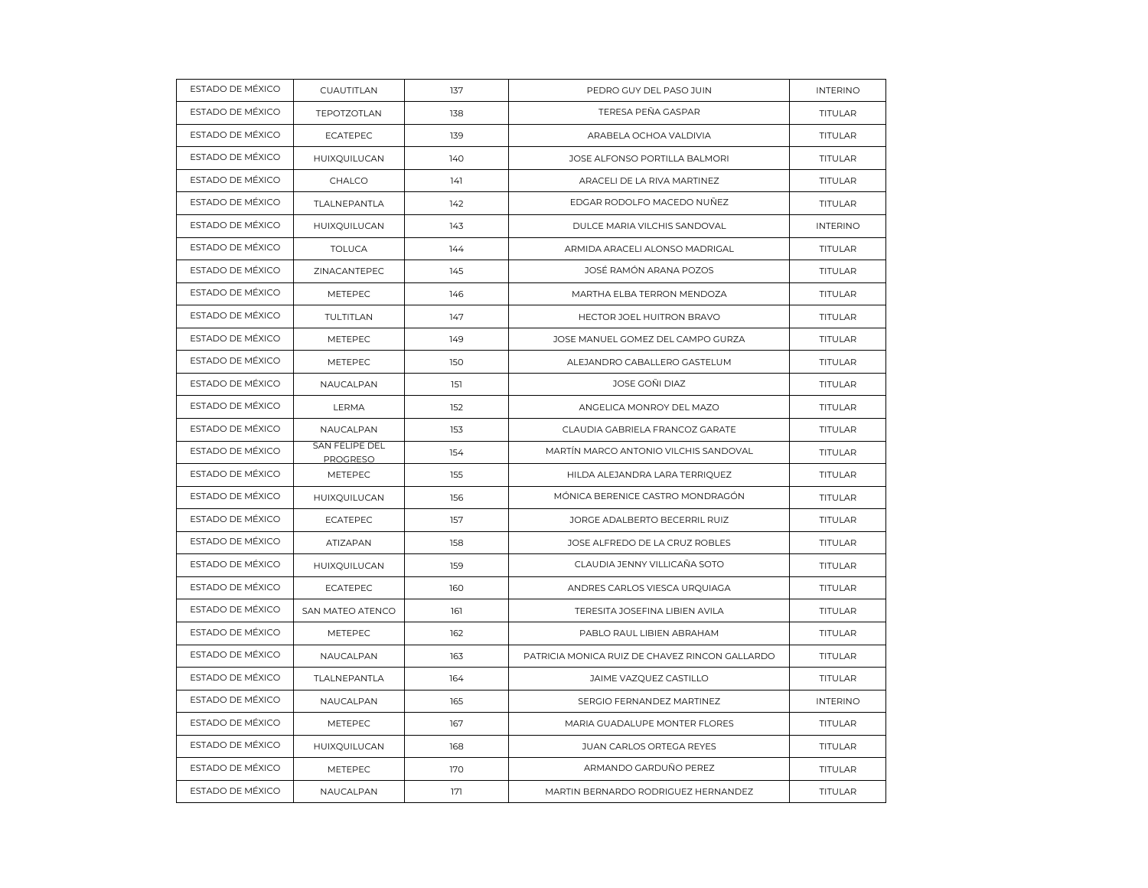| ESTADO DE MÉXICO | CUAUTITLAN                        | 137 | PEDRO GUY DEL PASO JUIN                        | <b>INTERINO</b> |
|------------------|-----------------------------------|-----|------------------------------------------------|-----------------|
| ESTADO DE MÉXICO | <b>TEPOTZOTLAN</b>                | 138 | TERESA PEÑA GASPAR                             | TITULAR         |
| ESTADO DE MÉXICO | <b>ECATEPEC</b>                   | 139 | ARABELA OCHOA VALDIVIA                         | TITULAR         |
| ESTADO DE MÉXICO | HUIXQUILUCAN                      | 140 | JOSE ALFONSO PORTILLA BALMORI                  | <b>TITULAR</b>  |
| ESTADO DE MÉXICO | CHALCO                            | 141 | ARACELI DE LA RIVA MARTINEZ                    | TITULAR         |
| ESTADO DE MÉXICO | TLALNEPANTLA                      | 142 | EDGAR RODOLFO MACEDO NUÑEZ                     | TITULAR         |
| ESTADO DE MÉXICO | HUIXQUILUCAN                      | 143 | DULCE MARIA VILCHIS SANDOVAL                   | <b>INTERINO</b> |
| ESTADO DE MÉXICO | <b>TOLUCA</b>                     | 144 | ARMIDA ARACELI ALONSO MADRIGAL                 | TITULAR         |
| ESTADO DE MÉXICO | ZINACANTEPEC                      | 145 | JOSÉ RAMÓN ARANA POZOS                         | TITULAR         |
| ESTADO DE MÉXICO | METEPEC                           | 146 | MARTHA ELBA TERRON MENDOZA                     | <b>TITULAR</b>  |
| ESTADO DE MÉXICO | TULTITLAN                         | 147 | HECTOR JOEL HUITRON BRAVO                      | TITULAR         |
| ESTADO DE MÉXICO | METEPEC                           | 149 | JOSE MANUEL GOMEZ DEL CAMPO GURZA              | TITULAR         |
| ESTADO DE MÉXICO | METEPEC                           | 150 | ALEJANDRO CABALLERO GASTELUM                   | <b>TITULAR</b>  |
| ESTADO DE MÉXICO | NAUCALPAN                         | 151 | JOSE GOÑI DIAZ                                 | TITULAR         |
| ESTADO DE MÉXICO | LERMA                             | 152 | ANGELICA MONROY DEL MAZO                       | TITULAR         |
| ESTADO DE MÉXICO | NAUCALPAN                         | 153 | CLAUDIA GABRIELA FRANCOZ GARATE                | <b>TITULAR</b>  |
| ESTADO DE MÉXICO | SAN FELIPE DEL<br><b>PROGRESO</b> | 154 | MARTÍN MARCO ANTONIO VILCHIS SANDOVAL          | <b>TITULAR</b>  |
| ESTADO DE MÉXICO | METEPEC                           | 155 | HILDA ALEJANDRA LARA TERRIQUEZ                 | TITULAR         |
| ESTADO DE MÉXICO | HUIXQUILUCAN                      | 156 | MÓNICA BERENICE CASTRO MONDRAGÓN               | <b>TITULAR</b>  |
| ESTADO DE MÉXICO | <b>ECATEPEC</b>                   | 157 | JORGE ADALBERTO BECERRIL RUIZ                  | <b>TITULAR</b>  |
| ESTADO DE MÉXICO | ATIZAPAN                          | 158 | JOSE ALFREDO DE LA CRUZ ROBLES                 | <b>TITULAR</b>  |
| ESTADO DE MÉXICO | HUIXQUILUCAN                      | 159 | CLAUDIA JENNY VILLICAÑA SOTO                   | <b>TITULAR</b>  |
| ESTADO DE MÉXICO | <b>ECATEPEC</b>                   | 160 | ANDRES CARLOS VIESCA URQUIAGA                  | <b>TITULAR</b>  |
| ESTADO DE MÉXICO | SAN MATEO ATENCO                  | 161 | TERESITA JOSEFINA LIBIEN AVILA                 | TITULAR         |
| ESTADO DE MÉXICO | METEPEC                           | 162 | PABLO RAUL LIBIEN ABRAHAM                      | <b>TITULAR</b>  |
| ESTADO DE MÉXICO | NAUCALPAN                         | 163 | PATRICIA MONICA RUIZ DE CHAVEZ RINCON GALLARDO | TITULAR         |
| ESTADO DE MÉXICO | TLALNEPANTLA                      | 164 | JAIME VAZQUEZ CASTILLO                         | <b>TITULAR</b>  |
| ESTADO DE MÉXICO | NAUCALPAN                         | 165 | SERGIO FERNANDEZ MARTINEZ                      | <b>INTERINO</b> |
| ESTADO DE MÉXICO | METEPEC                           | 167 | MARIA GUADALUPE MONTER FLORES                  | <b>TITULAR</b>  |
| ESTADO DE MÉXICO | HUIXQUILUCAN                      | 168 | JUAN CARLOS ORTEGA REYES                       | <b>TITULAR</b>  |
| ESTADO DE MÉXICO | METEPEC                           | 170 | ARMANDO GARDUÑO PEREZ                          | TITULAR         |
| ESTADO DE MÉXICO | NAUCALPAN                         | 171 | MARTIN BERNARDO RODRIGUEZ HERNANDEZ            | TITULAR         |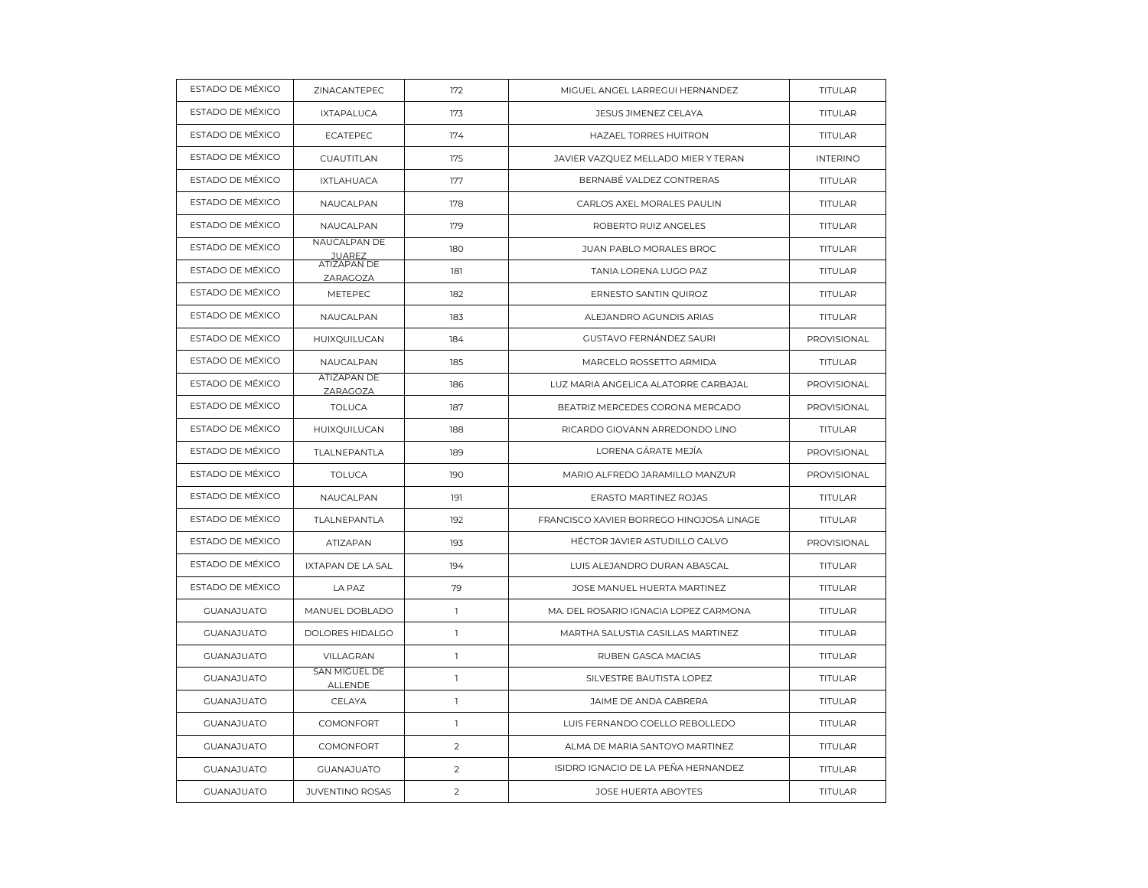| ESTADO DE MÉXICO  | ZINACANTEPEC                    | 172            | MIGUEL ANGEL LARREGUI HERNANDEZ          | TITULAR         |
|-------------------|---------------------------------|----------------|------------------------------------------|-----------------|
| ESTADO DE MÉXICO  | <b>IXTAPALUCA</b>               | 173            | JESUS JIMENEZ CELAYA                     | <b>TITULAR</b>  |
| ESTADO DE MÉXICO  | <b>ECATEPEC</b>                 | 174            | <b>HAZAEL TORRES HUITRON</b>             | TITULAR         |
| ESTADO DE MÉXICO  | CUAUTITLAN                      | 175            | JAVIER VAZQUEZ MELLADO MIER Y TERAN      | <b>INTERINO</b> |
| ESTADO DE MÉXICO  | <b>IXTLAHUACA</b>               | 177            | BERNABÉ VALDEZ CONTRERAS                 | <b>TITULAR</b>  |
| ESTADO DE MÉXICO  | NAUCALPAN                       | 178            | CARLOS AXEL MORALES PAULIN               | TITULAR         |
| ESTADO DE MÉXICO  | NAUCALPAN                       | 179            | ROBERTO RUIZ ANGELES                     | <b>TITULAR</b>  |
| ESTADO DE MÉXICO  | NAUCALPAN DE<br><b>JUAREZ</b>   | 180            | JUAN PABLO MORALES BROC                  | <b>TITULAR</b>  |
| ESTADO DE MÉXICO  | <b>ATIZAPAN DE</b><br>ZARAGOZA  | 181            | TANIA LORENA LUGO PAZ                    | <b>TITULAR</b>  |
| ESTADO DE MÉXICO  | METEPEC                         | 182            | ERNESTO SANTIN QUIROZ                    | <b>TITULAR</b>  |
| ESTADO DE MÉXICO  | NAUCALPAN                       | 183            | ALEJANDRO AGUNDIS ARIAS                  | TITULAR         |
| ESTADO DE MÉXICO  | HUIXQUILUCAN                    | 184            | GUSTAVO FERNÁNDEZ SAURI                  | PROVISIONAL     |
| ESTADO DE MÉXICO  | NAUCALPAN                       | 185            | MARCELO ROSSETTO ARMIDA                  | <b>TITULAR</b>  |
| ESTADO DE MÉXICO  | <b>ATIZAPAN DE</b><br>ZARAGOZA  | 186            | LUZ MARIA ANGELICA ALATORRE CARBAJAL     | PROVISIONAL     |
| ESTADO DE MÉXICO  | <b>TOLUCA</b>                   | 187            | BEATRIZ MERCEDES CORONA MERCADO          | PROVISIONAL     |
| ESTADO DE MÉXICO  | HUIXQUILUCAN                    | 188            | RICARDO GIOVANN ARREDONDO LINO           | <b>TITULAR</b>  |
| ESTADO DE MÉXICO  | TLALNEPANTLA                    | 189            | LORENA GÁRATE MEJÍA                      | PROVISIONAL     |
| ESTADO DE MÉXICO  | <b>TOLUCA</b>                   | 190            | MARIO ALFREDO JARAMILLO MANZUR           | PROVISIONAL     |
| ESTADO DE MÉXICO  | NAUCALPAN                       | 191            | ERASTO MARTINEZ ROJAS                    | <b>TITULAR</b>  |
| ESTADO DE MÉXICO  | TLALNEPANTLA                    | 192            | FRANCISCO XAVIER BORREGO HINOJOSA LINAGE | <b>TITULAR</b>  |
| ESTADO DE MÉXICO  | ATIZAPAN                        | 193            | HÉCTOR JAVIER ASTUDILLO CALVO            | PROVISIONAL     |
| ESTADO DE MÉXICO  | IXTAPAN DE LA SAL               | 194            | LUIS ALEJANDRO DURAN ABASCAL             | TITULAR         |
| ESTADO DE MÉXICO  | LA PAZ                          | 79             | JOSE MANUEL HUERTA MARTINEZ              | <b>TITULAR</b>  |
| <b>GUANAJUATO</b> | MANUEL DOBLADO                  | $\mathbf{1}$   | MA. DEL ROSARIO IGNACIA LOPEZ CARMONA    | <b>TITULAR</b>  |
| <b>GUANAJUATO</b> | DOLORES HIDALGO                 | $\mathbf{1}$   | MARTHA SALUSTIA CASILLAS MARTINEZ        | TITULAR         |
| <b>GUANAJUATO</b> | VILLAGRAN                       | $\mathbb{I}$   | RUBEN GASCA MACIAS                       | <b>TITULAR</b>  |
| <b>GUANAJUATO</b> | SAN MIGUEL DE<br><b>ALLENDE</b> | $\mathbf{1}$   | SILVESTRE BAUTISTA LOPEZ                 | TITULAR         |
| <b>GUANAJUATO</b> | CELAYA                          | $\mathbf{1}$   | JAIME DE ANDA CABRERA                    | <b>TITULAR</b>  |
| <b>GUANAJUATO</b> | COMONFORT                       | $\mathbf{1}$   | LUIS FERNANDO COELLO REBOLLEDO           | <b>TITULAR</b>  |
| <b>GUANAJUATO</b> | COMONFORT                       | 2              | ALMA DE MARIA SANTOYO MARTINEZ           | <b>TITULAR</b>  |
| <b>GUANAJUATO</b> | <b>GUANAJUATO</b>               | $\overline{2}$ | ISIDRO IGNACIO DE LA PEÑA HERNANDEZ      | <b>TITULAR</b>  |
| <b>GUANAJUATO</b> | <b>JUVENTINO ROSAS</b>          | 2              | <b>JOSE HUERTA ABOYTES</b>               | <b>TITULAR</b>  |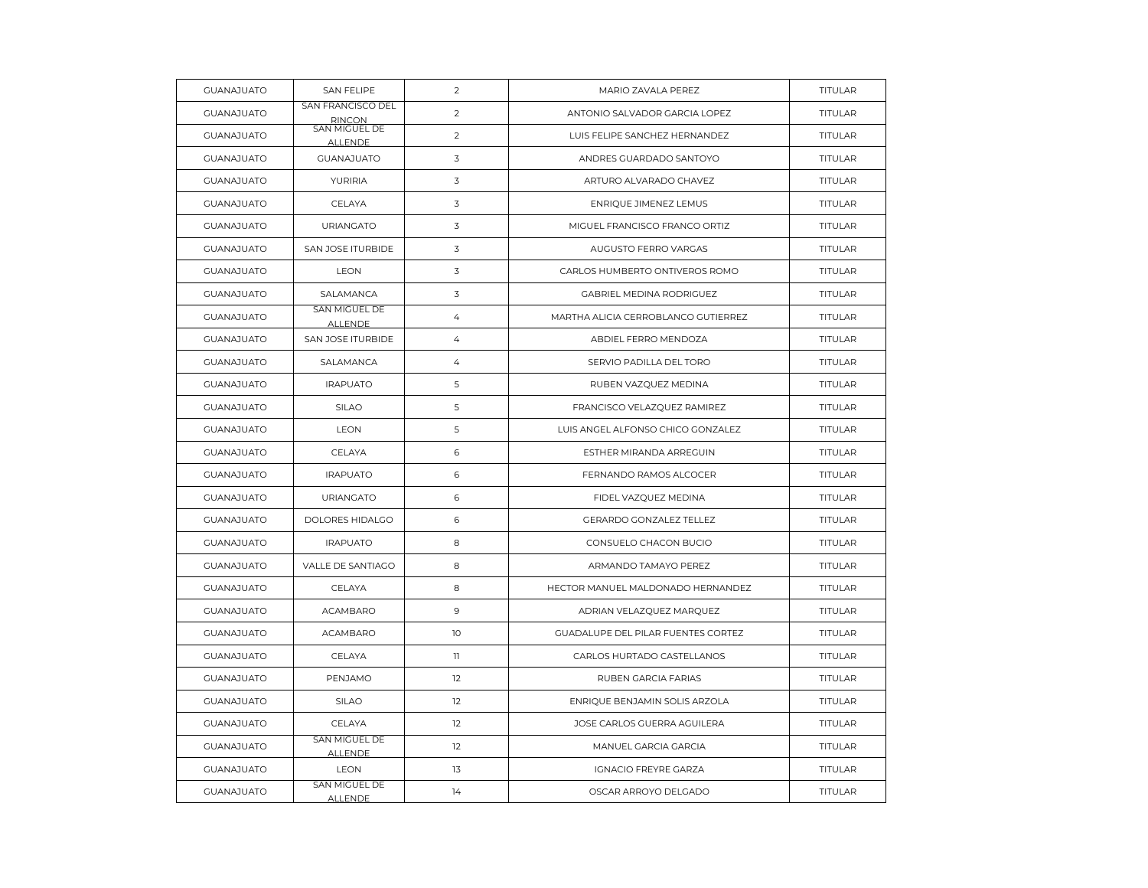| <b>GUANAJUATO</b> | <b>SAN FELIPE</b>                  | $\overline{2}$ | MARIO ZAVALA PEREZ                  | TITULAR        |
|-------------------|------------------------------------|----------------|-------------------------------------|----------------|
| <b>GUANAJUATO</b> | SAN FRANCISCO DEL<br><b>RINCON</b> | 2              | ANTONIO SALVADOR GARCIA LOPEZ       | <b>TITULAR</b> |
| <b>GUANAJUATO</b> | SAN MIGUEL DE<br><b>ALLENDE</b>    | $\overline{2}$ | LUIS FELIPE SANCHEZ HERNANDEZ       | <b>TITULAR</b> |
| <b>GUANAJUATO</b> | <b>GUANAJUATO</b>                  | 3              | ANDRES GUARDADO SANTOYO             | TITULAR        |
| <b>GUANAJUATO</b> | <b>YURIRIA</b>                     | 3              | ARTURO ALVARADO CHAVEZ              | <b>TITULAR</b> |
| <b>GUANAJUATO</b> | CELAYA                             | $\overline{3}$ | ENRIQUE JIMENEZ LEMUS               | <b>TITULAR</b> |
| <b>GUANAJUATO</b> | <b>URIANGATO</b>                   | 3              | MIGUEL FRANCISCO FRANCO ORTIZ       | TITULAR        |
| <b>GUANAJUATO</b> | SAN JOSE ITURBIDE                  | 3              | AUGUSTO FERRO VARGAS                | <b>TITULAR</b> |
| <b>GUANAJUATO</b> | <b>LEON</b>                        | 3              | CARLOS HUMBERTO ONTIVEROS ROMO      | <b>TITULAR</b> |
| <b>GUANAJUATO</b> | SALAMANCA                          | 3              | GABRIEL MEDINA RODRIGUEZ            | TITULAR        |
| <b>GUANAJUATO</b> | SAN MIGUEL DE<br><b>ALLENDE</b>    | 4              | MARTHA ALICIA CERROBLANCO GUTIERREZ | <b>TITULAR</b> |
| <b>GUANAJUATO</b> | SAN JOSE ITURBIDE                  | $\overline{4}$ | ABDIEL FERRO MENDOZA                | <b>TITULAR</b> |
| <b>GUANAJUATO</b> | SALAMANCA                          | $\overline{4}$ | SERVIO PADILLA DEL TORO             | TITULAR        |
| <b>GUANAJUATO</b> | <b>IRAPUATO</b>                    | 5              | RUBEN VAZQUEZ MEDINA                | TITULAR        |
| <b>GUANAJUATO</b> | SILAO                              | 5              | FRANCISCO VELAZQUEZ RAMIREZ         | <b>TITULAR</b> |
| <b>GUANAJUATO</b> | <b>LEON</b>                        | 5              | LUIS ANGEL ALFONSO CHICO GONZALEZ   | <b>TITULAR</b> |
| <b>GUANAJUATO</b> | CELAYA                             | 6              | ESTHER MIRANDA ARREGUIN             | TITULAR        |
| <b>GUANAJUATO</b> | <b>IRAPUATO</b>                    | 6              | FERNANDO RAMOS ALCOCER              | <b>TITULAR</b> |
| <b>GUANAJUATO</b> | <b>URIANGATO</b>                   | 6              | FIDEL VAZQUEZ MEDINA                | <b>TITULAR</b> |
| <b>GUANAJUATO</b> | DOLORES HIDALGO                    | 6              | GERARDO GONZALEZ TELLEZ             | TITULAR        |
| <b>GUANAJUATO</b> | <b>IRAPUATO</b>                    | 8              | CONSUELO CHACON BUCIO               | <b>TITULAR</b> |
| <b>GUANAJUATO</b> | <b>VALLE DE SANTIAGO</b>           | 8              | ARMANDO TAMAYO PEREZ                | <b>TITULAR</b> |
| <b>GUANAJUATO</b> | CELAYA                             | 8              | HECTOR MANUEL MALDONADO HERNANDEZ   | TITULAR        |
| <b>GUANAJUATO</b> | <b>ACAMBARO</b>                    | 9              | ADRIAN VELAZQUEZ MARQUEZ            | <b>TITULAR</b> |
| <b>GUANAJUATO</b> | <b>ACAMBARO</b>                    | 10             | GUADALUPE DEL PILAR FUENTES CORTEZ  | <b>TITULAR</b> |
| <b>GUANAJUATO</b> | CELAYA                             | $\mathbf{1}$   | CARLOS HURTADO CASTELLANOS          | TITULAR        |
| <b>GUANAJUATO</b> | PENJAMO                            | 12             | RUBEN GARCIA FARIAS                 | <b>TITULAR</b> |
| <b>GUANAJUATO</b> | SILAO                              | 12             | ENRIQUE BENJAMIN SOLIS ARZOLA       | TITULAR        |
| <b>GUANAJUATO</b> | CELAYA                             | 12             | JOSE CARLOS GUERRA AGUILERA         | TITULAR        |
| <b>GUANAJUATO</b> | SAN MIGUEL DE<br><b>ALLENDE</b>    | 12             | MANUEL GARCIA GARCIA                | <b>TITULAR</b> |
| <b>GUANAJUATO</b> | <b>LEON</b>                        | 13             | <b>IGNACIO FREYRE GARZA</b>         | TITULAR        |
| <b>GUANAJUATO</b> | SAN MIGUEL DE<br><b>ALLENDE</b>    | 14             | OSCAR ARROYO DELGADO                | <b>TITULAR</b> |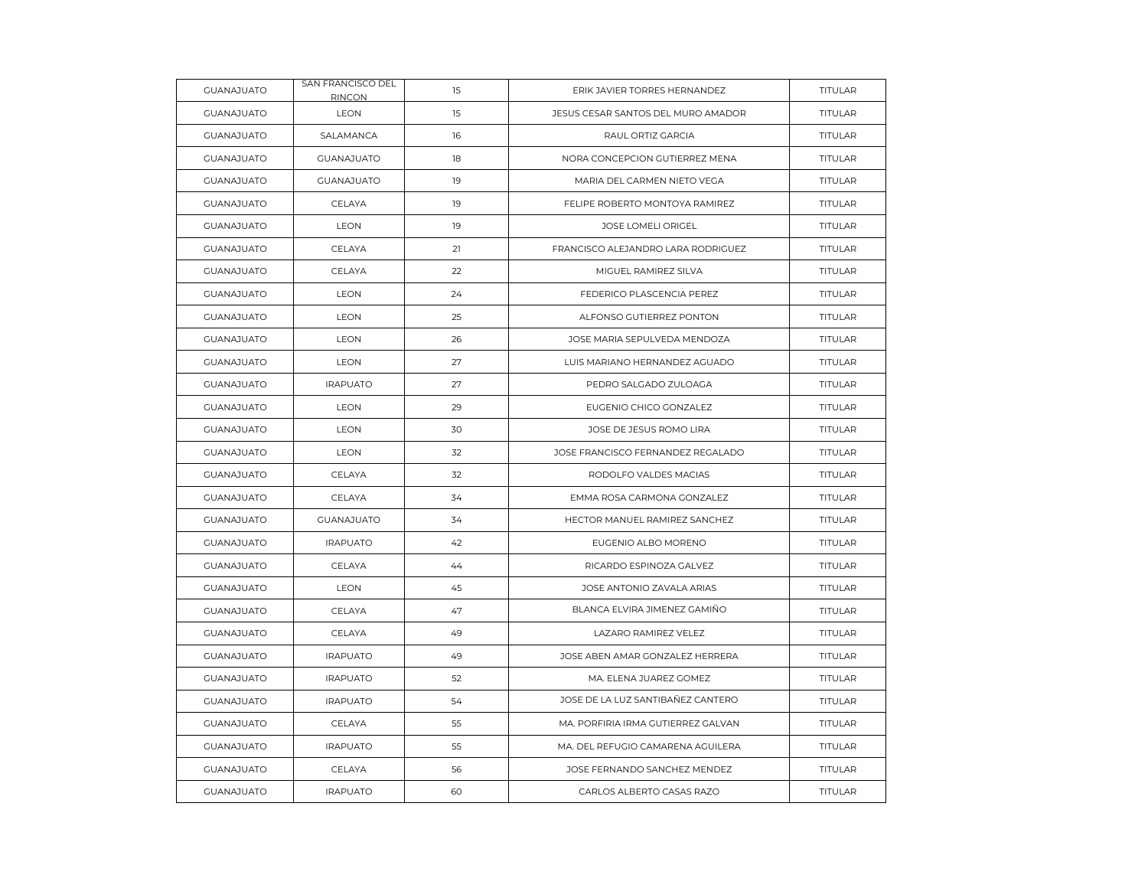| <b>GUANAJUATO</b> | SAN FRANCISCO DEL<br>RINCON | 15 | ERIK JAVIER TORRES HERNANDEZ       | TITULAR        |
|-------------------|-----------------------------|----|------------------------------------|----------------|
| <b>GUANAJUATO</b> | LEON                        | 15 | JESUS CESAR SANTOS DEL MURO AMADOR | <b>TITULAR</b> |
| <b>GUANAJUATO</b> | SALAMANCA                   | 16 | RAUL ORTIZ GARCIA                  | TITULAR        |
| <b>GUANAJUATO</b> | <b>GUANAJUATO</b>           | 18 | NORA CONCEPCION GUTIERREZ MENA     | TITULAR        |
| <b>GUANAJUATO</b> | <b>GUANAJUATO</b>           | 19 | MARIA DEL CARMEN NIETO VEGA        | <b>TITULAR</b> |
| <b>GUANAJUATO</b> | CELAYA                      | 19 | FELIPE ROBERTO MONTOYA RAMIREZ     | <b>TITULAR</b> |
| <b>GUANAJUATO</b> | LEON                        | 19 | JOSE LOMELI ORIGEL                 | TITULAR        |
| <b>GUANAJUATO</b> | CELAYA                      | 21 | FRANCISCO ALEJANDRO LARA RODRIGUEZ | <b>TITULAR</b> |
| <b>GUANAJUATO</b> | CELAYA                      | 22 | MIGUEL RAMIREZ SILVA               | <b>TITULAR</b> |
| <b>GUANAJUATO</b> | LEON                        | 24 | FEDERICO PLASCENCIA PEREZ          | TITULAR        |
| <b>GUANAJUATO</b> | <b>LEON</b>                 | 25 | ALFONSO GUTIERREZ PONTON           | <b>TITULAR</b> |
| <b>GUANAJUATO</b> | <b>LEON</b>                 | 26 | JOSE MARIA SEPULVEDA MENDOZA       | <b>TITULAR</b> |
| <b>GUANAJUATO</b> | <b>LEON</b>                 | 27 | LUIS MARIANO HERNANDEZ AGUADO      | <b>TITULAR</b> |
| <b>GUANAJUATO</b> | <b>IRAPUATO</b>             | 27 | PEDRO SALGADO ZULOAGA              | <b>TITULAR</b> |
| <b>GUANAJUATO</b> | <b>LEON</b>                 | 29 | EUGENIO CHICO GONZALEZ             | TITULAR        |
| <b>GUANAJUATO</b> | <b>LEON</b>                 | 30 | JOSE DE JESUS ROMO LIRA            | <b>TITULAR</b> |
| <b>GUANAJUATO</b> | <b>LEON</b>                 | 32 | JOSE FRANCISCO FERNANDEZ REGALADO  | <b>TITULAR</b> |
| <b>GUANAJUATO</b> | CELAYA                      | 32 | RODOLFO VALDES MACIAS              | TITULAR        |
| <b>GUANAJUATO</b> | CELAYA                      | 34 | EMMA ROSA CARMONA GONZALEZ         | <b>TITULAR</b> |
| <b>GUANAJUATO</b> | <b>GUANAJUATO</b>           | 34 | HECTOR MANUEL RAMIREZ SANCHEZ      | <b>TITULAR</b> |
| <b>GUANAJUATO</b> | <b>IRAPUATO</b>             | 42 | EUGENIO ALBO MORENO                | TITULAR        |
| <b>GUANAJUATO</b> | CELAYA                      | 44 | RICARDO ESPINOZA GALVEZ            | TITULAR        |
| <b>GUANAJUATO</b> | <b>LEON</b>                 | 45 | JOSE ANTONIO ZAVALA ARIAS          | <b>TITULAR</b> |
| <b>GUANAJUATO</b> | CELAYA                      | 47 | BLANCA ELVIRA JIMENEZ GAMIÑO       | <b>TITULAR</b> |
| <b>GUANAJUATO</b> | CELAYA                      | 49 | LAZARO RAMIREZ VELEZ               | TITULAR        |
| <b>GUANAJUATO</b> | <b>IRAPUATO</b>             | 49 | JOSE ABEN AMAR GONZALEZ HERRERA    | <b>TITULAR</b> |
| <b>GUANAJUATO</b> | <b>IRAPUATO</b>             | 52 | MA. ELENA JUAREZ GOMEZ             | TITULAR        |
| <b>GUANAJUATO</b> | <b>IRAPUATO</b>             | 54 | JOSE DE LA LUZ SANTIBAÑEZ CANTERO  | TITULAR        |
| <b>GUANAJUATO</b> | CELAYA                      | 55 | MA. PORFIRIA IRMA GUTIERREZ GALVAN | <b>TITULAR</b> |
| <b>GUANAJUATO</b> | <b>IRAPUATO</b>             | 55 | MA. DEL REFUGIO CAMARENA AGUILERA  | <b>TITULAR</b> |
| <b>GUANAJUATO</b> | CELAYA                      | 56 | JOSE FERNANDO SANCHEZ MENDEZ       | TITULAR        |
| <b>GUANAJUATO</b> | <b>IRAPUATO</b>             | 60 | CARLOS ALBERTO CASAS RAZO          | TITULAR        |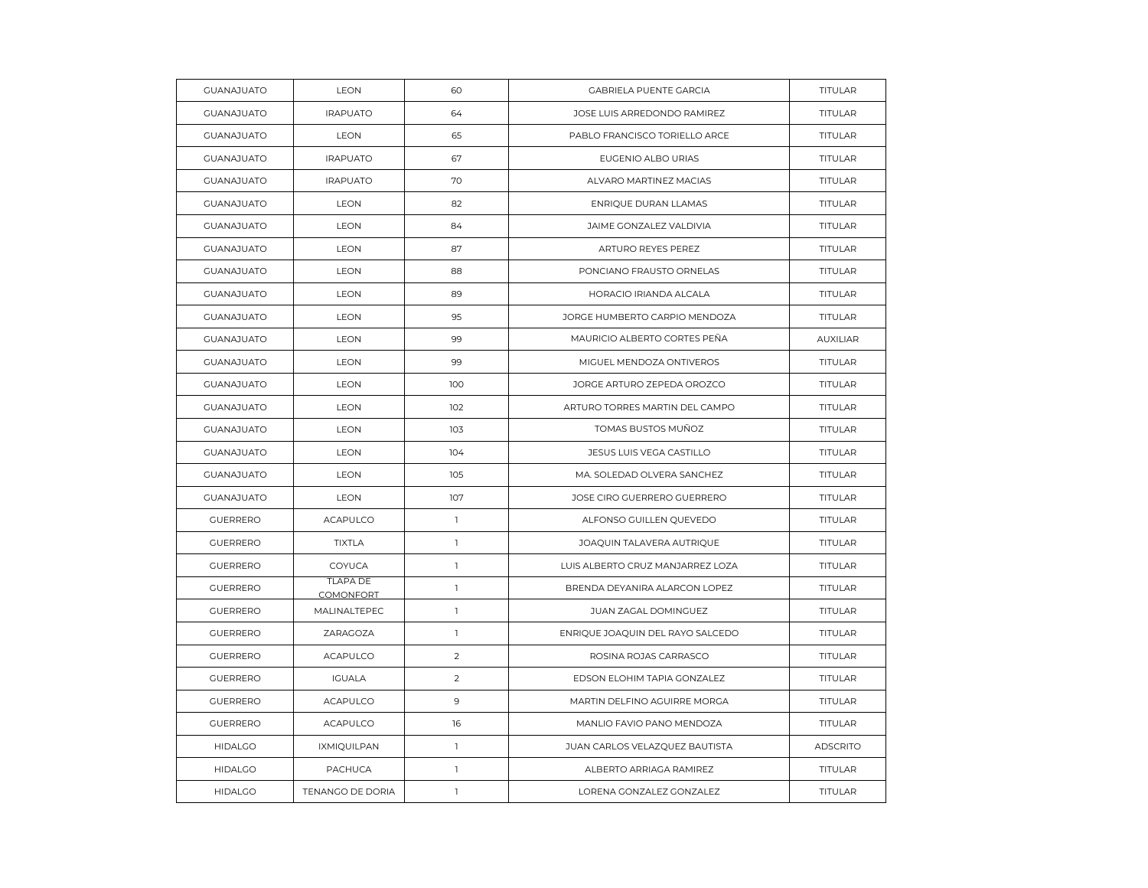| <b>GUANAJUATO</b> | LEON                                | 60             | GABRIELA PUENTE GARCIA           | TITULAR         |
|-------------------|-------------------------------------|----------------|----------------------------------|-----------------|
| <b>GUANAJUATO</b> | <b>IRAPUATO</b>                     | 64             | JOSE LUIS ARREDONDO RAMIREZ      | <b>TITULAR</b>  |
| <b>GUANAJUATO</b> | <b>LEON</b>                         | 65             | PABLO FRANCISCO TORIELLO ARCE    | TITULAR         |
| <b>GUANAJUATO</b> | <b>IRAPUATO</b>                     | 67             | EUGENIO ALBO URIAS               | TITULAR         |
| <b>GUANAJUATO</b> | <b>IRAPUATO</b>                     | 70             | ALVARO MARTINEZ MACIAS           | <b>TITULAR</b>  |
| <b>GUANAJUATO</b> | <b>LEON</b>                         | 82             | ENRIQUE DURAN LLAMAS             | <b>TITULAR</b>  |
| <b>GUANAJUATO</b> | LEON                                | 84             | JAIME GONZALEZ VALDIVIA          | TITULAR         |
| <b>GUANAJUATO</b> | LEON                                | 87             | ARTURO REYES PEREZ               | TITULAR         |
| <b>GUANAJUATO</b> | <b>LEON</b>                         | 88             | PONCIANO FRAUSTO ORNELAS         | <b>TITULAR</b>  |
| <b>GUANAJUATO</b> | LEON                                | 89             | HORACIO IRIANDA ALCALA           | <b>TITULAR</b>  |
| <b>GUANAJUATO</b> | LEON                                | 95             | JORGE HUMBERTO CARPIO MENDOZA    | TITULAR         |
| <b>GUANAJUATO</b> | <b>LEON</b>                         | 99             | MAURICIO ALBERTO CORTES PEÑA     | <b>AUXILIAR</b> |
| <b>GUANAJUATO</b> | <b>LEON</b>                         | 99             | MIGUEL MENDOZA ONTIVEROS         | <b>TITULAR</b>  |
| <b>GUANAJUATO</b> | <b>LEON</b>                         | 100            | JORGE ARTURO ZEPEDA OROZCO       | <b>TITULAR</b>  |
| <b>GUANAJUATO</b> | LEON                                | 102            | ARTURO TORRES MARTIN DEL CAMPO   | TITULAR         |
| <b>GUANAJUATO</b> | <b>LEON</b>                         | 103            | TOMAS BUSTOS MUÑOZ               | <b>TITULAR</b>  |
| <b>GUANAJUATO</b> | <b>LEON</b>                         | 104            | JESUS LUIS VEGA CASTILLO         | <b>TITULAR</b>  |
| <b>GUANAJUATO</b> | <b>LEON</b>                         | 105            | MA. SOLEDAD OLVERA SANCHEZ       | TITULAR         |
| <b>GUANAJUATO</b> | <b>LEON</b>                         | 107            | JOSE CIRO GUERRERO GUERRERO      | TITULAR         |
| <b>GUERRERO</b>   | <b>ACAPULCO</b>                     | $\mathbb{I}$   | ALFONSO GUILLEN QUEVEDO          | <b>TITULAR</b>  |
| <b>GUERRERO</b>   | <b>TIXTLA</b>                       | $\mathbf{1}$   | JOAQUIN TALAVERA AUTRIQUE        | <b>TITULAR</b>  |
| <b>GUERRERO</b>   | COYUCA                              | $\mathbf{1}$   | LUIS ALBERTO CRUZ MANJARREZ LOZA | TITULAR         |
| <b>GUERRERO</b>   | <b>TLAPA DE</b><br><b>COMONFORT</b> | $\mathbf{1}$   | BRENDA DEYANIRA ALARCON LOPEZ    | <b>TITULAR</b>  |
| <b>GUERRERO</b>   | MALINALTEPEC                        | $\mathbf{1}$   | JUAN ZAGAL DOMINGUEZ             | TITULAR         |
| <b>GUERRERO</b>   | ZARAGOZA                            | $\mathbf{1}$   | ENRIQUE JOAQUIN DEL RAYO SALCEDO | TITULAR         |
| <b>GUERRERO</b>   | <b>ACAPULCO</b>                     | 2              | ROSINA ROJAS CARRASCO            | <b>TITULAR</b>  |
| <b>GUERRERO</b>   | <b>IGUALA</b>                       | $\sqrt{2}$     | EDSON ELOHIM TAPIA GONZALEZ      | <b>TITULAR</b>  |
| <b>GUERRERO</b>   | <b>ACAPULCO</b>                     | $\overline{9}$ | MARTIN DELFINO AGUIRRE MORGA     | TITULAR         |
| <b>GUERRERO</b>   | <b>ACAPULCO</b>                     | 16             | MANLIO FAVIO PANO MENDOZA        | <b>TITULAR</b>  |
| <b>HIDALGO</b>    | <b>IXMIQUILPAN</b>                  | $\mathbf{1}$   | JUAN CARLOS VELAZQUEZ BAUTISTA   | <b>ADSCRITO</b> |
| <b>HIDALGO</b>    | PACHUCA                             | $\mathbf{1}$   | ALBERTO ARRIAGA RAMIREZ          | <b>TITULAR</b>  |
| <b>HIDALGO</b>    | TENANGO DE DORIA                    | $\mathbf{1}$   | LORENA GONZALEZ GONZALEZ         | TITULAR         |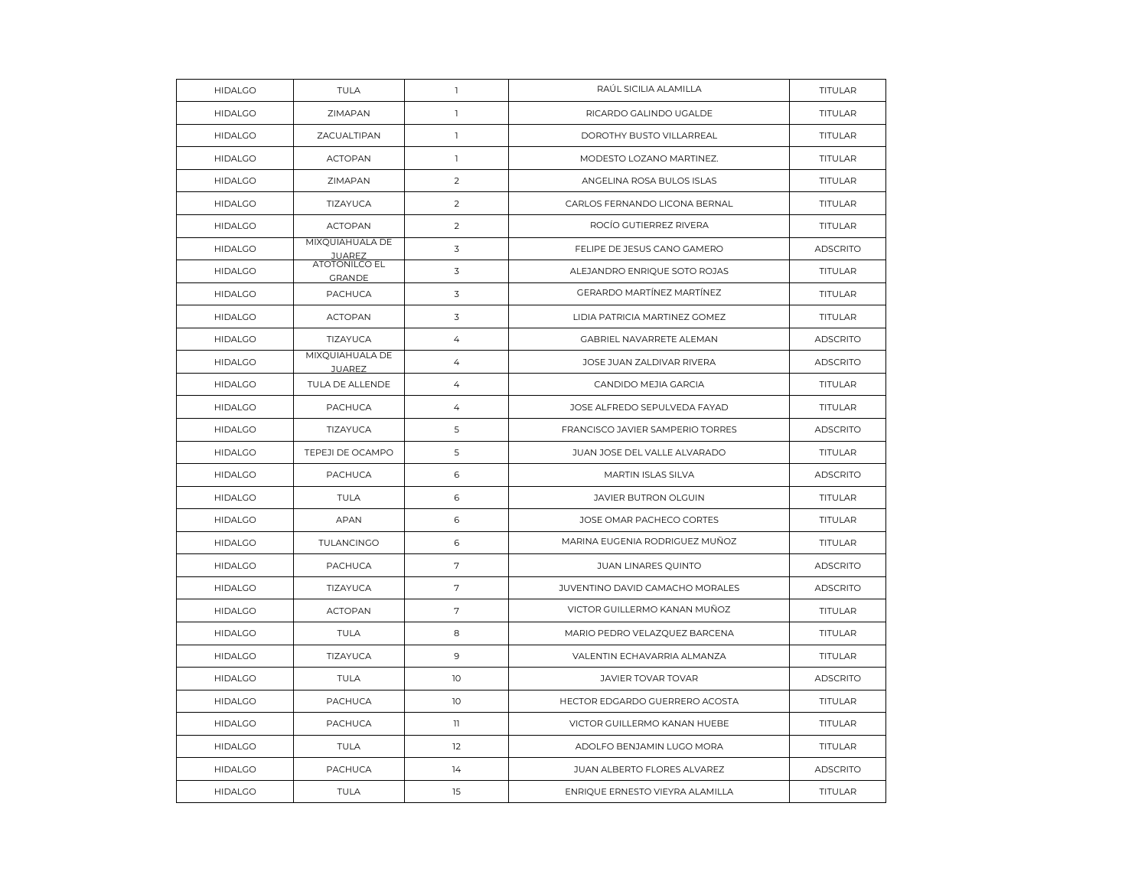| <b>HIDALGO</b> | <b>TULA</b>                           | $\mathbb{I}$    | RAÚL SICILIA ALAMILLA            | <b>TITULAR</b>  |
|----------------|---------------------------------------|-----------------|----------------------------------|-----------------|
| <b>HIDALGO</b> | ZIMAPAN                               | $\mathbf{1}$    | RICARDO GALINDO UGALDE           | <b>TITULAR</b>  |
| <b>HIDALGO</b> | ZACUALTIPAN                           | $\mathbf{1}$    | DOROTHY BUSTO VILLARREAL         | <b>TITULAR</b>  |
| <b>HIDALGO</b> | <b>ACTOPAN</b>                        | $\mathbf{I}$    | MODESTO LOZANO MARTINEZ.         | <b>TITULAR</b>  |
| <b>HIDALGO</b> | ZIMAPAN                               | $\overline{2}$  | ANGELINA ROSA BULOS ISLAS        | <b>TITULAR</b>  |
| <b>HIDALGO</b> | TIZAYUCA                              | $\overline{2}$  | CARLOS FERNANDO LICONA BERNAL    | TITULAR         |
| <b>HIDALGO</b> | <b>ACTOPAN</b>                        | $\overline{2}$  | ROCIO GUTIERREZ RIVERA           | <b>TITULAR</b>  |
| <b>HIDALGO</b> | MIXQUIAHUALA DE<br><b>JUAREZ</b>      | 3               | FELIPE DE JESUS CANO GAMERO      | <b>ADSCRITO</b> |
| <b>HIDALGO</b> | <b>ATOTONILCO EL</b><br><b>GRANDE</b> | 3               | ALEJANDRO ENRIQUE SOTO ROJAS     | TITULAR         |
| <b>HIDALGO</b> | <b>PACHUCA</b>                        | 3               | GERARDO MARTÍNEZ MARTÍNEZ        | <b>TITULAR</b>  |
| <b>HIDALGO</b> | <b>ACTOPAN</b>                        | 3               | LIDIA PATRICIA MARTINEZ GOMEZ    | TITULAR         |
| <b>HIDALGO</b> | TIZAYUCA                              | $\overline{4}$  | GABRIEL NAVARRETE ALEMAN         | <b>ADSCRITO</b> |
| <b>HIDALGO</b> | MIXQUIAHUALA DE<br><b>JUAREZ</b>      | 4               | JOSE JUAN ZALDIVAR RIVERA        | <b>ADSCRITO</b> |
| <b>HIDALGO</b> | TULA DE ALLENDE                       | 4               | CANDIDO MEJIA GARCIA             | TITULAR         |
| <b>HIDALGO</b> | PACHUCA                               | $\overline{4}$  | JOSE ALFREDO SEPULVEDA FAYAD     | TITULAR         |
| <b>HIDALGO</b> | TIZAYUCA                              | 5               | FRANCISCO JAVIER SAMPERIO TORRES | <b>ADSCRITO</b> |
| <b>HIDALGO</b> | TEPEJI DE OCAMPO                      | 5               | JUAN JOSE DEL VALLE ALVARADO     | TITULAR         |
| <b>HIDALGO</b> | <b>PACHUCA</b>                        | 6               | MARTIN ISLAS SILVA               | <b>ADSCRITO</b> |
| <b>HIDALGO</b> | <b>TULA</b>                           | 6               | <b>JAVIER BUTRON OLGUIN</b>      | TITULAR         |
| <b>HIDALGO</b> | <b>APAN</b>                           | 6               | JOSE OMAR PACHECO CORTES         | <b>TITULAR</b>  |
| <b>HIDALGO</b> | TULANCINGO                            | 6               | MARINA EUGENIA RODRIGUEZ MUÑOZ   | TITULAR         |
| <b>HIDALGO</b> | PACHUCA                               | 7               | <b>JUAN LINARES QUINTO</b>       | <b>ADSCRITO</b> |
| <b>HIDALGO</b> | TIZAYUCA                              | 7               | JUVENTINO DAVID CAMACHO MORALES  | <b>ADSCRITO</b> |
| <b>HIDALGO</b> | <b>ACTOPAN</b>                        | 7               | VICTOR GUILLERMO KANAN MUÑOZ     | TITULAR         |
| <b>HIDALGO</b> | TULA                                  | 8               | MARIO PEDRO VELAZQUEZ BARCENA    | TITULAR         |
| <b>HIDALGO</b> | TIZAYUCA                              | 9               | VALENTIN ECHAVARRIA ALMANZA      | TITULAR         |
| <b>HIDALGO</b> | <b>TULA</b>                           | 10              | JAVIER TOVAR TOVAR               | <b>ADSCRITO</b> |
| <b>HIDALGO</b> | PACHUCA                               | 10 <sup>°</sup> | HECTOR EDGARDO GUERRERO ACOSTA   | TITULAR         |
| <b>HIDALGO</b> | PACHUCA                               | $\mathbf{1}$    | VICTOR GUILLERMO KANAN HUEBE     | TITULAR         |
| <b>HIDALGO</b> | <b>TULA</b>                           | 12              | ADOLFO BENJAMIN LUGO MORA        | <b>TITULAR</b>  |
| <b>HIDALGO</b> | PACHUCA                               | 14              | JUAN ALBERTO FLORES ALVAREZ      | <b>ADSCRITO</b> |
| <b>HIDALGO</b> | <b>TULA</b>                           | 15              | ENRIQUE ERNESTO VIEYRA ALAMILLA  | <b>TITULAR</b>  |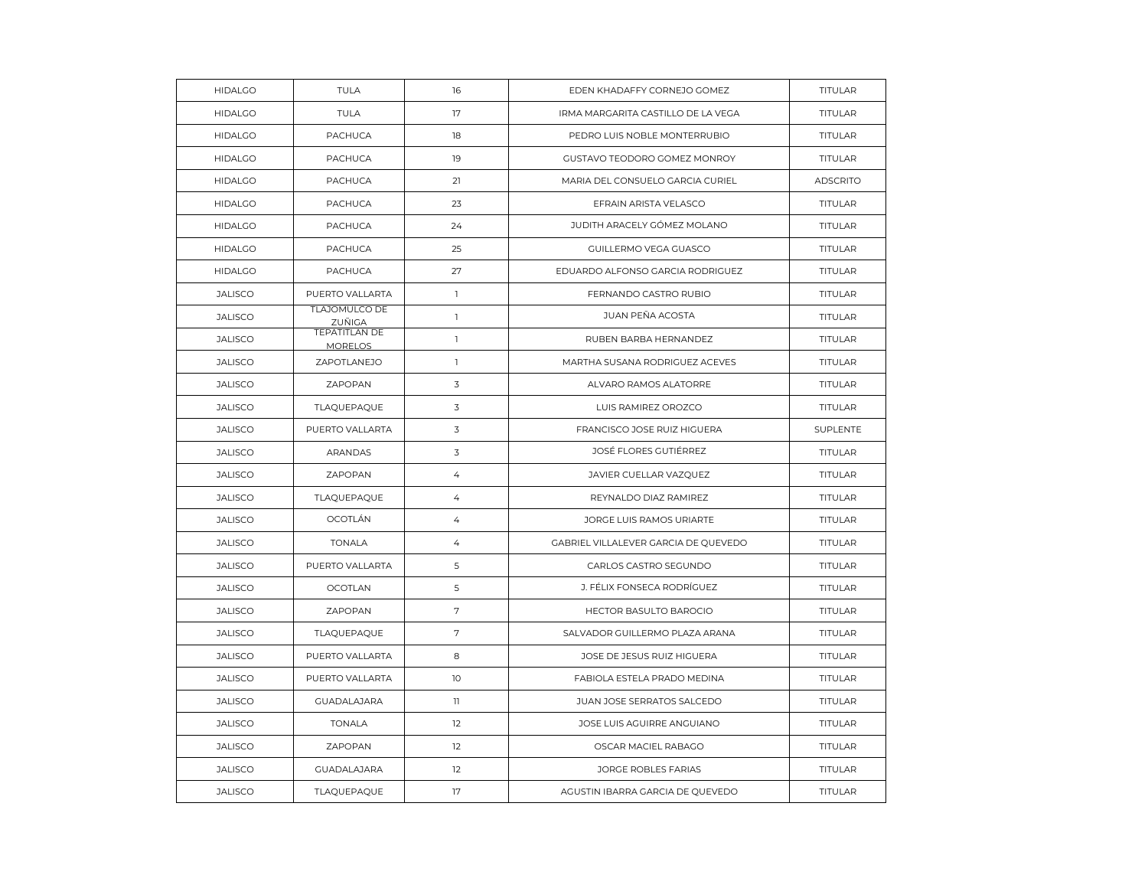| <b>HIDALGO</b> | <b>TULA</b>                            | 16             | EDEN KHADAFFY CORNEJO GOMEZ          | <b>TITULAR</b>  |
|----------------|----------------------------------------|----------------|--------------------------------------|-----------------|
| <b>HIDALGO</b> | <b>TULA</b>                            | 17             | IRMA MARGARITA CASTILLO DE LA VEGA   | <b>TITULAR</b>  |
| <b>HIDALGO</b> | PACHUCA                                | 18             | PEDRO LUIS NOBLE MONTERRUBIO         | <b>TITULAR</b>  |
| <b>HIDALGO</b> | PACHUCA                                | 19             | GUSTAVO TEODORO GOMEZ MONROY         | <b>TITULAR</b>  |
| <b>HIDALGO</b> | <b>PACHUCA</b>                         | 21             | MARIA DEL CONSUELO GARCIA CURIEL     | <b>ADSCRITO</b> |
| <b>HIDALGO</b> | PACHUCA                                | 23             | EFRAIN ARISTA VELASCO                | <b>TITULAR</b>  |
| <b>HIDALGO</b> | <b>PACHUCA</b>                         | 24             | JUDITH ARACELY GÓMEZ MOLANO          | <b>TITULAR</b>  |
| <b>HIDALGO</b> | PACHUCA                                | 25             | GUILLERMO VEGA GUASCO                | <b>TITULAR</b>  |
| <b>HIDALGO</b> | PACHUCA                                | 27             | EDUARDO ALFONSO GARCIA RODRIGUEZ     | TITULAR         |
| <b>JALISCO</b> | PUERTO VALLARTA                        | $\mathbb{I}$   | FERNANDO CASTRO RUBIO                | <b>TITULAR</b>  |
| <b>JALISCO</b> | TLAJOMULCO DE<br>ZUÑIGA                | $\mathbf{1}$   | <b>JUAN PEÑA ACOSTA</b>              | <b>TITULAR</b>  |
| <b>JALISCO</b> | <b>TEPATITLAN DE</b><br><b>MORELOS</b> | $\mathbf{1}$   | RUBEN BARBA HERNANDEZ                | TITULAR         |
| <b>JALISCO</b> | ZAPOTLANEJO                            | $\mathbf{1}$   | MARTHA SUSANA RODRIGUEZ ACEVES       | <b>TITULAR</b>  |
| <b>JALISCO</b> | ZAPOPAN                                | 3              | ALVARO RAMOS ALATORRE                | <b>TITULAR</b>  |
| <b>JALISCO</b> | TLAQUEPAQUE                            | 3              | LUIS RAMIREZ OROZCO                  | TITULAR         |
| <b>JALISCO</b> | PUERTO VALLARTA                        | 3              | FRANCISCO JOSE RUIZ HIGUERA          | SUPLENTE        |
| <b>JALISCO</b> | ARANDAS                                | 3              | JOSÉ FLORES GUTIÉRREZ                | <b>TITULAR</b>  |
| <b>JALISCO</b> | ZAPOPAN                                | $\overline{4}$ | JAVIER CUELLAR VAZQUEZ               | TITULAR         |
| <b>JALISCO</b> | TLAQUEPAQUE                            | $\overline{4}$ | REYNALDO DIAZ RAMIREZ                | <b>TITULAR</b>  |
| <b>JALISCO</b> | OCOTLÁN                                | $\overline{4}$ | JORGE LUIS RAMOS URIARTE             | <b>TITULAR</b>  |
| <b>JALISCO</b> | <b>TONALA</b>                          | $\overline{4}$ | GABRIEL VILLALEVER GARCIA DE QUEVEDO | TITULAR         |
| <b>JALISCO</b> | PUERTO VALLARTA                        | 5              | CARLOS CASTRO SEGUNDO                | <b>TITULAR</b>  |
| <b>JALISCO</b> | <b>OCOTLAN</b>                         | 5              | J. FÉLIX FONSECA RODRÍGUEZ           | <b>TITULAR</b>  |
| <b>JALISCO</b> | ZAPOPAN                                | 7              | <b>HECTOR BASULTO BAROCIO</b>        | <b>TITULAR</b>  |
| <b>JALISCO</b> | TLAQUEPAQUE                            | $\sqrt{ }$     | SALVADOR GUILLERMO PLAZA ARANA       | <b>TITULAR</b>  |
| <b>JALISCO</b> | PUERTO VALLARTA                        | 8              | JOSE DE JESUS RUIZ HIGUERA           | TITULAR         |
| <b>JALISCO</b> | PUERTO VALLARTA                        | 10             | FABIOLA ESTELA PRADO MEDINA          | <b>TITULAR</b>  |
| <b>JALISCO</b> | <b>GUADALAJARA</b>                     | $\mathbf{1}$   | JUAN JOSE SERRATOS SALCEDO           | TITULAR         |
| <b>JALISCO</b> | <b>TONALA</b>                          | 12             | JOSE LUIS AGUIRRE ANGUIANO           | TITULAR         |
| <b>JALISCO</b> | ZAPOPAN                                | 12             | OSCAR MACIEL RABAGO                  | <b>TITULAR</b>  |
| <b>JALISCO</b> | <b>GUADALAJARA</b>                     | 12             | JORGE ROBLES FARIAS                  | TITULAR         |
| <b>JALISCO</b> | TLAQUEPAQUE                            | 17             | AGUSTIN IBARRA GARCIA DE QUEVEDO     | TITULAR         |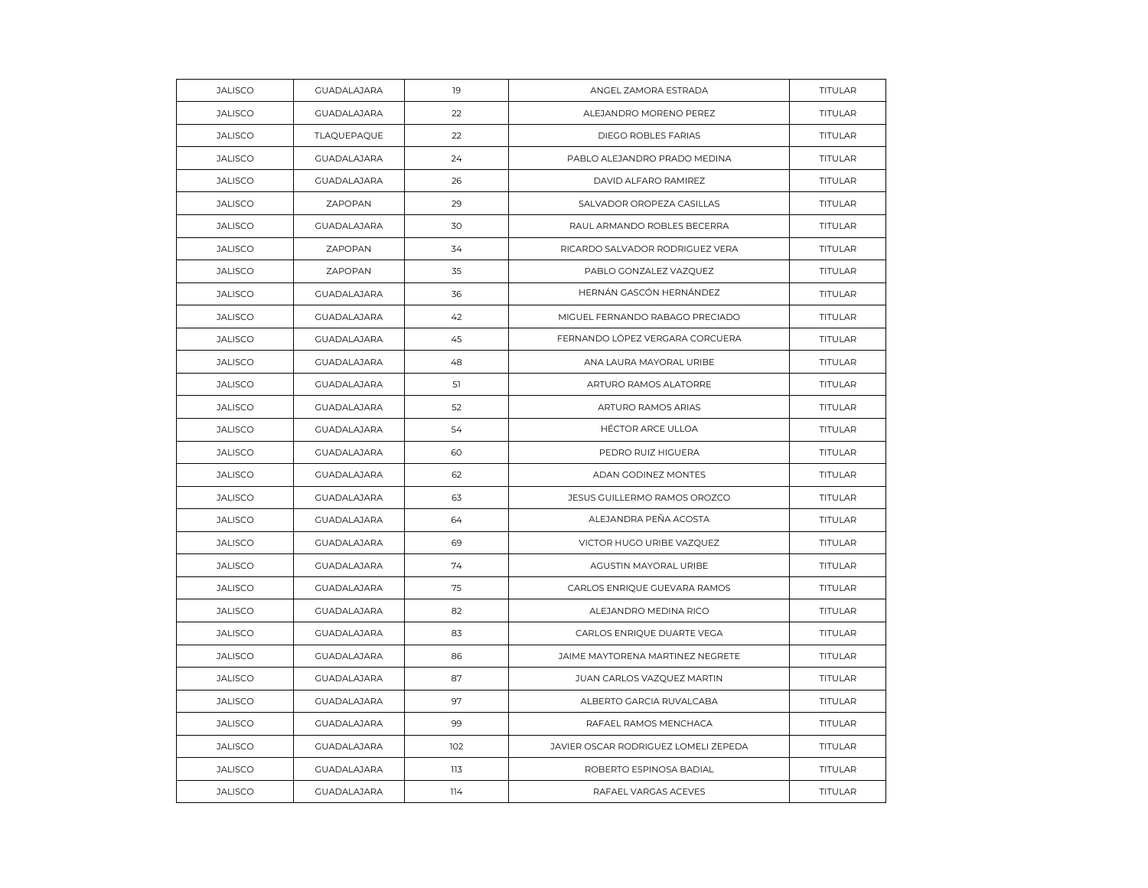| <b>JALISCO</b> | <b>GUADALAJARA</b> | 19  | ANGEL ZAMORA ESTRADA                 | TITULAR        |
|----------------|--------------------|-----|--------------------------------------|----------------|
| <b>JALISCO</b> | <b>GUADALAJARA</b> | 22  | ALEJANDRO MORENO PEREZ               | TITULAR        |
| <b>JALISCO</b> | TLAQUEPAQUE        | 22  | DIEGO ROBLES FARIAS                  | TITULAR        |
| <b>JALISCO</b> | <b>GUADALAJARA</b> | 24  | PABLO ALEJANDRO PRADO MEDINA         | TITULAR        |
| <b>JALISCO</b> | <b>GUADALAJARA</b> | 26  | DAVID ALFARO RAMIREZ                 | TITULAR        |
| <b>JALISCO</b> | ZAPOPAN            | 29  | SALVADOR OROPEZA CASILLAS            | TITULAR        |
| <b>JALISCO</b> | <b>GUADALAJARA</b> | 30  | RAUL ARMANDO ROBLES BECERRA          | TITULAR        |
| <b>JALISCO</b> | ZAPOPAN            | 34  | RICARDO SALVADOR RODRIGUEZ VERA      | TITULAR        |
| <b>JALISCO</b> | ZAPOPAN            | 35  | PABLO GONZALEZ VAZQUEZ               | TITULAR        |
| <b>JALISCO</b> | <b>GUADALAJARA</b> | 36  | HERNÁN GASCÓN HERNÁNDEZ              | TITULAR        |
| <b>JALISCO</b> | GUADALAJARA        | 42  | MIGUEL FERNANDO RABAGO PRECIADO      | TITULAR        |
| <b>JALISCO</b> | <b>GUADALAJARA</b> | 45  | FERNANDO LÓPEZ VERGARA CORCUERA      | TITULAR        |
| <b>JALISCO</b> | <b>GUADALAJARA</b> | 48  | ANA LAURA MAYORAL URIBE              | TITULAR        |
| <b>JALISCO</b> | GUADALAJARA        | 51  | ARTURO RAMOS ALATORRE                | TITULAR        |
| <b>JALISCO</b> | <b>GUADALAJARA</b> | 52  | ARTURO RAMOS ARIAS                   | TITULAR        |
| <b>JALISCO</b> | <b>GUADALAJARA</b> | 54  | <b>HÉCTOR ARCE ULLOA</b>             | <b>TITULAR</b> |
| <b>JALISCO</b> | <b>GUADALAJARA</b> | 60  | PEDRO RUIZ HIGUERA                   | TITULAR        |
| <b>JALISCO</b> | GUADALAJARA        | 62  | ADAN GODINEZ MONTES                  | TITULAR        |
| <b>JALISCO</b> | GUADALAJARA        | 63  | JESUS GUILLERMO RAMOS OROZCO         | TITULAR        |
| <b>JALISCO</b> | GUADALAJARA        | 64  | ALEJANDRA PEÑA ACOSTA                | TITULAR        |
| <b>JALISCO</b> | <b>GUADALAJARA</b> | 69  | VICTOR HUGO URIBE VAZQUEZ            | TITULAR        |
| <b>JALISCO</b> | <b>GUADALAJARA</b> | 74  | AGUSTIN MAYORAL URIBE                | TITULAR        |
| <b>JALISCO</b> | <b>GUADALAJARA</b> | 75  | CARLOS ENRIQUE GUEVARA RAMOS         | TITULAR        |
| <b>JALISCO</b> | GUADALAJARA        | 82  | ALEJANDRO MEDINA RICO                | TITULAR        |
| <b>JALISCO</b> | GUADALAJARA        | 83  | CARLOS ENRIQUE DUARTE VEGA           | TITULAR        |
| <b>JALISCO</b> | <b>GUADALAJARA</b> | 86  | JAIME MAYTORENA MARTINEZ NEGRETE     | TITULAR        |
| <b>JALISCO</b> | GUADALAJARA        | 87  | JUAN CARLOS VAZQUEZ MARTIN           | TITULAR        |
| <b>JALISCO</b> | <b>GUADALAJARA</b> | 97  | ALBERTO GARCIA RUVALCABA             | TITULAR        |
| <b>JALISCO</b> | <b>GUADALAJARA</b> | 99  | RAFAEL RAMOS MENCHACA                | TITULAR        |
| <b>JALISCO</b> | <b>GUADALAJARA</b> | 102 | JAVIER OSCAR RODRIGUEZ LOMELI ZEPEDA | <b>TITULAR</b> |
| <b>JALISCO</b> | <b>GUADALAJARA</b> | 113 | ROBERTO ESPINOSA BADIAL              | TITULAR        |
| <b>JALISCO</b> | <b>GUADALAJARA</b> | 114 | RAFAEL VARGAS ACEVES                 | TITULAR        |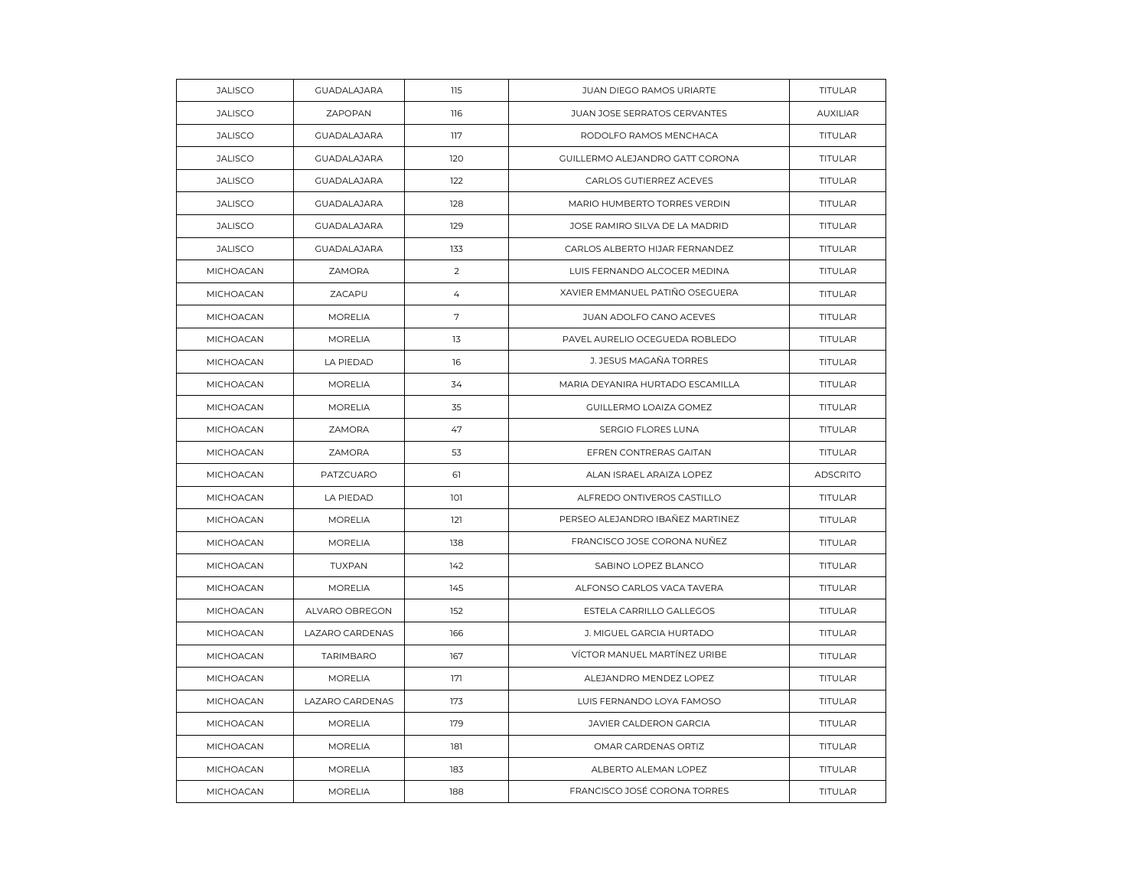| <b>JALISCO</b>   | <b>GUADALAJARA</b> | 115            | JUAN DIEGO RAMOS URIARTE         | TITULAR         |
|------------------|--------------------|----------------|----------------------------------|-----------------|
| <b>JALISCO</b>   | ZAPOPAN            | 116            | JUAN JOSE SERRATOS CERVANTES     | <b>AUXILIAR</b> |
| <b>JALISCO</b>   | <b>GUADALAJARA</b> | 117            | RODOLFO RAMOS MENCHACA           | TITULAR         |
| <b>JALISCO</b>   | <b>GUADALAJARA</b> | 120            | GUILLERMO ALEJANDRO GATT CORONA  | TITULAR         |
| <b>JALISCO</b>   | <b>GUADALAJARA</b> | 122            | CARLOS GUTIERREZ ACEVES          | TITULAR         |
| <b>JALISCO</b>   | <b>GUADALAJARA</b> | 128            | MARIO HUMBERTO TORRES VERDIN     | <b>TITULAR</b>  |
| <b>JALISCO</b>   | <b>GUADALAJARA</b> | 129            | JOSE RAMIRO SILVA DE LA MADRID   | TITULAR         |
| <b>JALISCO</b>   | GUADALAJARA        | 133            | CARLOS ALBERTO HIJAR FERNANDEZ   | TITULAR         |
| MICHOACAN        | ZAMORA             | 2              | LUIS FERNANDO ALCOCER MEDINA     | TITULAR         |
| MICHOACAN        | ZACAPU             | $\overline{4}$ | XAVIER EMMANUEL PATIÑO OSEGUERA  | <b>TITULAR</b>  |
| MICHOACAN        | <b>MORELIA</b>     | 7              | JUAN ADOLFO CANO ACEVES          | TITULAR         |
| MICHOACAN        | <b>MORELIA</b>     | 13             | PAVEL AURELIO OCEGUEDA ROBLEDO   | TITULAR         |
| MICHOACAN        | LA PIEDAD          | 16             | J. JESUS MAGAÑA TORRES           | <b>TITULAR</b>  |
| MICHOACAN        | <b>MORELIA</b>     | 34             | MARIA DEYANIRA HURTADO ESCAMILLA | <b>TITULAR</b>  |
| MICHOACAN        | <b>MORELIA</b>     | 35             | GUILLERMO LOAIZA GOMEZ           | TITULAR         |
| MICHOACAN        | ZAMORA             | 47             | SERGIO FLORES LUNA               | <b>TITULAR</b>  |
| MICHOACAN        | ZAMORA             | 53             | EFREN CONTRERAS GAITAN           | TITULAR         |
| MICHOACAN        | PATZCUARO          | 61             | ALAN ISRAEL ARAIZA LOPEZ         | <b>ADSCRITO</b> |
| MICHOACAN        | LA PIEDAD          | 101            | ALFREDO ONTIVEROS CASTILLO       | TITULAR         |
| MICHOACAN        | <b>MORELIA</b>     | 121            | PERSEO ALEJANDRO IBAÑEZ MARTINEZ | TITULAR         |
| MICHOACAN        | <b>MORELIA</b>     | 138            | FRANCISCO JOSE CORONA NUÑEZ      | TITULAR         |
| <b>MICHOACAN</b> | <b>TUXPAN</b>      | 142            | SABINO LOPEZ BLANCO              | <b>TITULAR</b>  |
| MICHOACAN        | <b>MORELIA</b>     | 145            | ALFONSO CARLOS VACA TAVERA       | TITULAR         |
| MICHOACAN        | ALVARO OBREGON     | 152            | ESTELA CARRILLO GALLEGOS         | TITULAR         |
| MICHOACAN        | LAZARO CARDENAS    | 166            | J. MIGUEL GARCIA HURTADO         | TITULAR         |
| MICHOACAN        | <b>TARIMBARO</b>   | 167            | VÍCTOR MANUEL MARTÍNEZ URIBE     | TITULAR         |
| MICHOACAN        | <b>MORELIA</b>     | 171            | ALEJANDRO MENDEZ LOPEZ           | TITULAR         |
| MICHOACAN        | LAZARO CARDENAS    | 173            | LUIS FERNANDO LOYA FAMOSO        | <b>TITULAR</b>  |
| MICHOACAN        | <b>MORELIA</b>     | 179            | JAVIER CALDERON GARCIA           | TITULAR         |
| MICHOACAN        | <b>MORELIA</b>     | 181            | OMAR CARDENAS ORTIZ              | TITULAR         |
| MICHOACAN        | <b>MORELIA</b>     | 183            | ALBERTO ALEMAN LOPEZ             | <b>TITULAR</b>  |
| MICHOACAN        | <b>MORELIA</b>     | 188            | FRANCISCO JOSÉ CORONA TORRES     | TITULAR         |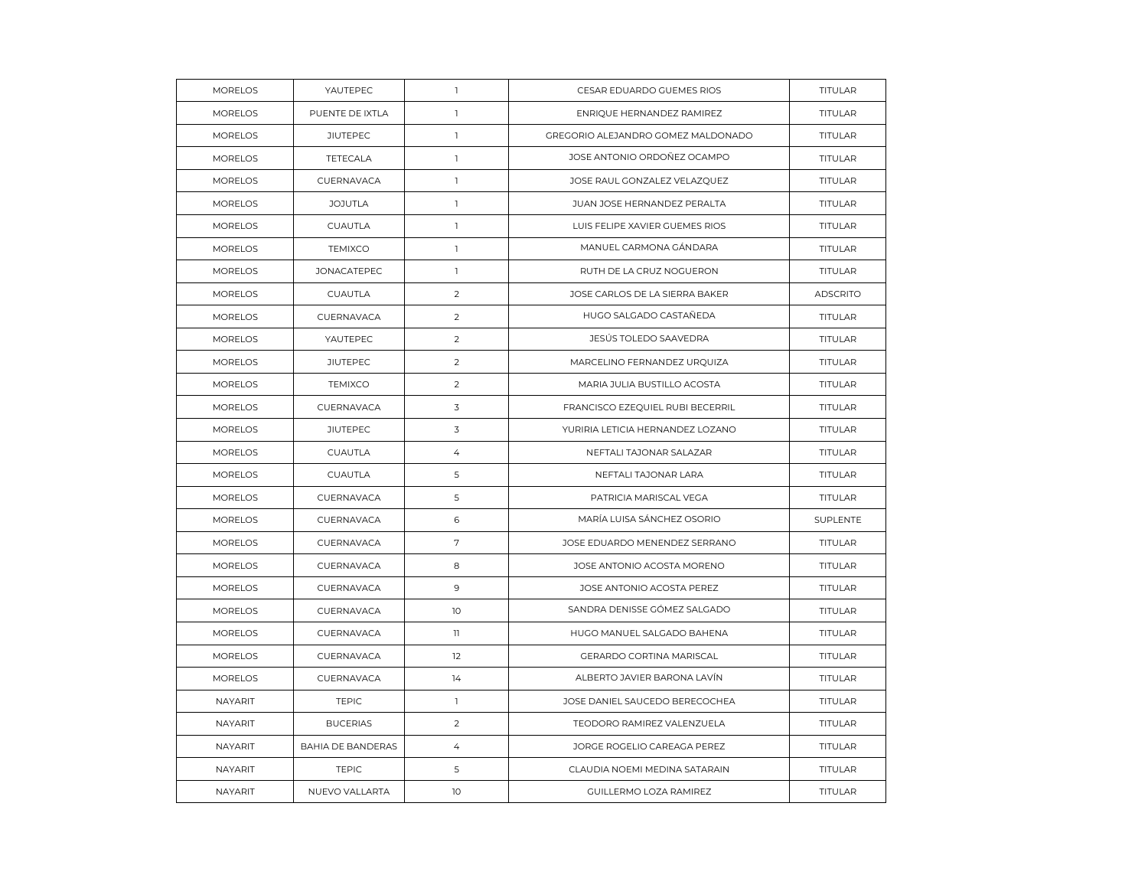| <b>MORELOS</b> | YAUTEPEC                 | $\mathbf{1}$   | CESAR EDUARDO GUEMES RIOS          | TITULAR         |
|----------------|--------------------------|----------------|------------------------------------|-----------------|
| <b>MORELOS</b> | PUENTE DE IXTLA          | $\mathbb{L}$   | ENRIQUE HERNANDEZ RAMIREZ          | TITULAR         |
| <b>MORELOS</b> | <b>JIUTEPEC</b>          | $\mathbf{1}$   | GREGORIO ALEJANDRO GOMEZ MALDONADO | <b>TITULAR</b>  |
| <b>MORELOS</b> | TETECALA                 | $\mathbb{I}$   | JOSE ANTONIO ORDOÑEZ OCAMPO        | <b>TITULAR</b>  |
| <b>MORELOS</b> | CUERNAVACA               | $\mathbb{I}$   | JOSE RAUL GONZALEZ VELAZQUEZ       | TITULAR         |
| <b>MORELOS</b> | <b>JOJUTLA</b>           | $\mathbf{1}$   | JUAN JOSE HERNANDEZ PERALTA        | <b>TITULAR</b>  |
| <b>MORELOS</b> | CUAUTLA                  | $\mathbb{I}$   | LUIS FELIPE XAVIER GUEMES RIOS     | TITULAR         |
| <b>MORELOS</b> | <b>TEMIXCO</b>           | $\mathbf{1}$   | MANUEL CARMONA GÁNDARA             | TITULAR         |
| <b>MORELOS</b> | <b>JONACATEPEC</b>       | $\mathbf{1}$   | RUTH DE LA CRUZ NOGUERON           | TITULAR         |
| <b>MORELOS</b> | CUAUTLA                  | $\overline{2}$ | JOSE CARLOS DE LA SIERRA BAKER     | <b>ADSCRITO</b> |
| <b>MORELOS</b> | CUERNAVACA               | 2              | HUGO SALGADO CASTAÑEDA             | TITULAR         |
| <b>MORELOS</b> | YAUTEPEC                 | $\overline{2}$ | JESÚS TOLEDO SAAVEDRA              | <b>TITULAR</b>  |
| <b>MORELOS</b> | <b>JIUTEPEC</b>          | 2              | MARCELINO FERNANDEZ URQUIZA        | <b>TITULAR</b>  |
| <b>MORELOS</b> | <b>TEMIXCO</b>           | 2              | MARIA JULIA BUSTILLO ACOSTA        | TITULAR         |
| <b>MORELOS</b> | CUERNAVACA               | 3              | FRANCISCO EZEQUIEL RUBI BECERRIL   | TITULAR         |
| <b>MORELOS</b> | <b>JIUTEPEC</b>          | 3              | YURIRIA LETICIA HERNANDEZ LOZANO   | TITULAR         |
| <b>MORELOS</b> | CUAUTLA                  | 4              | NEFTALI TAJONAR SALAZAR            | <b>TITULAR</b>  |
| <b>MORELOS</b> | CUAUTLA                  | 5              | NEFTALI TAJONAR LARA               | TITULAR         |
| <b>MORELOS</b> | CUERNAVACA               | 5              | PATRICIA MARISCAL VEGA             | <b>TITULAR</b>  |
| <b>MORELOS</b> | CUERNAVACA               | 6              | MARÍA LUISA SÁNCHEZ OSORIO         | SUPLENTE        |
| <b>MORELOS</b> | CUERNAVACA               | $\sqrt{ }$     | JOSE EDUARDO MENENDEZ SERRANO      | TITULAR         |
| <b>MORELOS</b> | CUERNAVACA               | 8              | JOSE ANTONIO ACOSTA MORENO         | TITULAR         |
| <b>MORELOS</b> | CUERNAVACA               | 9              | JOSE ANTONIO ACOSTA PEREZ          | TITULAR         |
| <b>MORELOS</b> | CUERNAVACA               | 10             | SANDRA DENISSE GÓMEZ SALGADO       | TITULAR         |
| <b>MORELOS</b> | CUERNAVACA               | $\mathbf{1}$   | HUGO MANUEL SALGADO BAHENA         | TITULAR         |
| <b>MORELOS</b> | CUERNAVACA               | 12             | GERARDO CORTINA MARISCAL           | <b>TITULAR</b>  |
| <b>MORELOS</b> | CUERNAVACA               | 14             | ALBERTO JAVIER BARONA LAVIN        | TITULAR         |
| <b>NAYARIT</b> | <b>TEPIC</b>             | $\mathbb{I}$   | JOSE DANIEL SAUCEDO BERECOCHEA     | TITULAR         |
| NAYARIT        | <b>BUCERIAS</b>          | 2              | TEODORO RAMIREZ VALENZUELA         | <b>TITULAR</b>  |
| NAYARIT        | <b>BAHIA DE BANDERAS</b> | $\overline{4}$ | JORGE ROGELIO CAREAGA PEREZ        | <b>TITULAR</b>  |
| NAYARIT        | <b>TEPIC</b>             | 5              | CLAUDIA NOEMI MEDINA SATARAIN      | TITULAR         |
| <b>NAYARIT</b> | NUEVO VALLARTA           | 10             | GUILLERMO LOZA RAMIREZ             | TITULAR         |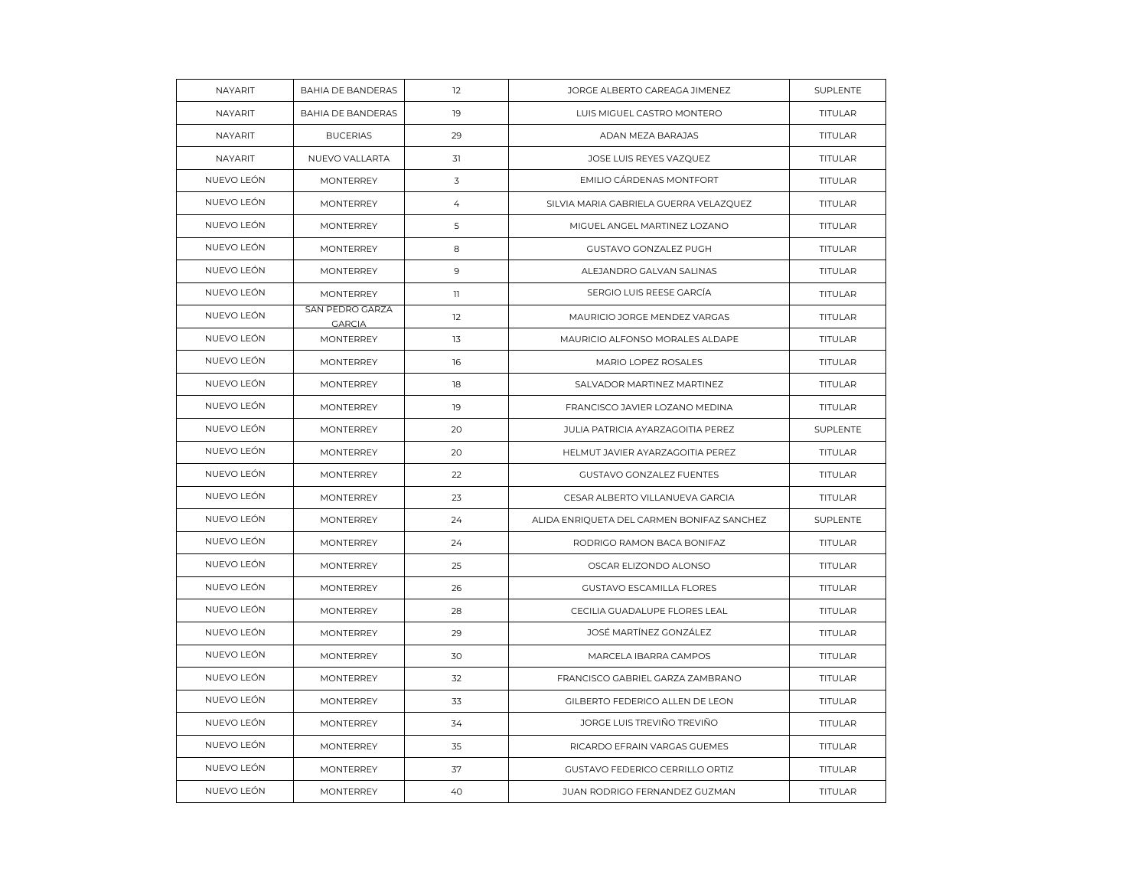| NAYARIT    | <b>BAHIA DE BANDERAS</b>         | 12             | JORGE ALBERTO CAREAGA JIMENEZ              | SUPLENTE       |
|------------|----------------------------------|----------------|--------------------------------------------|----------------|
| NAYARIT    | <b>BAHIA DE BANDERAS</b>         | 19             | LUIS MIGUEL CASTRO MONTERO                 | <b>TITULAR</b> |
| NAYARIT    | <b>BUCERIAS</b>                  | 29             | ADAN MEZA BARAJAS                          | TITULAR        |
| NAYARIT    | NUEVO VALLARTA                   | 31             | JOSE LUIS REYES VAZQUEZ                    | <b>TITULAR</b> |
| NUEVO LEÓN | <b>MONTERREY</b>                 | 3              | EMILIO CÁRDENAS MONTFORT                   | <b>TITULAR</b> |
| NUEVO LEÓN | <b>MONTERREY</b>                 | $\overline{4}$ | SILVIA MARIA GABRIELA GUERRA VELAZQUEZ     | <b>TITULAR</b> |
| NUEVO LEÓN | MONTERREY                        | 5              | MIGUEL ANGEL MARTINEZ LOZANO               | TITULAR        |
| NUEVO LEÓN | <b>MONTERREY</b>                 | 8              | GUSTAVO GONZALEZ PUGH                      | <b>TITULAR</b> |
| NUEVO LEÓN | <b>MONTERREY</b>                 | 9              | ALEJANDRO GALVAN SALINAS                   | <b>TITULAR</b> |
| NUEVO LEÓN | <b>MONTERREY</b>                 | $\mathbb{I}$   | SERGIO LUIS REESE GARCÍA                   | <b>TITULAR</b> |
| NUEVO LEÓN | SAN PEDRO GARZA<br><b>GARCIA</b> | 12             | MAURICIO JORGE MENDEZ VARGAS               | <b>TITULAR</b> |
| NUEVO LEÓN | <b>MONTERREY</b>                 | 13             | MAURICIO ALFONSO MORALES ALDAPE            | <b>TITULAR</b> |
| NUEVO LEÓN | <b>MONTERREY</b>                 | 16             | MARIO LOPEZ ROSALES                        | <b>TITULAR</b> |
| NUEVO LEÓN | <b>MONTERREY</b>                 | 18             | SALVADOR MARTINEZ MARTINEZ                 | TITULAR        |
| NUEVO LEÓN | <b>MONTERREY</b>                 | 19             | FRANCISCO JAVIER LOZANO MEDINA             | TITULAR        |
| NUEVO LEÓN | <b>MONTERREY</b>                 | 20             | JULIA PATRICIA AYARZAGOITIA PEREZ          | SUPLENTE       |
| NUEVO LEÓN | <b>MONTERREY</b>                 | 20             | HELMUT JAVIER AYARZAGOITIA PEREZ           | <b>TITULAR</b> |
| NUEVO LEÓN | <b>MONTERREY</b>                 | 22             | GUSTAVO GONZALEZ FUENTES                   | TITULAR        |
| NUEVO LEÓN | <b>MONTERREY</b>                 | 23             | CESAR ALBERTO VILLANUEVA GARCIA            | TITULAR        |
| NUEVO LEÓN | <b>MONTERREY</b>                 | 24             | ALIDA ENRIQUETA DEL CARMEN BONIFAZ SANCHEZ | SUPLENTE       |
| NUEVO LEÓN | <b>MONTERREY</b>                 | 24             | RODRIGO RAMON BACA BONIFAZ                 | TITULAR        |
| NUEVO LEÓN | <b>MONTERREY</b>                 | 25             | OSCAR ELIZONDO ALONSO                      | TITULAR        |
| NUEVO LEÓN | <b>MONTERREY</b>                 | 26             | <b>GUSTAVO ESCAMILLA FLORES</b>            | <b>TITULAR</b> |
| NUEVO LEÓN | <b>MONTERREY</b>                 | 28             | CECILIA GUADALUPE FLORES LEAL              | <b>TITULAR</b> |
| NUEVO LEÓN | MONTERREY                        | 29             | JOSÉ MARTÍNEZ GONZÁLEZ                     | TITULAR        |
| NUEVO LEÓN | <b>MONTERREY</b>                 | 30             | MARCELA IBARRA CAMPOS                      | <b>TITULAR</b> |
| NUEVO LEÓN | <b>MONTERREY</b>                 | 32             | FRANCISCO GABRIEL GARZA ZAMBRANO           | TITULAR        |
| NUEVO LEÓN | MONTERREY                        | 33             | GILBERTO FEDERICO ALLEN DE LEON            | TITULAR        |
| NUEVO LEÓN | <b>MONTERREY</b>                 | 34             | JORGE LUIS TREVIÑO TREVIÑO                 | <b>TITULAR</b> |
| NUEVO LEÓN | <b>MONTERREY</b>                 | 35             | RICARDO EFRAIN VARGAS GUEMES               | <b>TITULAR</b> |
| NUEVO LEÓN | MONTERREY                        | 37             | GUSTAVO FEDERICO CERRILLO ORTIZ            | TITULAR        |
| NUEVO LEÓN | <b>MONTERREY</b>                 | 40             | JUAN RODRIGO FERNANDEZ GUZMAN              | TITULAR        |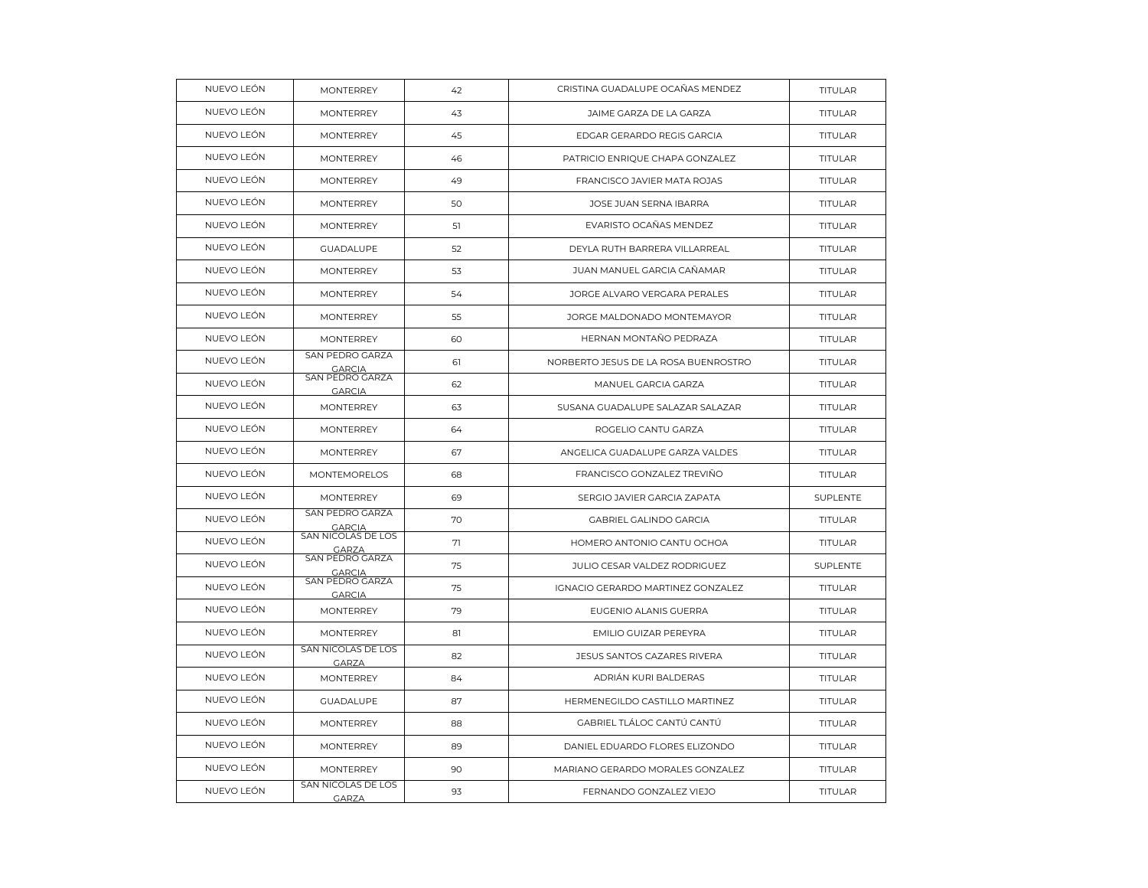| NUEVO LEÓN | <b>MONTERREY</b>                   | 42 | CRISTINA GUADALUPE OCAÑAS MENDEZ     | TITULAR        |
|------------|------------------------------------|----|--------------------------------------|----------------|
| NUEVO LEÓN | <b>MONTERREY</b>                   | 43 | JAIME GARZA DE LA GARZA              | <b>TITULAR</b> |
| NUEVO LEÓN | <b>MONTERREY</b>                   | 45 | EDGAR GERARDO REGIS GARCIA           | <b>TITULAR</b> |
| NUEVO LEÓN | <b>MONTERREY</b>                   | 46 | PATRICIO ENRIQUE CHAPA GONZALEZ      | TITULAR        |
| NUEVO LEÓN | <b>MONTERREY</b>                   | 49 | FRANCISCO JAVIER MATA ROJAS          | <b>TITULAR</b> |
| NUEVO LEÓN | <b>MONTERREY</b>                   | 50 | JOSE JUAN SERNA IBARRA               | <b>TITULAR</b> |
| NUEVO LEÓN | <b>MONTERREY</b>                   | 51 | EVARISTO OCAÑAS MENDEZ               | TITULAR        |
| NUEVO LEÓN | <b>GUADALUPE</b>                   | 52 | DEYLA RUTH BARRERA VILLARREAL        | <b>TITULAR</b> |
| NUEVO LEÓN | <b>MONTERREY</b>                   | 53 | JUAN MANUEL GARCIA CAÑAMAR           | <b>TITULAR</b> |
| NUEVO LEÓN | <b>MONTERREY</b>                   | 54 | JORGE ALVARO VERGARA PERALES         | TITULAR        |
| NUEVO LEÓN | <b>MONTERREY</b>                   | 55 | JORGE MALDONADO MONTEMAYOR           | <b>TITULAR</b> |
| NUEVO LEÓN | <b>MONTERREY</b>                   | 60 | HERNAN MONTAÑO PEDRAZA               | <b>TITULAR</b> |
| NUEVO LEÓN | SAN PEDRO GARZA<br><b>GARCIA</b>   | 61 | NORBERTO JESUS DE LA ROSA BUENROSTRO | TITULAR        |
| NUEVO LEÓN | SAN PEDRO GARZA<br><b>GARCIA</b>   | 62 | MANUEL GARCIA GARZA                  | <b>TITULAR</b> |
| NUEVO LEÓN | <b>MONTERREY</b>                   | 63 | SUSANA GUADALUPE SALAZAR SALAZAR     | <b>TITULAR</b> |
| NUEVO LEÓN | <b>MONTERREY</b>                   | 64 | ROGELIO CANTU GARZA                  | TITULAR        |
| NUEVO LEÓN | <b>MONTERREY</b>                   | 67 | ANGELICA GUADALUPE GARZA VALDES      | TITULAR        |
| NUEVO LEÓN | <b>MONTEMORELOS</b>                | 68 | FRANCISCO GONZALEZ TREVIÑO           | TITULAR        |
| NUEVO LEÓN | <b>MONTERREY</b>                   | 69 | SERGIO JAVIER GARCIA ZAPATA          | SUPLENTE       |
| NUEVO LEÓN | SAN PEDRO GARZA<br><b>GARCIA</b>   | 70 | <b>GABRIEL GALINDO GARCIA</b>        | TITULAR        |
| NUEVO LEÓN | SAN NICOLAS DE LOS<br><b>GARZA</b> | 71 | HOMERO ANTONIO CANTU OCHOA           | TITULAR        |
| NUEVO LEÓN | SAN PEDRO GARZA<br><b>GARCIA</b>   | 75 | JULIO CESAR VALDEZ RODRIGUEZ         | SUPLENTE       |
| NUEVO LEÓN | SAN PEDRO GARZA<br><b>GARCIA</b>   | 75 | IGNACIO GERARDO MARTINEZ GONZALEZ    | TITULAR        |
| NUEVO LEÓN | <b>MONTERREY</b>                   | 79 | EUGENIO ALANIS GUERRA                | TITULAR        |
| NUEVO LEÓN | <b>MONTERREY</b>                   | 81 | EMILIO GUIZAR PEREYRA                | <b>TITULAR</b> |
| NUEVO LEÓN | SAN NICOLAS DE LOS<br><b>GARZA</b> | 82 | JESUS SANTOS CAZARES RIVERA          | TITULAR        |
| NUEVO LEÓN | <b>MONTERREY</b>                   | 84 | ADRIÁN KURI BALDERAS                 | TITULAR        |
| NUEVO LEÓN | <b>GUADALUPE</b>                   | 87 | HERMENEGILDO CASTILLO MARTINEZ       | <b>TITULAR</b> |
| NUEVO LEÓN | <b>MONTERREY</b>                   | 88 | GABRIEL TLÁLOC CANTÚ CANTÚ           | TITULAR        |
| NUEVO LEÓN | <b>MONTERREY</b>                   | 89 | DANIEL EDUARDO FLORES ELIZONDO       | TITULAR        |
| NUEVO LEÓN | <b>MONTERREY</b>                   | 90 | MARIANO GERARDO MORALES GONZALEZ     | <b>TITULAR</b> |
| NUEVO LEÓN | SAN NICOLAS DE LOS<br><b>GARZA</b> | 93 | FERNANDO GONZALEZ VIEJO              | TITULAR        |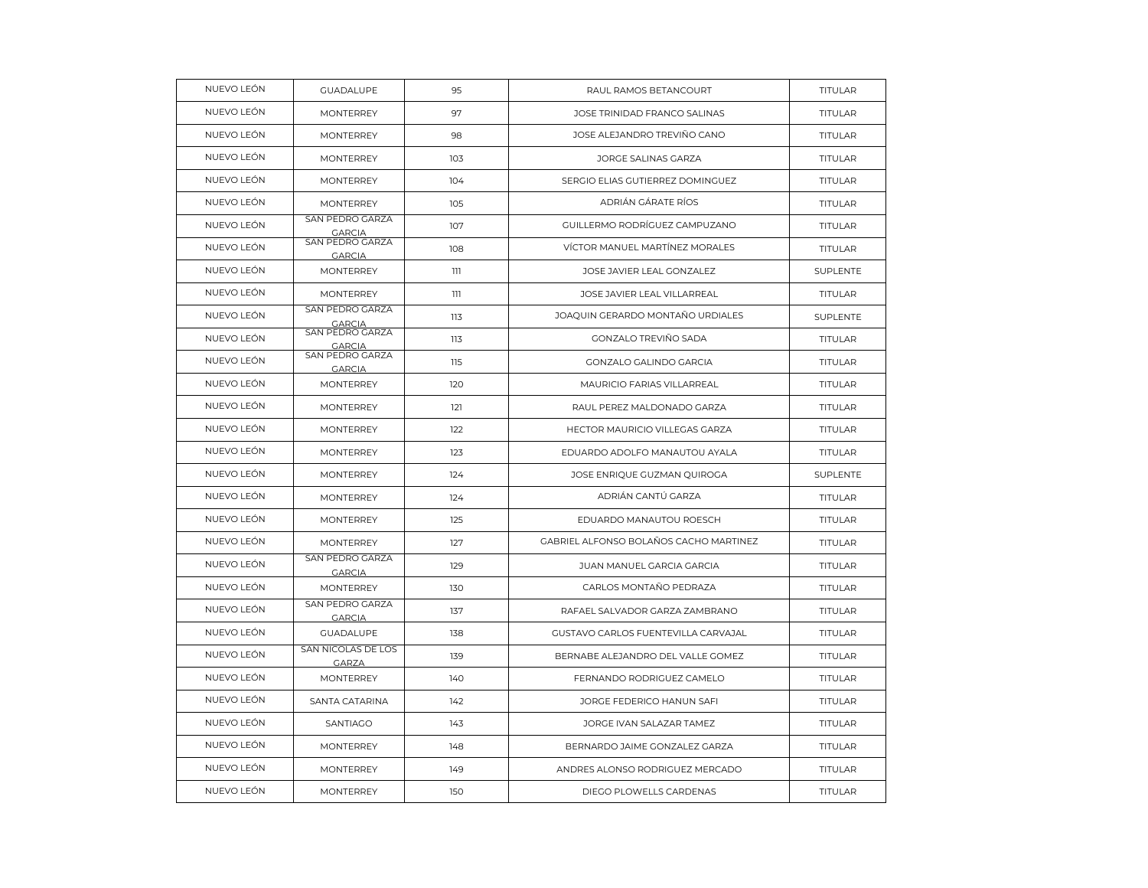| NUEVO LEÓN | <b>GUADALUPE</b>                   | 95  | RAUL RAMOS BETANCOURT                  | TITULAR         |
|------------|------------------------------------|-----|----------------------------------------|-----------------|
| NUEVO LEÓN | <b>MONTERREY</b>                   | 97  | JOSE TRINIDAD FRANCO SALINAS           | <b>TITULAR</b>  |
| NUEVO LEÓN | <b>MONTERREY</b>                   | 98  | JOSE ALEJANDRO TREVIÑO CANO            | <b>TITULAR</b>  |
| NUEVO LEÓN | <b>MONTERREY</b>                   | 103 | JORGE SALINAS GARZA                    | <b>TITULAR</b>  |
| NUEVO LEÓN | <b>MONTERREY</b>                   | 104 | SERGIO ELIAS GUTIERREZ DOMINGUEZ       | <b>TITULAR</b>  |
| NUEVO LEÓN | <b>MONTERREY</b>                   | 105 | ADRIÁN GÁRATE RÍOS                     | TITULAR         |
| NUEVO LEÓN | SAN PEDRO GARZA<br><b>GARCIA</b>   | 107 | GUILLERMO RODRÍGUEZ CAMPUZANO          | <b>TITULAR</b>  |
| NUEVO LEÓN | SAN PEDRO GARZA<br><b>GARCIA</b>   | 108 | VÍCTOR MANUEL MARTÍNEZ MORALES         | <b>TITULAR</b>  |
| NUEVO LEÓN | <b>MONTERREY</b>                   | 111 | JOSE JAVIER LEAL GONZALEZ              | SUPLENTE        |
| NUEVO LEÓN | <b>MONTERREY</b>                   | 111 | JOSE JAVIER LEAL VILLARREAL            | <b>TITULAR</b>  |
| NUEVO LEÓN | SAN PEDRO GARZA<br><b>GARCIA</b>   | 113 | JOAQUIN GERARDO MONTAÑO URDIALES       | SUPLENTE        |
| NUEVO LEÓN | SAN PEDRO GARZA<br><b>GARCIA</b>   | 113 | <b>GONZALO TREVIÑO SADA</b>            | <b>TITULAR</b>  |
| NUEVO LEÓN | SAN PEDRO GARZA<br><b>GARCIA</b>   | 115 | GONZALO GALINDO GARCIA                 | <b>TITULAR</b>  |
| NUEVO LEÓN | <b>MONTERREY</b>                   | 120 | MAURICIO FARIAS VILLARREAL             | TITULAR         |
| NUEVO LEÓN | <b>MONTERREY</b>                   | 121 | RAUL PEREZ MALDONADO GARZA             | TITULAR         |
| NUEVO LEÓN | <b>MONTERREY</b>                   | 122 | HECTOR MAURICIO VILLEGAS GARZA         | <b>TITULAR</b>  |
| NUEVO LEÓN | <b>MONTFRRFY</b>                   | 123 | EDUARDO ADOLFO MANAUTOU AYALA          | <b>TITULAR</b>  |
| NUEVO LEÓN | <b>MONTERREY</b>                   | 124 | JOSE ENRIQUE GUZMAN QUIROGA            | <b>SUPLENTE</b> |
| NUEVO LEÓN | <b>MONTERREY</b>                   | 124 | ADRIÁN CANTÚ GARZA                     | TITULAR         |
| NUEVO LEÓN | <b>MONTERREY</b>                   | 125 | EDUARDO MANAUTOU ROESCH                | <b>TITULAR</b>  |
| NUEVO LEÓN | <b>MONTERREY</b>                   | 127 | GABRIEL ALFONSO BOLAÑOS CACHO MARTINEZ | <b>TITULAR</b>  |
| NUEVO LEÓN | SAN PEDRO GARZA<br><b>GARCIA</b>   | 129 | JUAN MANUEL GARCIA GARCIA              | TITULAR         |
| NUEVO LEÓN | <b>MONTERREY</b>                   | 130 | CARLOS MONTAÑO PEDRAZA                 | <b>TITULAR</b>  |
| NUEVO LEÓN | SAN PEDRO GARZA<br><b>GARCIA</b>   | 137 | RAFAEL SALVADOR GARZA ZAMBRANO         | TITULAR         |
| NUEVO LEÓN | <b>GUADALUPE</b>                   | 138 | GUSTAVO CARLOS FUENTEVILLA CARVAJAL    | TITULAR         |
| NUEVO LEÓN | SAN NICOLAS DE LOS<br><b>GARZA</b> | 139 | BERNABE ALEJANDRO DEL VALLE GOMEZ      | <b>TITULAR</b>  |
| NUEVO LEÓN | <b>MONTERREY</b>                   | 140 | FERNANDO RODRIGUEZ CAMELO              | <b>TITULAR</b>  |
| NUEVO LEÓN | SANTA CATARINA                     | 142 | JORGE FEDERICO HANUN SAFI              | <b>TITULAR</b>  |
| NUEVO LEÓN | <b>SANTIAGO</b>                    | 143 | JORGE IVAN SALAZAR TAMEZ               | <b>TITULAR</b>  |
| NUEVO LEÓN | <b>MONTERREY</b>                   | 148 | BERNARDO JAIME GONZALEZ GARZA          | <b>TITULAR</b>  |
| NUEVO LEÓN | <b>MONTERREY</b>                   | 149 | ANDRES ALONSO RODRIGUEZ MERCADO        | <b>TITULAR</b>  |
| NUEVO LEÓN | <b>MONTERREY</b>                   | 150 | DIEGO PLOWELLS CARDENAS                | <b>TITULAR</b>  |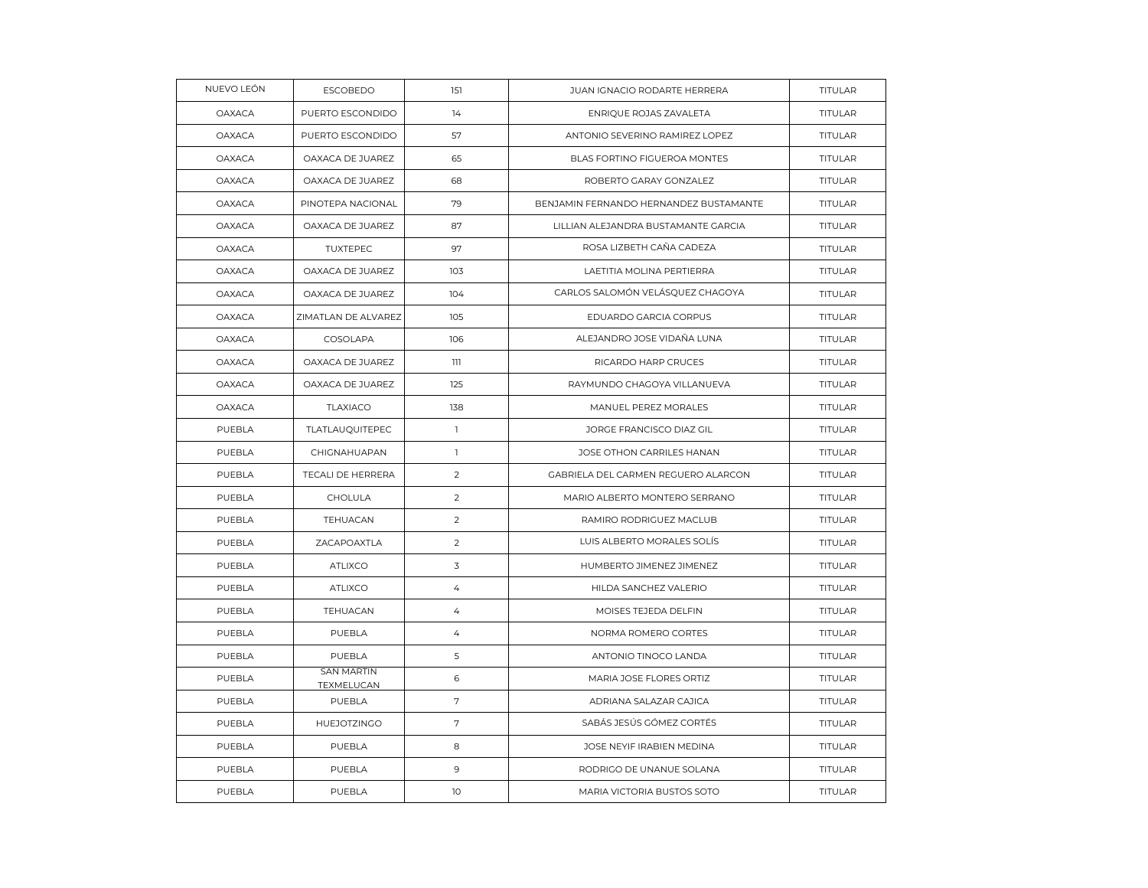| NUEVO LEÓN    | <b>ESCOBEDO</b>                 | 151            | JUAN IGNACIO RODARTE HERRERA           | TITULAR        |
|---------------|---------------------------------|----------------|----------------------------------------|----------------|
| <b>OAXACA</b> | PUERTO ESCONDIDO                | 14             | ENRIQUE ROJAS ZAVALETA                 | <b>TITULAR</b> |
| <b>OAXACA</b> | PUERTO ESCONDIDO                | 57             | ANTONIO SEVERINO RAMIREZ LOPEZ         | <b>TITULAR</b> |
| <b>OAXACA</b> | OAXACA DE JUAREZ                | 65             | BLAS FORTINO FIGUEROA MONTES           | TITULAR        |
| <b>OAXACA</b> | OAXACA DE JUAREZ                | 68             | ROBERTO GARAY GONZALEZ                 | TITULAR        |
| <b>OAXACA</b> | PINOTEPA NACIONAL               | 79             | BENJAMIN FERNANDO HERNANDEZ BUSTAMANTE | <b>TITULAR</b> |
| <b>OAXACA</b> | OAXACA DE JUAREZ                | 87             | LILLIAN ALEJANDRA BUSTAMANTE GARCIA    | <b>TITULAR</b> |
| OAXACA        | <b>TUXTEPEC</b>                 | 97             | ROSA LIZBETH CAÑA CADEZA               | TITULAR        |
| OAXACA        | OAXACA DE JUAREZ                | 103            | LAETITIA MOLINA PERTIERRA              | TITULAR        |
| <b>OAXACA</b> | OAXACA DE JUAREZ                | 104            | CARLOS SALOMÓN VELÁSQUEZ CHAGOYA       | TITULAR        |
| OAXACA        | ZIMATLAN DE ALVAREZ             | 105            | EDUARDO GARCIA CORPUS                  | TITULAR        |
| OAXACA        | COSOLAPA                        | 106            | ALEJANDRO JOSE VIDAÑA LUNA             | TITULAR        |
| <b>OAXACA</b> | OAXACA DE JUAREZ                | 111            | RICARDO HARP CRUCES                    | TITULAR        |
| <b>OAXACA</b> | OAXACA DE JUAREZ                | 125            | RAYMUNDO CHAGOYA VILLANUEVA            | TITULAR        |
| OAXACA        | <b>TLAXIACO</b>                 | 138            | MANUEL PEREZ MORALES                   | TITULAR        |
| PUEBLA        | TLATLAUQUITEPEC                 | $\mathbf{1}$   | JORGE FRANCISCO DIAZ GIL               | TITULAR        |
| PUEBLA        | CHIGNAHUAPAN                    | $\mathbb{L}$   | JOSE OTHON CARRILES HANAN              | TITULAR        |
| PUEBLA        | TECALI DE HERRERA               | 2              | GABRIELA DEL CARMEN REGUERO ALARCON    | <b>TITULAR</b> |
| PUEBLA        | CHOLULA                         | $\overline{2}$ | MARIO ALBERTO MONTERO SERRANO          | TITULAR        |
| PUEBLA        | TEHUACAN                        | 2              | RAMIRO RODRIGUEZ MACLUB                | TITULAR        |
| PUEBLA        | ZACAPOAXTLA                     | 2              | LUIS ALBERTO MORALES SOLÍS             | <b>TITULAR</b> |
| PUEBLA        | <b>ATLIXCO</b>                  | 3              | HUMBERTO JIMENEZ JIMENEZ               | <b>TITULAR</b> |
| PUEBLA        | <b>ATLIXCO</b>                  | $\overline{4}$ | HILDA SANCHEZ VALERIO                  | TITULAR        |
| PUEBLA        | TEHUACAN                        | $\overline{4}$ | MOISES TEJEDA DELFIN                   | TITULAR        |
| PUEBLA        | PUEBLA                          | $\overline{4}$ | NORMA ROMERO CORTES                    | <b>TITULAR</b> |
| PUEBLA        | PUEBLA                          | 5              | ANTONIO TINOCO LANDA                   | TITULAR        |
| PUEBLA        | <b>SAN MARTIN</b><br>TEXMELUCAN | 6              | MARIA JOSE FLORES ORTIZ                | TITULAR        |
| PUEBLA        | PUEBLA                          | $\sqrt{ }$     | ADRIANA SALAZAR CAJICA                 | TITULAR        |
| PUEBLA        | HUEJOTZINGO                     | 7              | SABÁS JESÚS GÓMEZ CORTÉS               | TITULAR        |
| PUEBLA        | PUEBLA                          | 8              | JOSE NEYIF IRABIEN MEDINA              | TITULAR        |
| PUEBLA        | PUEBLA                          | $\mathsf 9$    | RODRIGO DE UNANUE SOLANA               | TITULAR        |
| PUEBLA        | PUEBLA                          | 10             | MARIA VICTORIA BUSTOS SOTO             | TITULAR        |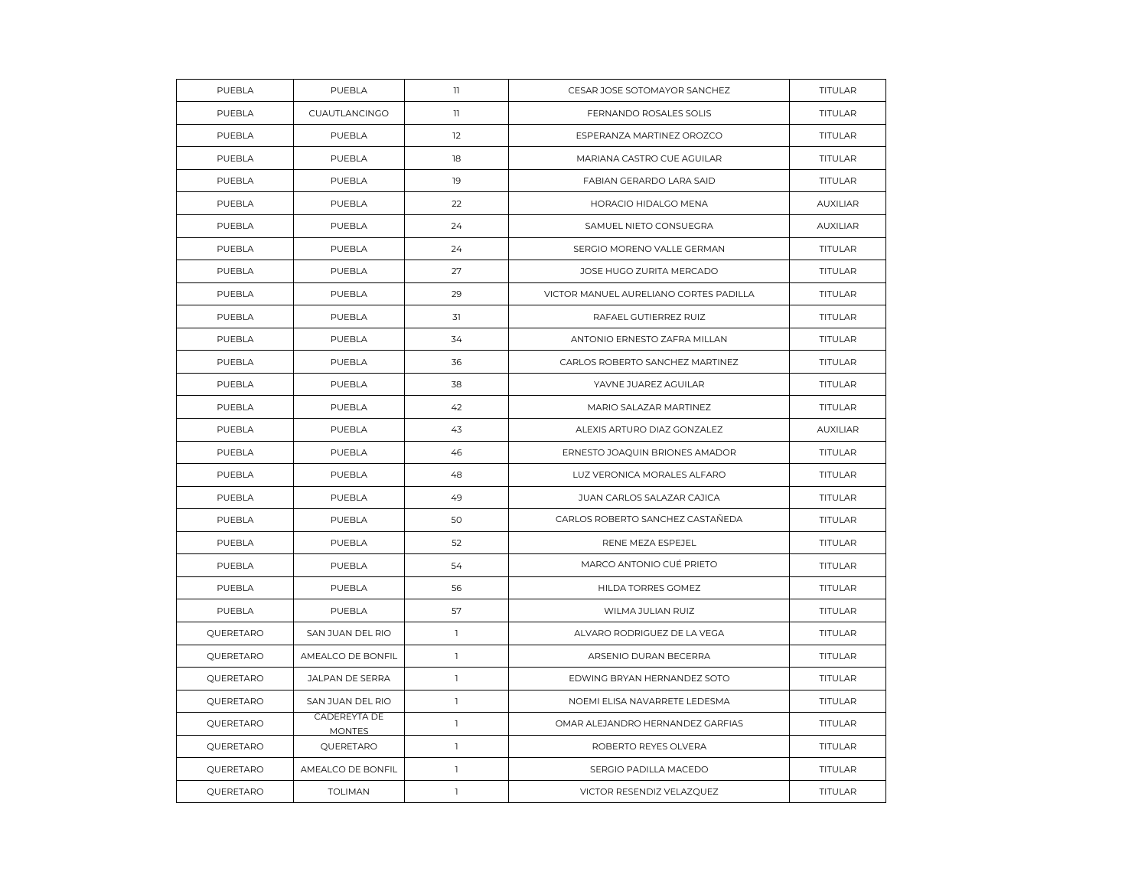| PUEBLA    | PUEBLA                        | $\mathbf{1}$ | CESAR JOSE SOTOMAYOR SANCHEZ           | <b>TITULAR</b>  |
|-----------|-------------------------------|--------------|----------------------------------------|-----------------|
| PUEBLA    | CUAUTLANCINGO                 | $\mathbb{I}$ | FERNANDO ROSALES SOLIS                 | <b>TITULAR</b>  |
| PUEBLA    | PUEBLA                        | 12           | ESPERANZA MARTINEZ OROZCO              | TITULAR         |
| PUEBLA    | PUEBLA                        | 18           | MARIANA CASTRO CUE AGUILAR             | TITULAR         |
| PUEBLA    | PUEBLA                        | 19           | FABIAN GERARDO LARA SAID               | TITULAR         |
| PUEBLA    | PUEBLA                        | 22           | HORACIO HIDALGO MENA                   | <b>AUXILIAR</b> |
| PUEBLA    | PUEBLA                        | 24           | SAMUEL NIETO CONSUEGRA                 | <b>AUXILIAR</b> |
| PUEBLA    | PUEBLA                        | 24           | SERGIO MORENO VALLE GERMAN             | <b>TITULAR</b>  |
| PUEBLA    | PUEBLA                        | 27           | JOSE HUGO ZURITA MERCADO               | TITULAR         |
| PUEBLA    | PUEBLA                        | 29           | VICTOR MANUEL AURELIANO CORTES PADILLA | TITULAR         |
| PUEBLA    | PUEBLA                        | 31           | RAFAEL GUTIERREZ RUIZ                  | <b>TITULAR</b>  |
| PUEBLA    | PUEBLA                        | 34           | ANTONIO ERNESTO ZAFRA MILLAN           | TITULAR         |
| PUEBLA    | PUEBLA                        | 36           | CARLOS ROBERTO SANCHEZ MARTINEZ        | <b>TITULAR</b>  |
| PUEBLA    | PUEBLA                        | 38           | YAVNE JUAREZ AGUILAR                   | <b>TITULAR</b>  |
| PUEBLA    | PUEBLA                        | 42           | MARIO SALAZAR MARTINEZ                 | TITULAR         |
| PUEBLA    | PUEBLA                        | 43           | ALEXIS ARTURO DIAZ GONZALEZ            | <b>AUXILIAR</b> |
| PUEBLA    | PUEBLA                        | 46           | ERNESTO JOAQUIN BRIONES AMADOR         | <b>TITULAR</b>  |
| PUEBLA    | PUEBLA                        | 48           | LUZ VERONICA MORALES ALFARO            | TITULAR         |
| PUEBLA    | PUEBLA                        | 49           | JUAN CARLOS SALAZAR CAJICA             | <b>TITULAR</b>  |
| PUEBLA    | PUEBLA                        | 50           | CARLOS ROBERTO SANCHEZ CASTAÑEDA       | <b>TITULAR</b>  |
| PUEBLA    | PUEBLA                        | 52           | RENE MEZA ESPEJEL                      | TITULAR         |
| PUEBLA    | PUEBLA                        | 54           | MARCO ANTONIO CUÉ PRIETO               | <b>TITULAR</b>  |
| PUEBLA    | PUEBLA                        | 56           | HILDA TORRES GOMEZ                     | <b>TITULAR</b>  |
| PUEBLA    | PUEBLA                        | 57           | WILMA JULIAN RUIZ                      | TITULAR         |
| QUERETARO | SAN JUAN DEL RIO              | $\mathbf{1}$ | ALVARO RODRIGUEZ DE LA VEGA            | TITULAR         |
| QUERETARO | AMEALCO DE BONFIL             | $\mathbf{1}$ | ARSENIO DURAN BECERRA                  | <b>TITULAR</b>  |
| QUERETARO | JALPAN DE SERRA               | $\mathbf{1}$ | EDWING BRYAN HERNANDEZ SOTO            | TITULAR         |
| QUERETARO | SAN JUAN DEL RIO              | $\mathbb{I}$ | NOEMI ELISA NAVARRETE LEDESMA          | <b>TITULAR</b>  |
| QUERETARO | CADEREYTA DE<br><b>MONTES</b> | $\mathbb{I}$ | OMAR ALEJANDRO HERNANDEZ GARFIAS       | TITULAR         |
| QUERETARO | QUERETARO                     | $\mathbf{1}$ | ROBERTO REYES OLVERA                   | TITULAR         |
| QUERETARO | AMEALCO DE BONFIL             | $\mathbf{1}$ | SERGIO PADILLA MACEDO                  | TITULAR         |
| QUERETARO | <b>TOLIMAN</b>                | $\mathbf{1}$ | VICTOR RESENDIZ VELAZQUEZ              | <b>TITULAR</b>  |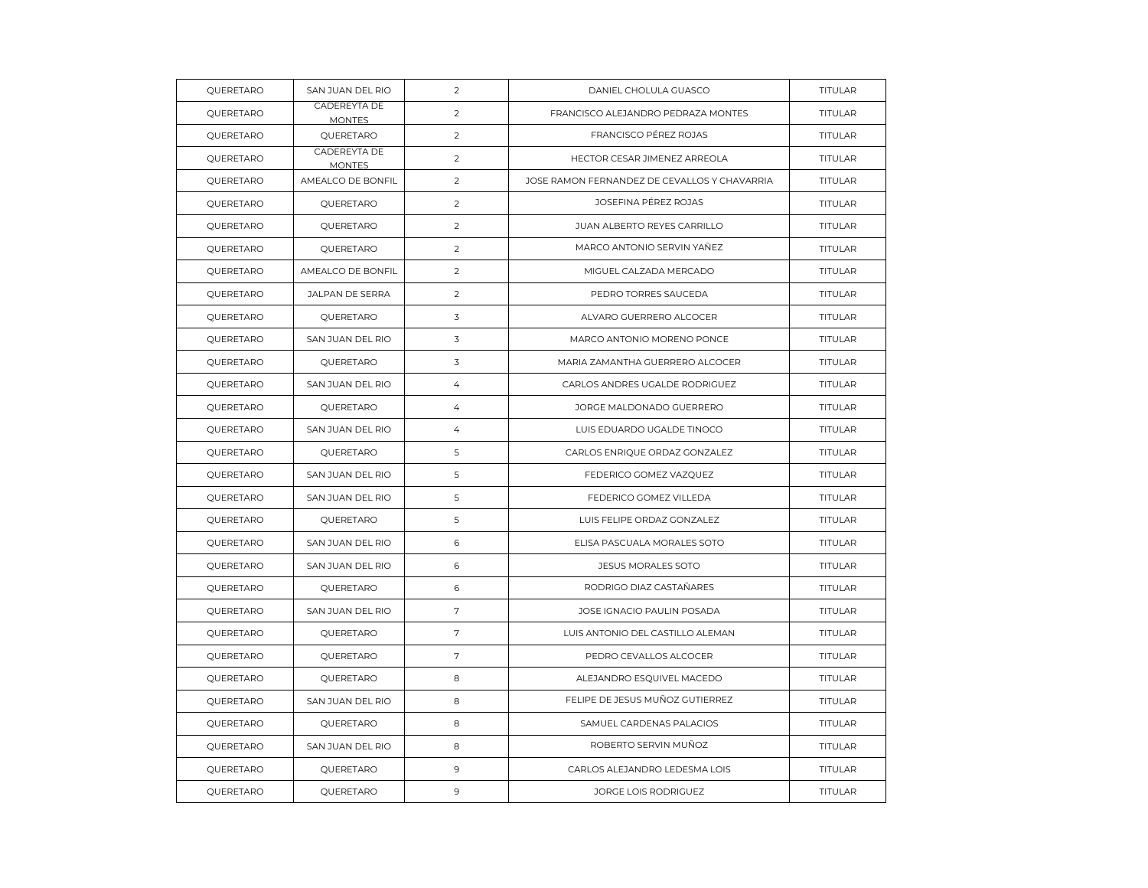| QUERETARO | SAN JUAN DEL RIO              | 2              | DANIEL CHOLULA GUASCO                        | TITULAR        |
|-----------|-------------------------------|----------------|----------------------------------------------|----------------|
| QUERETARO | CADEREYTA DE<br><b>MONTES</b> | $\overline{2}$ | FRANCISCO ALEJANDRO PEDRAZA MONTES           | TITULAR        |
| QUERETARO | QUERETARO                     | 2              | FRANCISCO PÉREZ ROJAS                        | <b>TITULAR</b> |
| QUERETARO | CADEREYTA DE<br><b>MONTES</b> | 2              | HECTOR CESAR JIMENEZ ARREOLA                 | <b>TITULAR</b> |
| QUERETARO | AMEALCO DE BONFIL             | 2              | JOSE RAMON FERNANDEZ DE CEVALLOS Y CHAVARRIA | <b>TITULAR</b> |
| QUERETARO | QUERETARO                     | 2              | JOSEFINA PÉREZ ROJAS                         | <b>TITULAR</b> |
| QUERETARO | QUERETARO                     | 2              | JUAN ALBERTO REYES CARRILLO                  | TITULAR        |
| QUERETARO | QUERETARO                     | $\overline{2}$ | MARCO ANTONIO SERVIN YAÑEZ                   | <b>TITULAR</b> |
| QUERETARO | AMEALCO DE BONFIL             | 2              | MIGUEL CALZADA MERCADO                       | <b>TITULAR</b> |
| QUERETARO | JALPAN DE SERRA               | $\overline{2}$ | PEDRO TORRES SAUCEDA                         | TITULAR        |
| QUERETARO | QUERETARO                     | 3              | ALVARO GUERRERO ALCOCER                      | TITULAR        |
| QUERETARO | SAN JUAN DEL RIO              | 3              | MARCO ANTONIO MORENO PONCE                   | <b>TITULAR</b> |
| QUERETARO | QUERETARO                     | 3              | MARIA ZAMANTHA GUERRERO ALCOCER              | <b>TITULAR</b> |
| QUERETARO | SAN JUAN DEL RIO              | $\overline{4}$ | CARLOS ANDRES UGALDE RODRIGUEZ               | <b>TITULAR</b> |
| QUERETARO | QUERETARO                     | 4              | JORGE MALDONADO GUERRERO                     | TITULAR        |
| QUERETARO | SAN JUAN DEL RIO              | $\overline{4}$ | LUIS EDUARDO UGALDE TINOCO                   | TITULAR        |
| QUERETARO | QUERETARO                     | 5              | CARLOS ENRIQUE ORDAZ GONZALEZ                | <b>TITULAR</b> |
| QUERETARO | SAN JUAN DEL RIO              | 5              | FEDERICO GOMEZ VAZQUEZ                       | <b>TITULAR</b> |
| QUERETARO | SAN JUAN DEL RIO              | 5              | FEDERICO GOMEZ VILLEDA                       | <b>TITULAR</b> |
| QUERETARO | QUERETARO                     | 5              | LUIS FELIPE ORDAZ GONZALEZ                   | TITULAR        |
| QUERETARO | SAN JUAN DEL RIO              | 6              | ELISA PASCUALA MORALES SOTO                  | TITULAR        |
| QUERETARO | SAN JUAN DEL RIO              | 6              | <b>JESUS MORALES SOTO</b>                    | <b>TITULAR</b> |
| QUERETARO | QUERETARO                     | 6              | RODRIGO DIAZ CASTAÑARES                      | <b>TITULAR</b> |
| QUERETARO | SAN JUAN DEL RIO              | 7              | JOSE IGNACIO PAULIN POSADA                   | TITULAR        |
| QUERETARO | QUERETARO                     | $\overline{7}$ | LUIS ANTONIO DEL CASTILLO ALEMAN             | <b>TITULAR</b> |
| QUERETARO | QUERETARO                     | 7              | PEDRO CEVALLOS ALCOCER                       | TITULAR        |
| QUERETARO | QUERETARO                     | 8              | ALEJANDRO ESQUIVEL MACEDO                    | TITULAR        |
| QUERETARO | SAN JUAN DEL RIO              | 8              | FELIPE DE JESUS MUÑOZ GUTIERREZ              | <b>TITULAR</b> |
| QUERETARO | QUERETARO                     | 8              | SAMUEL CARDENAS PALACIOS                     | TITULAR        |
| QUERETARO | SAN JUAN DEL RIO              | 8              | ROBERTO SERVIN MUÑOZ                         | TITULAR        |
| QUERETARO | QUERETARO                     | $\overline{9}$ | CARLOS ALEJANDRO LEDESMA LOIS                | <b>TITULAR</b> |
| QUERETARO | QUERETARO                     | $\mathbf{9}$   | JORGE LOIS RODRIGUEZ                         | TITULAR        |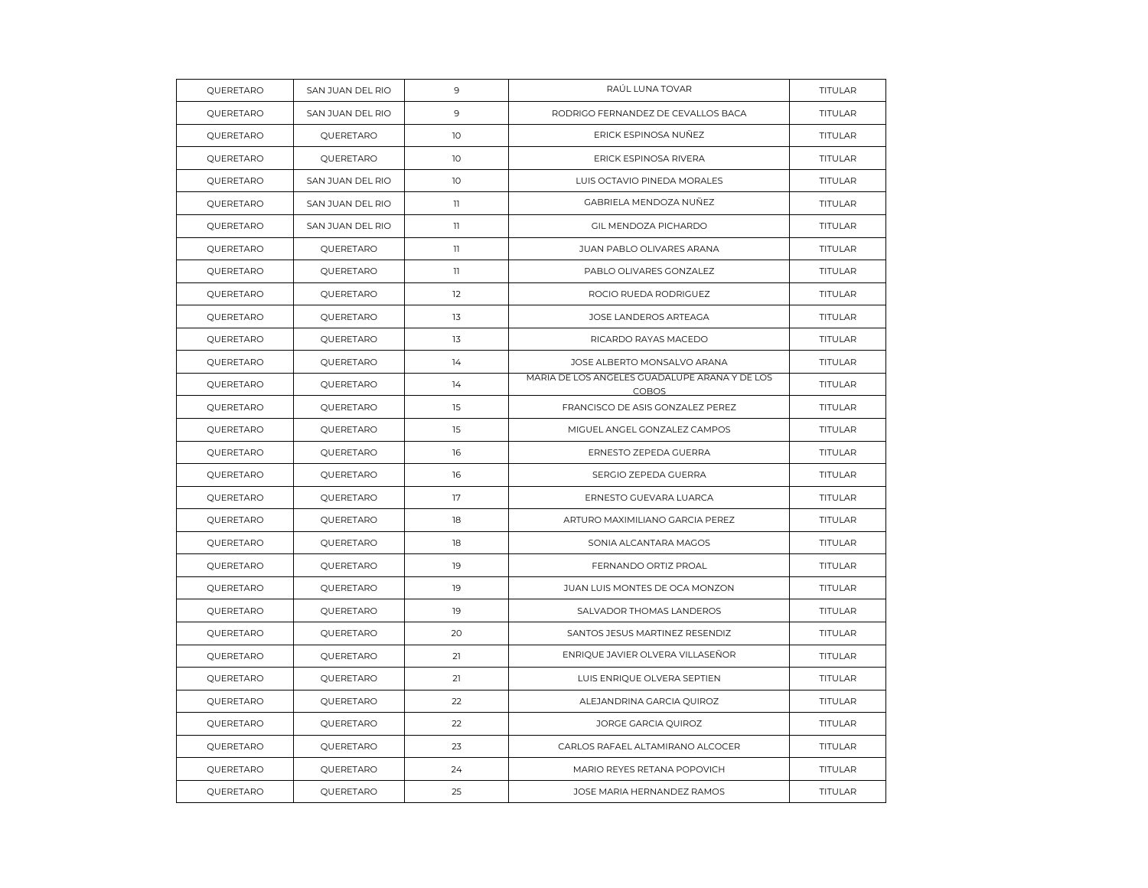| QUERETARO | SAN JUAN DEL RIO | 9               | RAÚL LUNA TOVAR                                               | TITULAR        |
|-----------|------------------|-----------------|---------------------------------------------------------------|----------------|
| QUERETARO | SAN JUAN DEL RIO | 9               | RODRIGO FERNANDEZ DE CEVALLOS BACA                            | <b>TITULAR</b> |
| QUERETARO | QUERETARO        | 10              | ERICK ESPINOSA NUÑEZ                                          | TITULAR        |
| QUERETARO | QUERETARO        | 10 <sup>°</sup> | ERICK ESPINOSA RIVERA                                         | TITULAR        |
| QUERETARO | SAN JUAN DEL RIO | 10 <sup>°</sup> | LUIS OCTAVIO PINEDA MORALES                                   | <b>TITULAR</b> |
| QUERETARO | SAN JUAN DEL RIO | 11              | GABRIELA MENDOZA NUÑEZ                                        | TITULAR        |
| QUERETARO | SAN JUAN DEL RIO | $\mathbb{I}$    | GIL MENDOZA PICHARDO                                          | TITULAR        |
| QUERETARO | QUERETARO        | $\mathbf{1}$    | JUAN PABLO OLIVARES ARANA                                     | TITULAR        |
| QUERETARO | QUERETARO        | 11              | PABLO OLIVARES GONZALEZ                                       | <b>TITULAR</b> |
| QUERETARO | QUERETARO        | 12              | ROCIO RUEDA RODRIGUEZ                                         | TITULAR        |
| QUERETARO | QUERETARO        | 13              | JOSE LANDEROS ARTEAGA                                         | TITULAR        |
| QUERETARO | QUERETARO        | 13              | RICARDO RAYAS MACEDO                                          | <b>TITULAR</b> |
| QUERETARO | QUERETARO        | 14              | JOSE ALBERTO MONSALVO ARANA                                   | <b>TITULAR</b> |
| QUERETARO | QUERETARO        | 14              | MARIA DE LOS ANGELES GUADALUPE ARANA Y DE LOS<br><b>COBOS</b> | TITULAR        |
| QUERETARO | QUERETARO        | 15              | FRANCISCO DE ASIS GONZALEZ PEREZ                              | TITULAR        |
| QUERETARO | QUERETARO        | 15              | MIGUEL ANGEL GONZALEZ CAMPOS                                  | <b>TITULAR</b> |
| QUERETARO | QUERETARO        | 16              | ERNESTO ZEPEDA GUERRA                                         | TITULAR        |
| QUERETARO | QUERETARO        | 16              | SERGIO ZEPEDA GUERRA                                          | TITULAR        |
| QUERETARO | QUERETARO        | 17              | ERNESTO GUEVARA LUARCA                                        | TITULAR        |
| QUERETARO | QUERETARO        | 18              | ARTURO MAXIMILIANO GARCIA PEREZ                               | <b>TITULAR</b> |
| QUERETARO | QUERETARO        | 18              | SONIA ALCANTARA MAGOS                                         | TITULAR        |
| QUERETARO | QUERETARO        | 19              | FERNANDO ORTIZ PROAL                                          | <b>TITULAR</b> |
| QUERETARO | QUERETARO        | 19              | JUAN LUIS MONTES DE OCA MONZON                                | <b>TITULAR</b> |
| QUERETARO | QUERETARO        | 19              | SALVADOR THOMAS LANDEROS                                      | TITULAR        |
| QUERETARO | QUERETARO        | 20              | SANTOS JESUS MARTINEZ RESENDIZ                                | TITULAR        |
| QUERETARO | QUERETARO        | 21              | ENRIQUE JAVIER OLVERA VILLASEÑOR                              | <b>TITULAR</b> |
| QUERETARO | QUERETARO        | 21              | LUIS ENRIQUE OLVERA SEPTIEN                                   | TITULAR        |
| QUERETARO | QUERETARO        | 22              | ALEJANDRINA GARCIA QUIROZ                                     | TITULAR        |
| QUERETARO | QUERETARO        | 22              | JORGE GARCIA QUIROZ                                           | <b>TITULAR</b> |
| QUERETARO | QUERETARO        | 23              | CARLOS RAFAEL ALTAMIRANO ALCOCER                              | TITULAR        |
| QUERETARO | QUERETARO        | 24              | MARIO REYES RETANA POPOVICH                                   | TITULAR        |
| QUERETARO | QUERETARO        | 25              | JOSE MARIA HERNANDEZ RAMOS                                    | TITULAR        |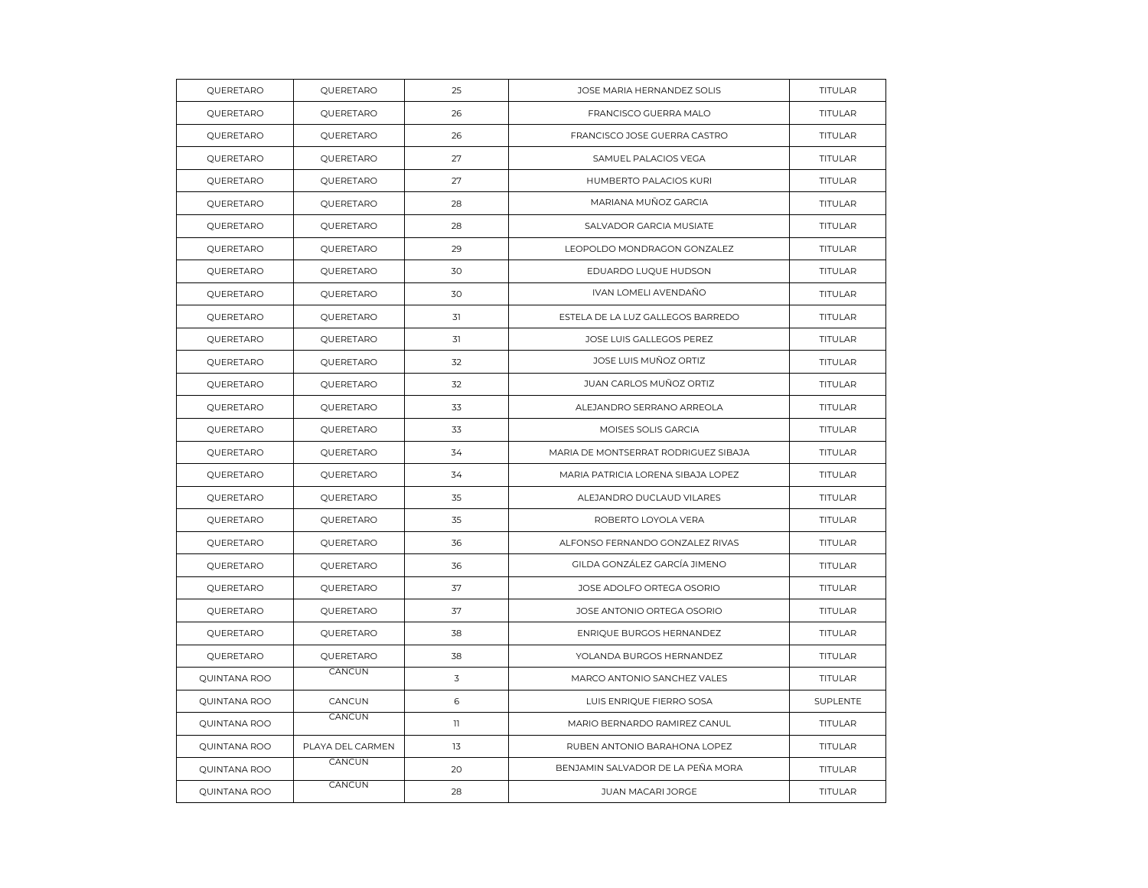| QUERETARO    | QUERETARO        | 25                      | JOSE MARIA HERNANDEZ SOLIS           | TITULAR        |
|--------------|------------------|-------------------------|--------------------------------------|----------------|
| QUERETARO    | QUERETARO        | 26                      | FRANCISCO GUERRA MALO                | <b>TITULAR</b> |
| QUERETARO    | QUERETARO        | 26                      | FRANCISCO JOSE GUERRA CASTRO         | TITULAR        |
| QUERETARO    | QUERETARO        | 27                      | SAMUEL PALACIOS VEGA                 | TITULAR        |
| QUERETARO    | QUERETARO        | 27                      | HUMBERTO PALACIOS KURI               | <b>TITULAR</b> |
| QUERETARO    | QUERETARO        | 28                      | MARIANA MUÑOZ GARCIA                 | <b>TITULAR</b> |
| QUERETARO    | QUERETARO        | 28                      | SALVADOR GARCIA MUSIATE              | TITULAR        |
| QUERETARO    | QUERETARO        | 29                      | LEOPOLDO MONDRAGON GONZALEZ          | TITULAR        |
| QUERETARO    | QUERETARO        | 30                      | EDUARDO LUQUE HUDSON                 | <b>TITULAR</b> |
| QUERETARO    | QUERETARO        | 30                      | IVAN LOMELI AVENDAÑO                 | <b>TITULAR</b> |
| QUERETARO    | QUERETARO        | 31                      | ESTELA DE LA LUZ GALLEGOS BARREDO    | TITULAR        |
| QUERETARO    | QUERETARO        | 31                      | JOSE LUIS GALLEGOS PEREZ             | <b>TITULAR</b> |
| QUERETARO    | QUERETARO        | 32                      | JOSE LUIS MUÑOZ ORTIZ                | <b>TITULAR</b> |
| QUERETARO    | QUERETARO        | 32                      | JUAN CARLOS MUÑOZ ORTIZ              | TITULAR        |
| QUERETARO    | QUERETARO        | 33                      | ALEJANDRO SERRANO ARREOLA            | TITULAR        |
| QUERETARO    | QUERETARO        | 33                      | MOISES SOLIS GARCIA                  | <b>TITULAR</b> |
| QUERETARO    | QUERETARO        | 34                      | MARIA DE MONTSERRAT RODRIGUEZ SIBAJA | TITULAR        |
| QUERETARO    | QUERETARO        | 34                      | MARIA PATRICIA LORENA SIBAJA LOPEZ   | TITULAR        |
| QUERETARO    | QUERETARO        | 35                      | ALEJANDRO DUCLAUD VILARES            | TITULAR        |
| QUERETARO    | QUERETARO        | 35                      | ROBERTO LOYOLA VERA                  | <b>TITULAR</b> |
| QUERETARO    | QUERETARO        | 36                      | ALFONSO FERNANDO GONZALEZ RIVAS      | TITULAR        |
| QUERETARO    | QUERETARO        | 36                      | GILDA GONZÁLEZ GARCÍA JIMENO         | TITULAR        |
| QUERETARO    | QUERETARO        | 37                      | JOSE ADOLFO ORTEGA OSORIO            | <b>TITULAR</b> |
| QUERETARO    | QUERETARO        | 37                      | JOSE ANTONIO ORTEGA OSORIO           | TITULAR        |
| QUERETARO    | QUERETARO        | 38                      | ENRIQUE BURGOS HERNANDEZ             | TITULAR        |
| QUERETARO    | QUERETARO        | 38                      | YOLANDA BURGOS HERNANDEZ             | <b>TITULAR</b> |
| QUINTANA ROO | CANCUN           | $\overline{\mathsf{3}}$ | MARCO ANTONIO SANCHEZ VALES          | TITULAR        |
| QUINTANA ROO | CANCUN           | 6                       | LUIS ENRIQUE FIERRO SOSA             | SUPLENTE       |
| QUINTANA ROO | CANCUN           | $\mathbf{1}$            | MARIO BERNARDO RAMIREZ CANUL         | <b>TITULAR</b> |
| QUINTANA ROO | PLAYA DEL CARMEN | 13                      | RUBEN ANTONIO BARAHONA LOPEZ         | <b>TITULAR</b> |
| QUINTANA ROO | CANCUN           | 20                      | BENJAMIN SALVADOR DE LA PEÑA MORA    | TITULAR        |
| QUINTANA ROO | CANCUN           | 28                      | JUAN MACARI JORGE                    | TITULAR        |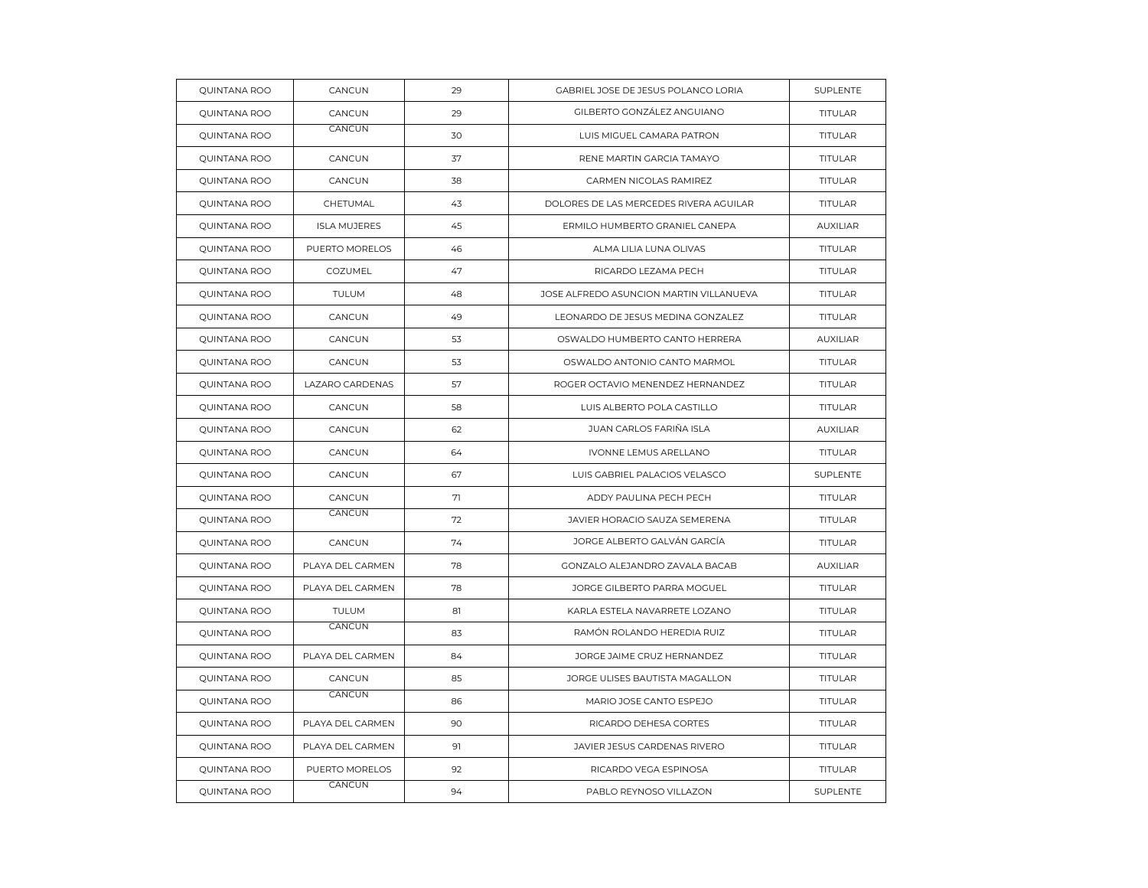| <b>QUINTANA ROO</b> | CANCUN              | 29 | GABRIEL JOSE DE JESUS POLANCO LORIA     | <b>SUPLENTE</b> |
|---------------------|---------------------|----|-----------------------------------------|-----------------|
| <b>QUINTANA ROO</b> | CANCUN              | 29 | GILBERTO GONZÁLEZ ANGUIANO              | <b>TITULAR</b>  |
| QUINTANA ROO        | CANCUN              | 30 | LUIS MIGUEL CAMARA PATRON               | <b>TITULAR</b>  |
| QUINTANA ROO        | CANCUN              | 37 | RENE MARTIN GARCIA TAMAYO               | <b>TITULAR</b>  |
| QUINTANA ROO        | CANCUN              | 38 | CARMEN NICOLAS RAMIREZ                  | <b>TITULAR</b>  |
| QUINTANA ROO        | CHETUMAL            | 43 | DOLORES DE LAS MERCEDES RIVERA AGUILAR  | TITULAR         |
| QUINTANA ROO        | <b>ISLA MUJERES</b> | 45 | ERMILO HUMBERTO GRANIEL CANEPA          | <b>AUXILIAR</b> |
| QUINTANA ROO        | PUERTO MORELOS      | 46 | ALMA LILIA LUNA OLIVAS                  | <b>TITULAR</b>  |
| <b>QUINTANA ROO</b> | COZUMEL             | 47 | RICARDO LEZAMA PECH                     | <b>TITULAR</b>  |
| QUINTANA ROO        | <b>TULUM</b>        | 48 | JOSE ALFREDO ASUNCION MARTIN VILLANUEVA | TITULAR         |
| QUINTANA ROO        | CANCUN              | 49 | LEONARDO DE JESUS MEDINA GONZALEZ       | TITULAR         |
| <b>QUINTANA ROO</b> | CANCUN              | 53 | OSWALDO HUMBERTO CANTO HERRERA          | <b>AUXILIAR</b> |
| QUINTANA ROO        | CANCUN              | 53 | OSWALDO ANTONIO CANTO MARMOL            | TITULAR         |
| QUINTANA ROO        | LAZARO CARDENAS     | 57 | ROGER OCTAVIO MENENDEZ HERNANDEZ        | TITULAR         |
| <b>QUINTANA ROO</b> | CANCUN              | 58 | LUIS ALBERTO POLA CASTILLO              | TITULAR         |
| QUINTANA ROO        | CANCUN              | 62 | JUAN CARLOS FARIÑA ISLA                 | <b>AUXILIAR</b> |
| QUINTANA ROO        | CANCUN              | 64 | IVONNE LEMUS ARELLANO                   | TITULAR         |
| <b>QUINTANA ROO</b> | CANCUN              | 67 | LUIS GABRIEL PALACIOS VELASCO           | SUPLENTE        |
| QUINTANA ROO        | CANCUN              | 71 | ADDY PAULINA PECH PECH                  | <b>TITULAR</b>  |
| QUINTANA ROO        | CANCUN              | 72 | JAVIER HORACIO SAUZA SEMERENA           | TITULAR         |
| QUINTANA ROO        | CANCUN              | 74 | JORGE ALBERTO GALVÁN GARCÍA             | <b>TITULAR</b>  |
| <b>QUINTANA ROO</b> | PLAYA DEL CARMEN    | 78 | GONZALO ALEJANDRO ZAVALA BACAB          | <b>AUXILIAR</b> |
| <b>QUINTANA ROO</b> | PLAYA DEL CARMEN    | 78 | JORGE GILBERTO PARRA MOGUEL             | TITULAR         |
| QUINTANA ROO        | TULUM               | 81 | KARLA ESTELA NAVARRETE LOZANO           | TITULAR         |
| QUINTANA ROO        | CANCUN              | 83 | RAMÓN ROLANDO HEREDIA RUIZ              | TITULAR         |
| QUINTANA ROO        | PLAYA DEL CARMEN    | 84 | JORGE JAIME CRUZ HERNANDEZ              | TITULAR         |
| QUINTANA ROO        | CANCUN              | 85 | JORGE ULISES BAUTISTA MAGALLON          | <b>TITULAR</b>  |
| QUINTANA ROO        | CANCUN              | 86 | MARIO JOSE CANTO ESPEJO                 | <b>TITULAR</b>  |
| QUINTANA ROO        | PLAYA DEL CARMEN    | 90 | RICARDO DEHESA CORTES                   | TITULAR         |
| QUINTANA ROO        | PLAYA DEL CARMEN    | 91 | JAVIER JESUS CARDENAS RIVERO            | <b>TITULAR</b>  |
| QUINTANA ROO        | PUERTO MORELOS      | 92 | RICARDO VEGA ESPINOSA                   | <b>TITULAR</b>  |
| <b>QUINTANA ROO</b> | CANCUN              | 94 | PABLO REYNOSO VILLAZON                  | SUPLENTE        |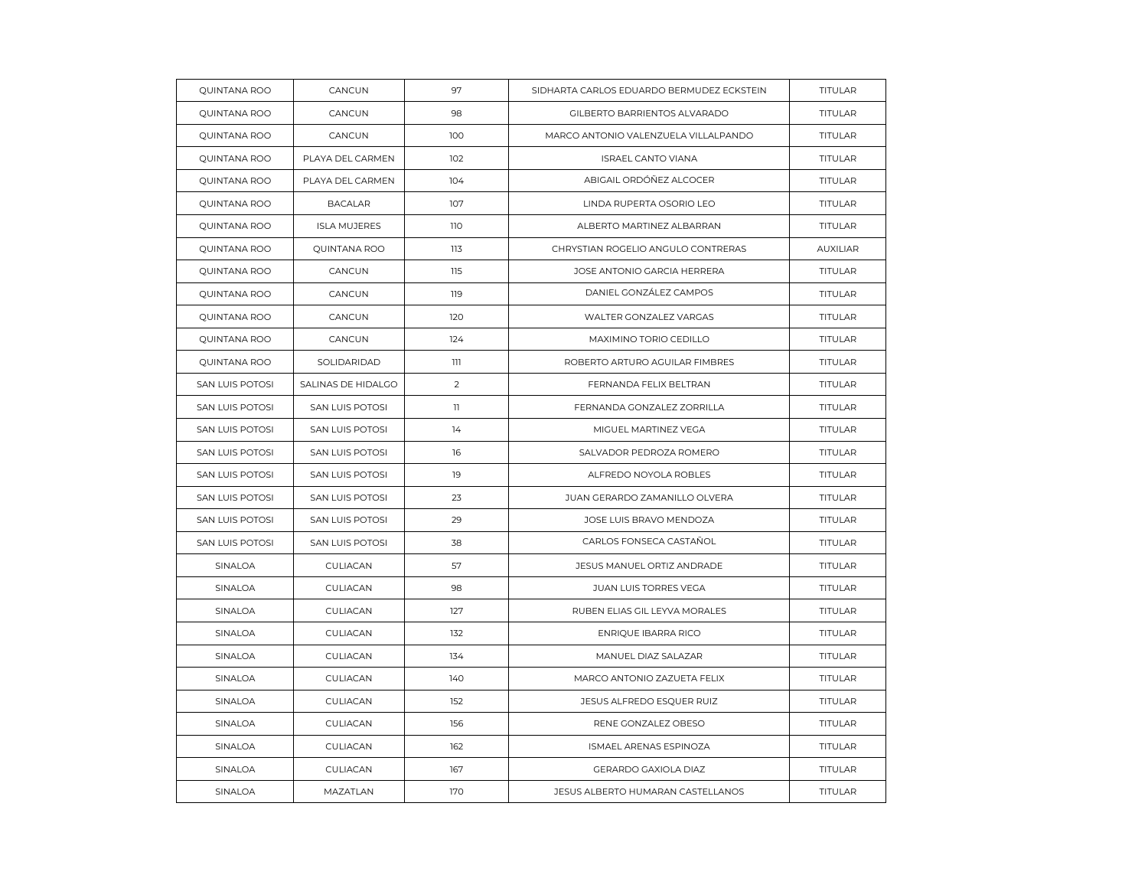| QUINTANA ROO        | CANCUN              | 97             | SIDHARTA CARLOS EDUARDO BERMUDEZ ECKSTEIN | <b>TITULAR</b>  |
|---------------------|---------------------|----------------|-------------------------------------------|-----------------|
| QUINTANA ROO        | CANCUN              | 98             | GILBERTO BARRIENTOS ALVARADO              | <b>TITULAR</b>  |
| QUINTANA ROO        | CANCUN              | 100            | MARCO ANTONIO VALENZUELA VILLALPANDO      | TITULAR         |
| QUINTANA ROO        | PLAYA DEL CARMEN    | 102            | <b>ISRAEL CANTO VIANA</b>                 | <b>TITULAR</b>  |
| QUINTANA ROO        | PLAYA DEL CARMEN    | 104            | ABIGAIL ORDÓÑEZ ALCOCER                   | <b>TITULAR</b>  |
| <b>QUINTANA ROO</b> | <b>BACALAR</b>      | 107            | LINDA RUPERTA OSORIO LEO                  | TITULAR         |
| QUINTANA ROO        | <b>ISLA MUJERES</b> | 110            | ALBERTO MARTINEZ ALBARRAN                 | <b>TITULAR</b>  |
| QUINTANA ROO        | QUINTANA ROO        | 113            | CHRYSTIAN ROGELIO ANGULO CONTRERAS        | <b>AUXILIAR</b> |
| QUINTANA ROO        | CANCUN              | 115            | JOSE ANTONIO GARCIA HERRERA               | <b>TITULAR</b>  |
| QUINTANA ROO        | CANCUN              | 119            | DANIEL GONZÁLEZ CAMPOS                    | <b>TITULAR</b>  |
| QUINTANA ROO        | CANCUN              | 120            | WALTER GONZALEZ VARGAS                    | TITULAR         |
| QUINTANA ROO        | CANCUN              | 124            | MAXIMINO TORIO CEDILLO                    | <b>TITULAR</b>  |
| <b>QUINTANA ROO</b> | SOLIDARIDAD         | 111            | ROBERTO ARTURO AGUILAR FIMBRES            | <b>TITULAR</b>  |
| SAN LUIS POTOSI     | SALINAS DE HIDALGO  | $\overline{2}$ | FERNANDA FELIX BELTRAN                    | TITULAR         |
| SAN LUIS POTOSI     | SAN LUIS POTOSI     | $\mathbf{1}$   | FERNANDA GONZALEZ ZORRILLA                | TITULAR         |
| SAN LUIS POTOSI     | SAN LUIS POTOSI     | 14             | MIGUEL MARTINEZ VEGA                      | <b>TITULAR</b>  |
| SAN LUIS POTOSI     | SAN LUIS POTOSI     | 16             | SALVADOR PEDROZA ROMERO                   | TITULAR         |
| SAN LUIS POTOSI     | SAN LUIS POTOSI     | 19             | ALFREDO NOYOLA ROBLES                     | TITULAR         |
| SAN LUIS POTOSI     | SAN LUIS POTOSI     | 23             | JUAN GERARDO ZAMANILLO OLVERA             | TITULAR         |
| SAN LUIS POTOSI     | SAN LUIS POTOSI     | 29             | JOSE LUIS BRAVO MENDOZA                   | <b>TITULAR</b>  |
| SAN LUIS POTOSI     | SAN LUIS POTOSI     | 38             | CARLOS FONSECA CASTAÑOL                   | TITULAR         |
| SINALOA             | CULIACAN            | 57             | JESUS MANUEL ORTIZ ANDRADE                | TITULAR         |
| SINALOA             | CULIACAN            | 98             | JUAN LUIS TORRES VEGA                     | <b>TITULAR</b>  |
| SINALOA             | CULIACAN            | 127            | RUBEN ELIAS GIL LEYVA MORALES             | TITULAR         |
| SINALOA             | CULIACAN            | 132            | ENRIQUE IBARRA RICO                       | TITULAR         |
| SINALOA             | CULIACAN            | 134            | MANUEL DIAZ SALAZAR                       | <b>TITULAR</b>  |
| SINALOA             | CULIACAN            | 140            | MARCO ANTONIO ZAZUETA FELIX               | TITULAR         |
| SINALOA             | CULIACAN            | 152            | JESUS ALFREDO ESQUER RUIZ                 | TITULAR         |
| SINALOA             | CULIACAN            | 156            | RENE GONZALEZ OBESO                       | <b>TITULAR</b>  |
| SINALOA             | CULIACAN            | 162            | ISMAEL ARENAS ESPINOZA                    | <b>TITULAR</b>  |
| SINALOA             | CULIACAN            | 167            | GERARDO GAXIOLA DIAZ                      | TITULAR         |
| SINALOA             | MAZATLAN            | 170            | JESUS ALBERTO HUMARAN CASTELLANOS         | TITULAR         |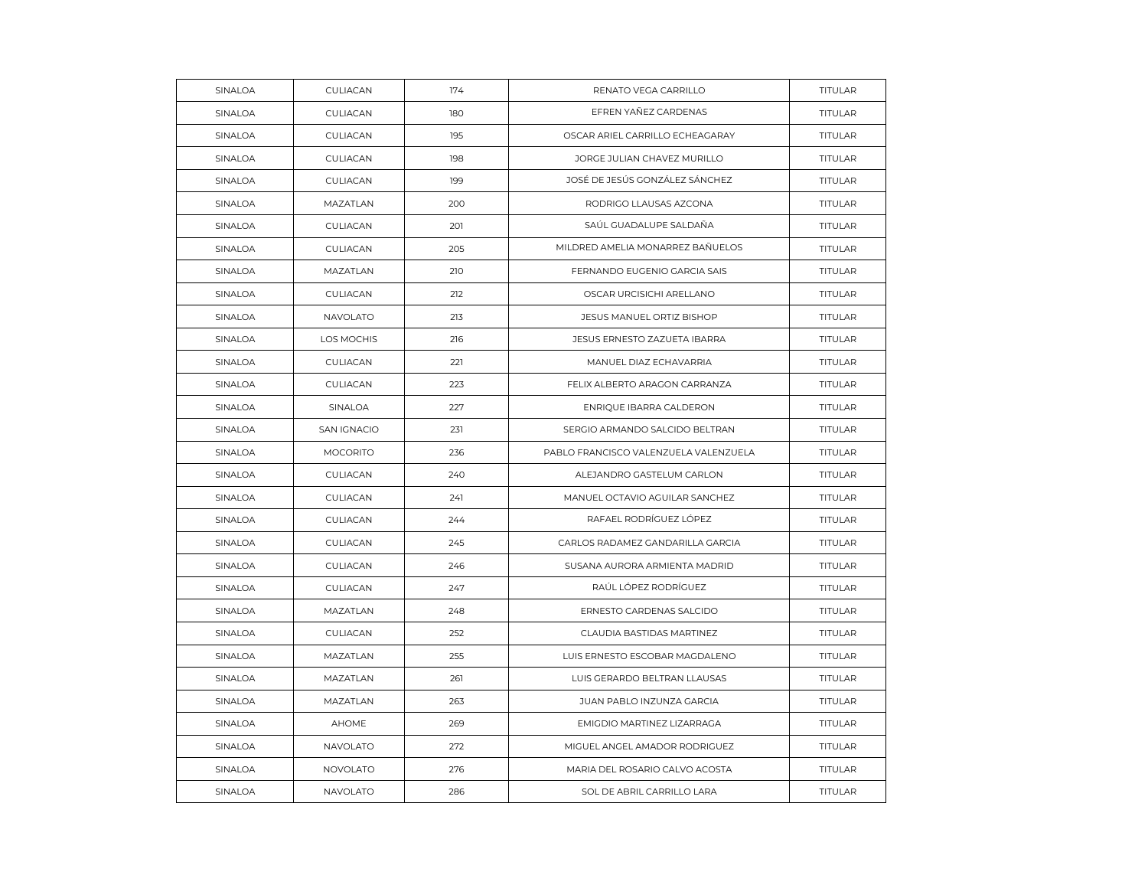| SINALOA        | CULIACAN           | 174 | RENATO VEGA CARRILLO                  | TITULAR        |
|----------------|--------------------|-----|---------------------------------------|----------------|
| SINALOA        | CULIACAN           | 180 | EFREN YAÑEZ CARDENAS                  | TITULAR        |
| SINALOA        | CULIACAN           | 195 | OSCAR ARIEL CARRILLO ECHEAGARAY       | <b>TITULAR</b> |
| SINALOA        | CULIACAN           | 198 | JORGE JULIAN CHAVEZ MURILLO           | TITULAR        |
| SINALOA        | CULIACAN           | 199 | JOSÉ DE JESÚS GONZÁLEZ SÁNCHEZ        | TITULAR        |
| SINALOA        | MAZATLAN           | 200 | RODRIGO LLAUSAS AZCONA                | <b>TITULAR</b> |
| SINALOA        | CULIACAN           | 201 | SAÚL GUADALUPE SALDAÑA                | TITULAR        |
| SINALOA        | CULIACAN           | 205 | MILDRED AMELIA MONARREZ BAÑUELOS      | TITULAR        |
| SINALOA        | MAZATLAN           | 210 | FERNANDO EUGENIO GARCIA SAIS          | <b>TITULAR</b> |
| SINALOA        | CULIACAN           | 212 | OSCAR URCISICHI ARELLANO              | TITULAR        |
| SINALOA        | NAVOLATO           | 213 | JESUS MANUEL ORTIZ BISHOP             | TITULAR        |
| SINALOA        | LOS MOCHIS         | 216 | JESUS ERNESTO ZAZUETA IBARRA          | <b>TITULAR</b> |
| SINALOA        | CULIACAN           | 221 | MANUEL DIAZ ECHAVARRIA                | <b>TITULAR</b> |
| SINALOA        | CULIACAN           | 223 | FELIX ALBERTO ARAGON CARRANZA         | TITULAR        |
| SINALOA        | SINALOA            | 227 | ENRIQUE IBARRA CALDERON               | TITULAR        |
| SINALOA        | <b>SAN IGNACIO</b> | 231 | SERGIO ARMANDO SALCIDO BELTRAN        | TITULAR        |
| SINALOA        | <b>MOCORITO</b>    | 236 | PABLO FRANCISCO VALENZUELA VALENZUELA | <b>TITULAR</b> |
| SINALOA        | CULIACAN           | 240 | ALEJANDRO GASTELUM CARLON             | TITULAR        |
| SINALOA        | CULIACAN           | 241 | MANUEL OCTAVIO AGUILAR SANCHEZ        | TITULAR        |
| SINALOA        | CULIACAN           | 244 | RAFAEL RODRÍGUEZ LÓPEZ                | <b>TITULAR</b> |
| SINALOA        | CULIACAN           | 245 | CARLOS RADAMEZ GANDARILLA GARCIA      | TITULAR        |
| SINALOA        | CULIACAN           | 246 | SUSANA AURORA ARMIENTA MADRID         | TITULAR        |
| SINALOA        | CULIACAN           | 247 | RAÚL LÓPEZ RODRÍGUEZ                  | TITULAR        |
| SINALOA        | MAZATLAN           | 248 | ERNESTO CARDENAS SALCIDO              | TITULAR        |
| SINALOA        | CULIACAN           | 252 | CLAUDIA BASTIDAS MARTINEZ             | TITULAR        |
| SINALOA        | MAZATLAN           | 255 | LUIS ERNESTO ESCOBAR MAGDALENO        | TITULAR        |
| <b>SINALOA</b> | MAZATLAN           | 261 | LUIS GERARDO BELTRAN LLAUSAS          | TITULAR        |
| SINALOA        | MAZATLAN           | 263 | JUAN PABLO INZUNZA GARCIA             | TITULAR        |
| SINALOA        | <b>AHOME</b>       | 269 | EMIGDIO MARTINEZ LIZARRAGA            | <b>TITULAR</b> |
| SINALOA        | <b>NAVOLATO</b>    | 272 | MIGUEL ANGEL AMADOR RODRIGUEZ         | <b>TITULAR</b> |
| SINALOA        | <b>NOVOLATO</b>    | 276 | MARIA DEL ROSARIO CALVO ACOSTA        | TITULAR        |
| SINALOA        | NAVOLATO           | 286 | SOL DE ABRIL CARRILLO LARA            | TITULAR        |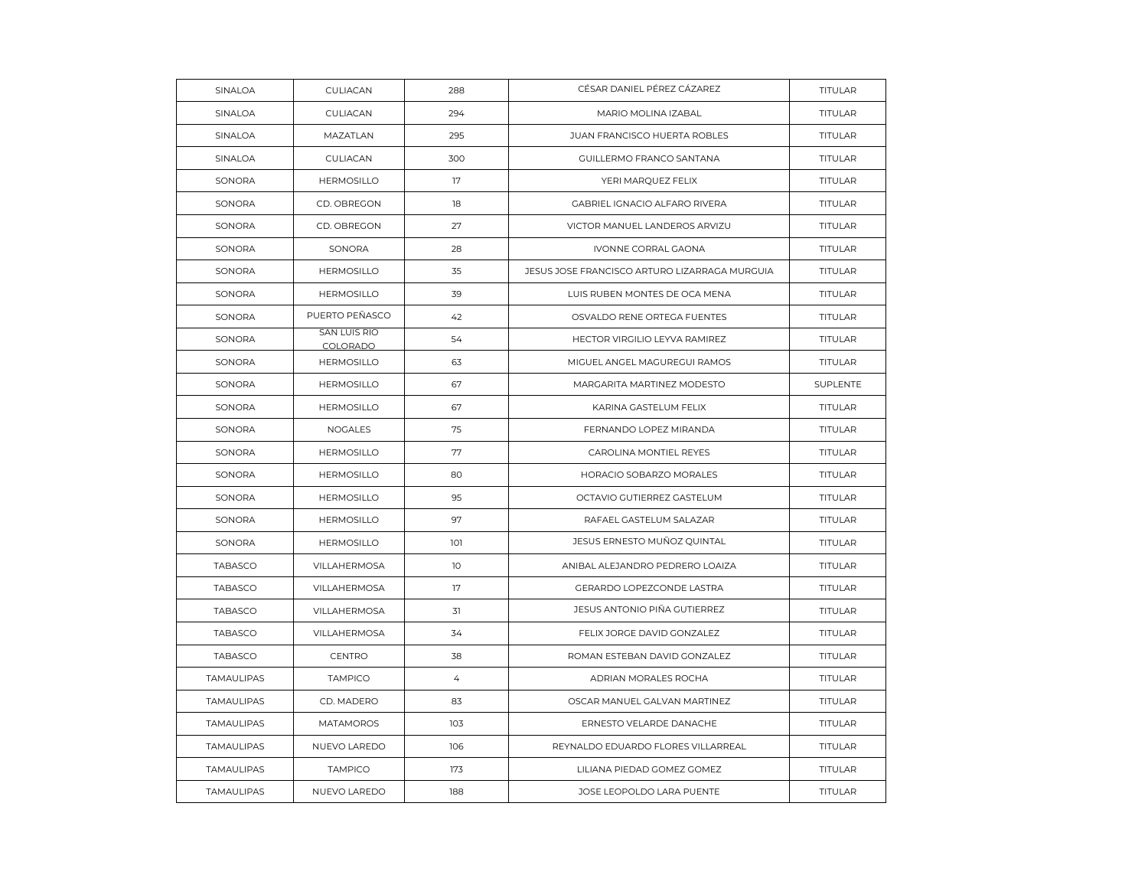| SINALOA        | CULIACAN                        | 288            | CÉSAR DANIEL PÉREZ CÁZAREZ                    | TITULAR        |
|----------------|---------------------------------|----------------|-----------------------------------------------|----------------|
| SINALOA        | CULIACAN                        | 294            | MARIO MOLINA IZABAL                           | <b>TITULAR</b> |
| SINALOA        | MAZATLAN                        | 295            | JUAN FRANCISCO HUERTA ROBLES                  | <b>TITULAR</b> |
| SINALOA        | CULIACAN                        | 300            | GUILLERMO FRANCO SANTANA                      | TITULAR        |
| SONORA         | <b>HERMOSILLO</b>               | 17             | YERI MARQUEZ FELIX                            | TITULAR        |
| SONORA         | CD. OBREGON                     | 18             | GABRIEL IGNACIO ALFARO RIVERA                 | <b>TITULAR</b> |
| SONORA         | CD. OBREGON                     | 27             | VICTOR MANUEL LANDEROS ARVIZU                 | <b>TITULAR</b> |
| SONORA         | SONORA                          | 28             | IVONNE CORRAL GAONA                           | TITULAR        |
| SONORA         | <b>HERMOSILLO</b>               | 35             | JESUS JOSE FRANCISCO ARTURO LIZARRAGA MURGUIA | <b>TITULAR</b> |
| SONORA         | <b>HERMOSILLO</b>               | 39             | LUIS RUBEN MONTES DE OCA MENA                 | <b>TITULAR</b> |
| SONORA         | PUERTO PEÑASCO                  | 42             | OSVALDO RENE ORTEGA FUENTES                   | TITULAR        |
| SONORA         | <b>SAN LUIS RIO</b><br>COLORADO | 54             | HECTOR VIRGILIO LEYVA RAMIREZ                 | TITULAR        |
| SONORA         | <b>HERMOSILLO</b>               | 63             | MIGUEL ANGEL MAGUREGUI RAMOS                  | <b>TITULAR</b> |
| SONORA         | <b>HERMOSILLO</b>               | 67             | MARGARITA MARTINEZ MODESTO                    | SUPLENTE       |
| SONORA         | <b>HERMOSILLO</b>               | 67             | KARINA GASTELUM FELIX                         | TITULAR        |
| SONORA         | <b>NOGALES</b>                  | 75             | FERNANDO LOPEZ MIRANDA                        | <b>TITULAR</b> |
| SONORA         | <b>HERMOSILLO</b>               | 77             | CAROLINA MONTIEL REYES                        | <b>TITULAR</b> |
| SONORA         | <b>HERMOSILLO</b>               | 80             | HORACIO SOBARZO MORALES                       | <b>TITULAR</b> |
| SONORA         | <b>HERMOSILLO</b>               | 95             | OCTAVIO GUTIERREZ GASTELUM                    | TITULAR        |
| SONORA         | <b>HERMOSILLO</b>               | 97             | RAFAEL GASTELUM SALAZAR                       | TITULAR        |
| SONORA         | <b>HERMOSILLO</b>               | 101            | JESUS ERNESTO MUÑOZ QUINTAL                   | <b>TITULAR</b> |
| <b>TABASCO</b> | <b>VILLAHERMOSA</b>             | 10             | ANIBAL ALEJANDRO PEDRERO LOAIZA               | <b>TITULAR</b> |
| TABASCO        | VILLAHERMOSA                    | 17             | GERARDO LOPEZCONDE LASTRA                     | TITULAR        |
| TABASCO        | VILLAHERMOSA                    | 31             | JESUS ANTONIO PIÑA GUTIERREZ                  | <b>TITULAR</b> |
| <b>TABASCO</b> | <b>VILLAHERMOSA</b>             | 34             | FELIX JORGE DAVID GONZALEZ                    | <b>TITULAR</b> |
| <b>TABASCO</b> | <b>CENTRO</b>                   | 38             | ROMAN ESTEBAN DAVID GONZALEZ                  | TITULAR        |
| TAMAULIPAS     | <b>TAMPICO</b>                  | $\overline{4}$ | ADRIAN MORALES ROCHA                          | TITULAR        |
| TAMAULIPAS     | CD. MADERO                      | 83             | OSCAR MANUEL GALVAN MARTINEZ                  | TITULAR        |
| TAMAULIPAS     | <b>MATAMOROS</b>                | 103            | ERNESTO VELARDE DANACHE                       | <b>TITULAR</b> |
| TAMAULIPAS     | NUEVO LAREDO                    | 106            | REYNALDO EDUARDO FLORES VILLARREAL            | TITULAR        |
| TAMAULIPAS     | <b>TAMPICO</b>                  | 173            | LILIANA PIEDAD GOMEZ GOMEZ                    | <b>TITULAR</b> |
| TAMAULIPAS     | NUEVO LAREDO                    | 188            | JOSE LEOPOLDO LARA PUENTE                     | <b>TITULAR</b> |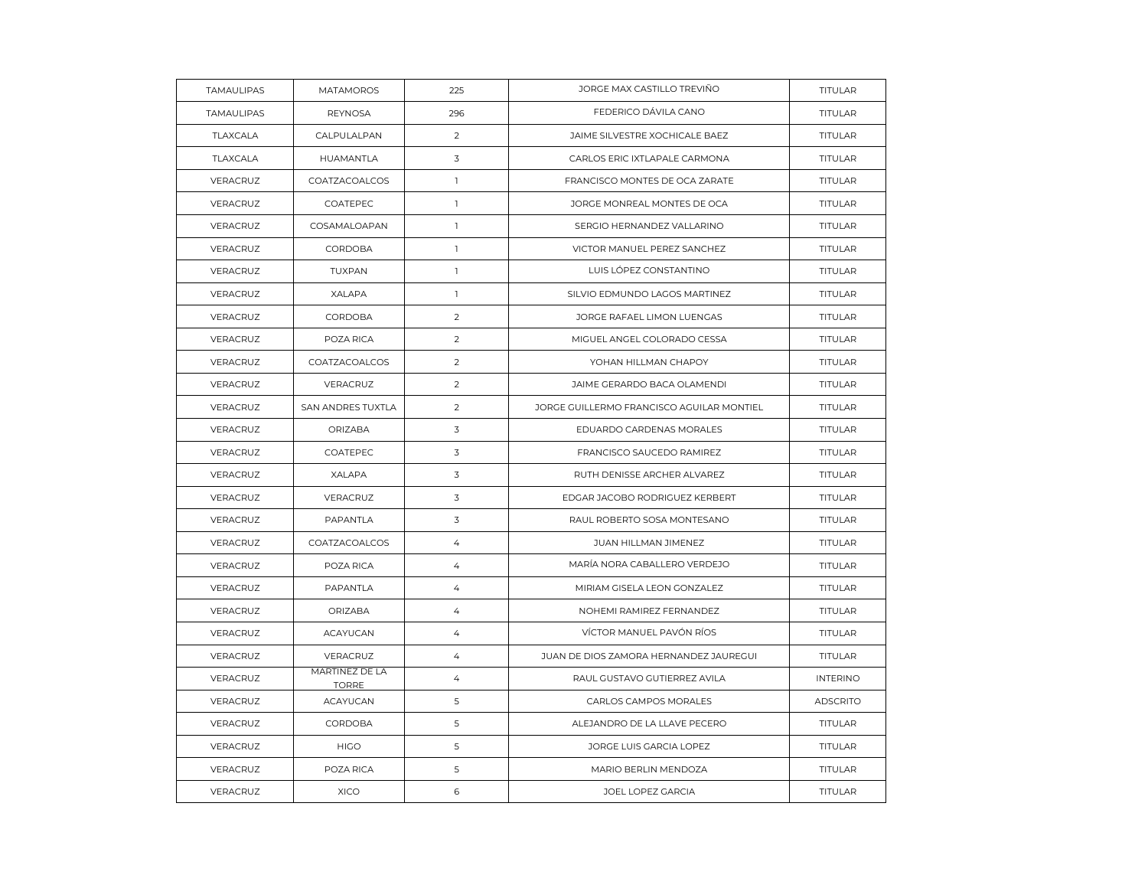| TAMAULIPAS | <b>MATAMOROS</b>               | 225            | JORGE MAX CASTILLO TREVIÑO                | TITULAR         |
|------------|--------------------------------|----------------|-------------------------------------------|-----------------|
| TAMAULIPAS | <b>REYNOSA</b>                 | 296            | FEDERICO DÁVILA CANO                      | <b>TITULAR</b>  |
| TLAXCALA   | CALPULALPAN                    | 2              | JAIME SILVESTRE XOCHICALE BAEZ            | <b>TITULAR</b>  |
| TLAXCALA   | HUAMANTLA                      | 3              | CARLOS ERIC IXTLAPALE CARMONA             | TITULAR         |
| VERACRUZ   | COATZACOALCOS                  | $\mathbb{I}$   | FRANCISCO MONTES DE OCA ZARATE            | TITULAR         |
| VERACRUZ   | COATEPEC                       | $\mathbb{I}$   | JORGE MONREAL MONTES DE OCA               | <b>TITULAR</b>  |
| VERACRUZ   | COSAMALOAPAN                   | $\mathbb{I}$   | SERGIO HERNANDEZ VALLARINO                | <b>TITULAR</b>  |
| VERACRUZ   | CORDOBA                        | $\mathbf{1}$   | VICTOR MANUEL PEREZ SANCHEZ               | <b>TITULAR</b>  |
| VERACRUZ   | TUXPAN                         | $\mathbf{1}$   | LUIS LÓPEZ CONSTANTINO                    | TITULAR         |
| VERACRUZ   | <b>XALAPA</b>                  | $\mathbb{I}$   | SILVIO EDMUNDO LAGOS MARTINEZ             | TITULAR         |
| VERACRUZ   | CORDOBA                        | 2              | JORGE RAFAEL LIMON LUENGAS                | <b>TITULAR</b>  |
| VERACRUZ   | POZA RICA                      | 2              | MIGUEL ANGEL COLORADO CESSA               | <b>TITULAR</b>  |
| VERACRUZ   | COATZACOALCOS                  | 2              | YOHAN HILLMAN CHAPOY                      | <b>TITULAR</b>  |
| VERACRUZ   | VERACRUZ                       | 2              | JAIME GERARDO BACA OLAMENDI               | TITULAR         |
| VERACRUZ   | SAN ANDRES TUXTLA              | 2              | JORGE GUILLERMO FRANCISCO AGUILAR MONTIEL | <b>TITULAR</b>  |
| VERACRUZ   | ORIZABA                        | 3              | EDUARDO CARDENAS MORALES                  | <b>TITULAR</b>  |
| VERACRUZ   | COATEPEC                       | 3              | FRANCISCO SAUCEDO RAMIREZ                 | TITULAR         |
| VERACRUZ   | <b>XALAPA</b>                  | 3              | RUTH DENISSE ARCHER ALVAREZ               | TITULAR         |
| VERACRUZ   | VERACRUZ                       | 3              | EDGAR JACOBO RODRIGUEZ KERBERT            | <b>TITULAR</b>  |
| VERACRUZ   | <b>PAPANTLA</b>                | 3              | RAUL ROBERTO SOSA MONTESANO               | <b>TITULAR</b>  |
| VERACRUZ   | COATZACOALCOS                  | $\overline{4}$ | JUAN HILLMAN JIMENEZ                      | TITULAR         |
| VERACRUZ   | POZA RICA                      | $\overline{4}$ | MARÍA NORA CABALLERO VERDEJO              | <b>TITULAR</b>  |
| VERACRUZ   | PAPANTLA                       | 4              | MIRIAM GISELA LEON GONZALEZ               | <b>TITULAR</b>  |
| VERACRUZ   | ORIZABA                        | $\overline{4}$ | NOHEMI RAMIREZ FERNANDEZ                  | <b>TITULAR</b>  |
| VERACRUZ   | <b>ACAYUCAN</b>                | $\overline{4}$ | VÍCTOR MANUEL PAVÓN RÍOS                  | <b>TITULAR</b>  |
| VERACRUZ   | VERACRUZ                       | $\overline{4}$ | JUAN DE DIOS ZAMORA HERNANDEZ JAUREGUI    | TITULAR         |
| VERACRUZ   | MARTINEZ DE LA<br><b>TORRE</b> | $\overline{4}$ | RAUL GUSTAVO GUTIERREZ AVILA              | <b>INTERINO</b> |
| VERACRUZ   | <b>ACAYUCAN</b>                | 5              | CARLOS CAMPOS MORALES                     | <b>ADSCRITO</b> |
| VERACRUZ   | CORDOBA                        | 5              | ALEJANDRO DE LA LLAVE PECERO              | TITULAR         |
| VERACRUZ   | <b>HIGO</b>                    | 5              | JORGE LUIS GARCIA LOPEZ                   | TITULAR         |
| VERACRUZ   | POZA RICA                      | $\mathsf S$    | MARIO BERLIN MENDOZA                      | <b>TITULAR</b>  |
| VERACRUZ   | <b>XICO</b>                    | 6              | JOEL LOPEZ GARCIA                         | <b>TITULAR</b>  |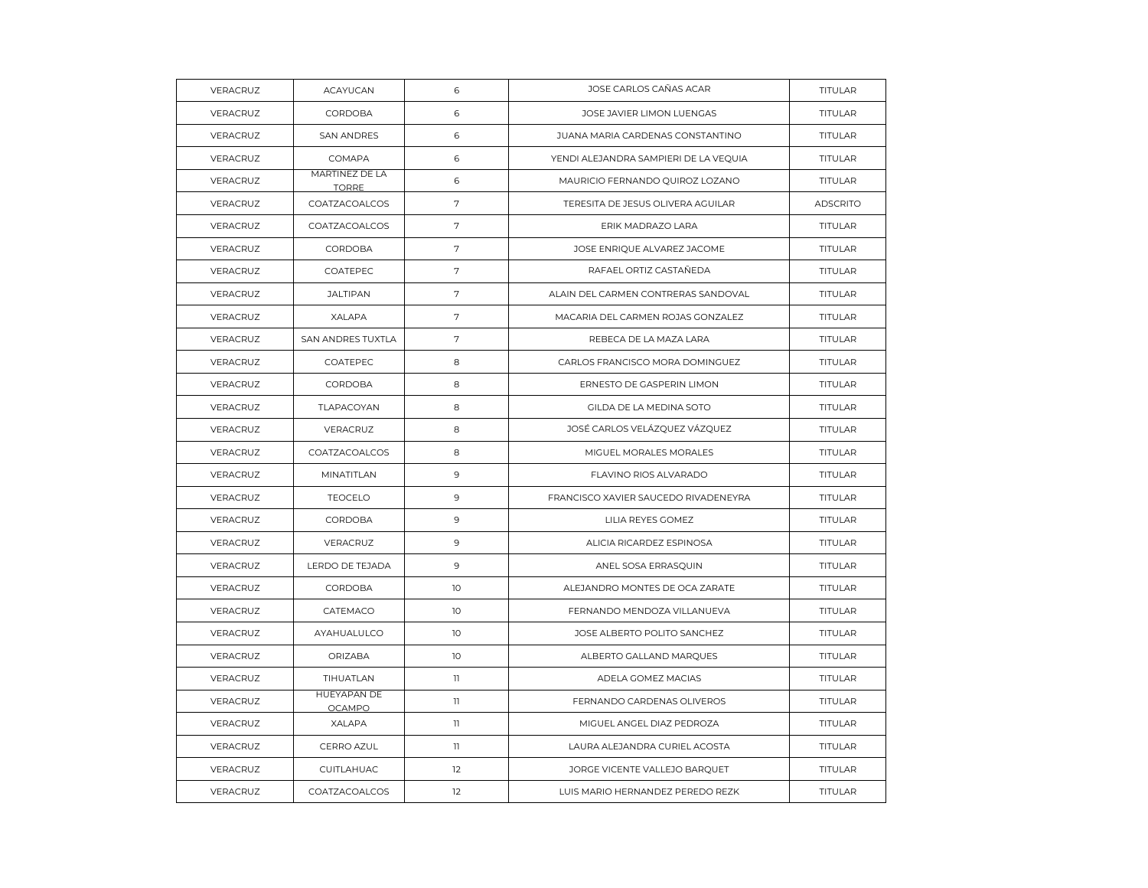| VERACRUZ        | <b>ACAYUCAN</b>                | 6            | JOSE CARLOS CAÑAS ACAR                | TITULAR         |
|-----------------|--------------------------------|--------------|---------------------------------------|-----------------|
| VERACRUZ        | <b>CORDOBA</b>                 | 6            | JOSE JAVIER LIMON LUENGAS             | <b>TITULAR</b>  |
| VERACRUZ        | <b>SAN ANDRES</b>              | 6            | JUANA MARIA CARDENAS CONSTANTINO      | TITULAR         |
| VERACRUZ        | COMAPA                         | 6            | YENDI ALEJANDRA SAMPIERI DE LA VEQUIA | <b>TITULAR</b>  |
| VERACRUZ        | MARTINEZ DE LA<br><b>TORRE</b> | 6            | MAURICIO FERNANDO QUIROZ LOZANO       | <b>TITULAR</b>  |
| VERACRUZ        | COATZACOALCOS                  | 7            | TERESITA DE JESUS OLIVERA AGUILAR     | <b>ADSCRITO</b> |
| <b>VERACRUZ</b> | COATZACOALCOS                  | 7            | ERIK MADRAZO LARA                     | TITULAR         |
| VERACRUZ        | CORDOBA                        | 7            | JOSE ENRIQUE ALVAREZ JACOME           | <b>TITULAR</b>  |
| VERACRUZ        | COATEPEC                       | 7            | RAFAEL ORTIZ CASTAÑEDA                | TITULAR         |
| VERACRUZ        | <b>JALTIPAN</b>                | $\sqrt{ }$   | ALAIN DEL CARMEN CONTRERAS SANDOVAL   | <b>TITULAR</b>  |
| VERACRUZ        | <b>XALAPA</b>                  | 7            | MACARIA DEL CARMEN ROJAS GONZALEZ     | TITULAR         |
| VERACRUZ        | SAN ANDRES TUXTLA              | $\sqrt{ }$   | REBECA DE LA MAZA LARA                | TITULAR         |
| VERACRUZ        | COATEPEC                       | 8            | CARLOS FRANCISCO MORA DOMINGUEZ       | <b>TITULAR</b>  |
| VERACRUZ        | <b>CORDOBA</b>                 | 8            | ERNESTO DE GASPERIN LIMON             | <b>TITULAR</b>  |
| VERACRUZ        | TLAPACOYAN                     | 8            | GILDA DE LA MEDINA SOTO               | <b>TITULAR</b>  |
| VERACRUZ        | VERACRUZ                       | 8            | JOSÉ CARLOS VELÁZQUEZ VÁZQUEZ         | TITULAR         |
| VERACRUZ        | COATZACOALCOS                  | 8            | MIGUEL MORALES MORALES                | <b>TITULAR</b>  |
| VERACRUZ        | MINATITLAN                     | 9            | FLAVINO RIOS ALVARADO                 | TITULAR         |
| VERACRUZ        | <b>TEOCELO</b>                 | $\mathsf 9$  | FRANCISCO XAVIER SAUCEDO RIVADENEYRA  | <b>TITULAR</b>  |
| VERACRUZ        | CORDOBA                        | 9            | LILIA REYES GOMEZ                     | TITULAR         |
| VERACRUZ        | VERACRUZ                       | 9            | ALICIA RICARDEZ ESPINOSA              | <b>TITULAR</b>  |
| <b>VERACRUZ</b> | LERDO DE TEJADA                | 9            | ANEL SOSA ERRASQUIN                   | <b>TITULAR</b>  |
| VERACRUZ        | CORDOBA                        | 10           | ALEJANDRO MONTES DE OCA ZARATE        | TITULAR         |
| VERACRUZ        | CATEMACO                       | 10           | FERNANDO MENDOZA VILLANUEVA           | <b>TITULAR</b>  |
| VERACRUZ        | AYAHUALULCO                    | 10           | JOSE ALBERTO POLITO SANCHEZ           | <b>TITULAR</b>  |
| VERACRUZ        | ORIZABA                        | 10           | ALBERTO GALLAND MARQUES               | TITULAR         |
| VERACRUZ        | TIHUATLAN                      | $\mathbf{1}$ | ADELA GOMEZ MACIAS                    | <b>TITULAR</b>  |
| VERACRUZ        | HUEYAPAN DE<br><b>OCAMPO</b>   | 11           | FERNANDO CARDENAS OLIVEROS            | <b>TITULAR</b>  |
| VERACRUZ        | <b>XALAPA</b>                  | $\mathbf{1}$ | MIGUEL ANGEL DIAZ PEDROZA             | <b>TITULAR</b>  |
| VERACRUZ        | CERRO AZUL                     | $11\,$       | LAURA ALEJANDRA CURIEL ACOSTA         | <b>TITULAR</b>  |
| VERACRUZ        | CUITLAHUAC                     | 12           | JORGE VICENTE VALLEJO BARQUET         | TITULAR         |
| VERACRUZ        | COATZACOALCOS                  | 12           | LUIS MARIO HERNANDEZ PEREDO REZK      | TITULAR         |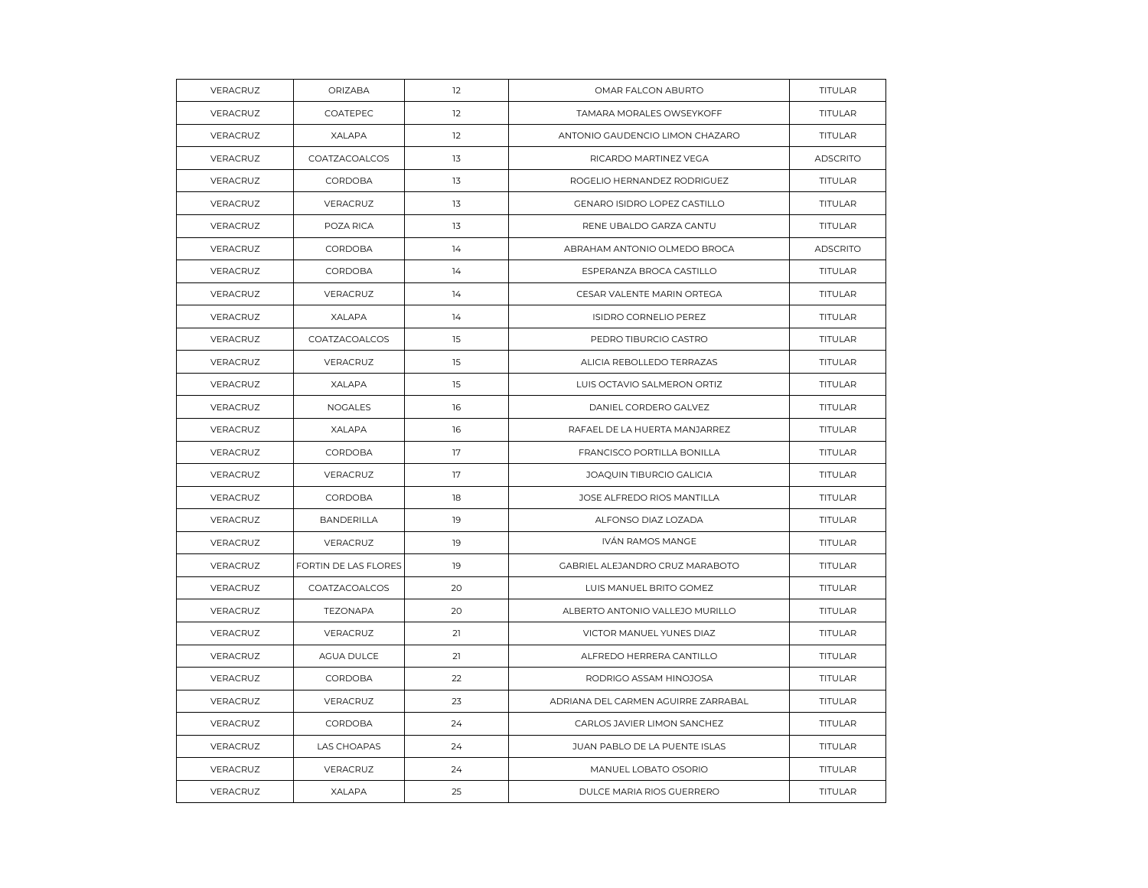| VERACRUZ | ORIZABA              | 12 | OMAR FALCON ABURTO                  | TITULAR         |
|----------|----------------------|----|-------------------------------------|-----------------|
| VERACRUZ | COATEPEC             | 12 | TAMARA MORALES OWSEYKOFF            | <b>TITULAR</b>  |
| VERACRUZ | XALAPA               | 12 | ANTONIO GAUDENCIO LIMON CHAZARO     | <b>TITULAR</b>  |
| VERACRUZ | COATZACOALCOS        | 13 | RICARDO MARTINEZ VEGA               | <b>ADSCRITO</b> |
| VERACRUZ | CORDOBA              | 13 | ROGELIO HERNANDEZ RODRIGUEZ         | TITULAR         |
| VERACRUZ | VERACRUZ             | 13 | GENARO ISIDRO LOPEZ CASTILLO        | <b>TITULAR</b>  |
| VERACRUZ | POZA RICA            | 13 | RENE UBALDO GARZA CANTU             | <b>TITULAR</b>  |
| VERACRUZ | <b>CORDOBA</b>       | 14 | ABRAHAM ANTONIO OLMEDO BROCA        | <b>ADSCRITO</b> |
| VERACRUZ | CORDOBA              | 14 | ESPERANZA BROCA CASTILLO            | TITULAR         |
| VERACRUZ | VERACRUZ             | 14 | CESAR VALENTE MARIN ORTEGA          | TITULAR         |
| VERACRUZ | <b>XALAPA</b>        | 14 | <b>ISIDRO CORNELIO PEREZ</b>        | <b>TITULAR</b>  |
| VERACRUZ | COATZACOALCOS        | 15 | PEDRO TIBURCIO CASTRO               | <b>TITULAR</b>  |
| VERACRUZ | VERACRUZ             | 15 | ALICIA REBOLLEDO TERRAZAS           | <b>TITULAR</b>  |
| VERACRUZ | XALAPA               | 15 | LUIS OCTAVIO SALMERON ORTIZ         | TITULAR         |
| VERACRUZ | NOGALES              | 16 | DANIEL CORDERO GALVEZ               | <b>TITULAR</b>  |
| VERACRUZ | <b>XALAPA</b>        | 16 | RAFAEL DE LA HUERTA MANJARREZ       | <b>TITULAR</b>  |
| VERACRUZ | CORDOBA              | 17 | FRANCISCO PORTILLA BONILLA          | TITULAR         |
| VERACRUZ | VERACRUZ             | 17 | JOAQUIN TIBURCIO GALICIA            | TITULAR         |
| VERACRUZ | CORDOBA              | 18 | JOSE ALFREDO RIOS MANTILLA          | TITULAR         |
| VERACRUZ | <b>BANDERILLA</b>    | 19 | ALFONSO DIAZ LOZADA                 | TITULAR         |
| VERACRUZ | VERACRUZ             | 19 | IVÁN RAMOS MANGE                    | TITULAR         |
| VERACRUZ | FORTIN DE LAS FLORES | 19 | GABRIEL ALEJANDRO CRUZ MARABOTO     | TITULAR         |
| VERACRUZ | COATZACOALCOS        | 20 | LUIS MANUEL BRITO GOMEZ             | TITULAR         |
| VERACRUZ | TEZONAPA             | 20 | ALBERTO ANTONIO VALLEJO MURILLO     | <b>TITULAR</b>  |
| VERACRUZ | VERACRUZ             | 21 | VICTOR MANUEL YUNES DIAZ            | TITULAR         |
| VERACRUZ | AGUA DULCE           | 21 | ALFREDO HERRERA CANTILLO            | TITULAR         |
| VERACRUZ | CORDOBA              | 22 | RODRIGO ASSAM HINOJOSA              | TITULAR         |
| VERACRUZ | VERACRUZ             | 23 | ADRIANA DEL CARMEN AGUIRRE ZARRABAL | <b>TITULAR</b>  |
| VERACRUZ | CORDOBA              | 24 | CARLOS JAVIER LIMON SANCHEZ         | TITULAR         |
| VERACRUZ | LAS CHOAPAS          | 24 | JUAN PABLO DE LA PUENTE ISLAS       | TITULAR         |
| VERACRUZ | VERACRUZ             | 24 | MANUEL LOBATO OSORIO                | TITULAR         |
| VERACRUZ | XALAPA               | 25 | DULCE MARIA RIOS GUERRERO           | TITULAR         |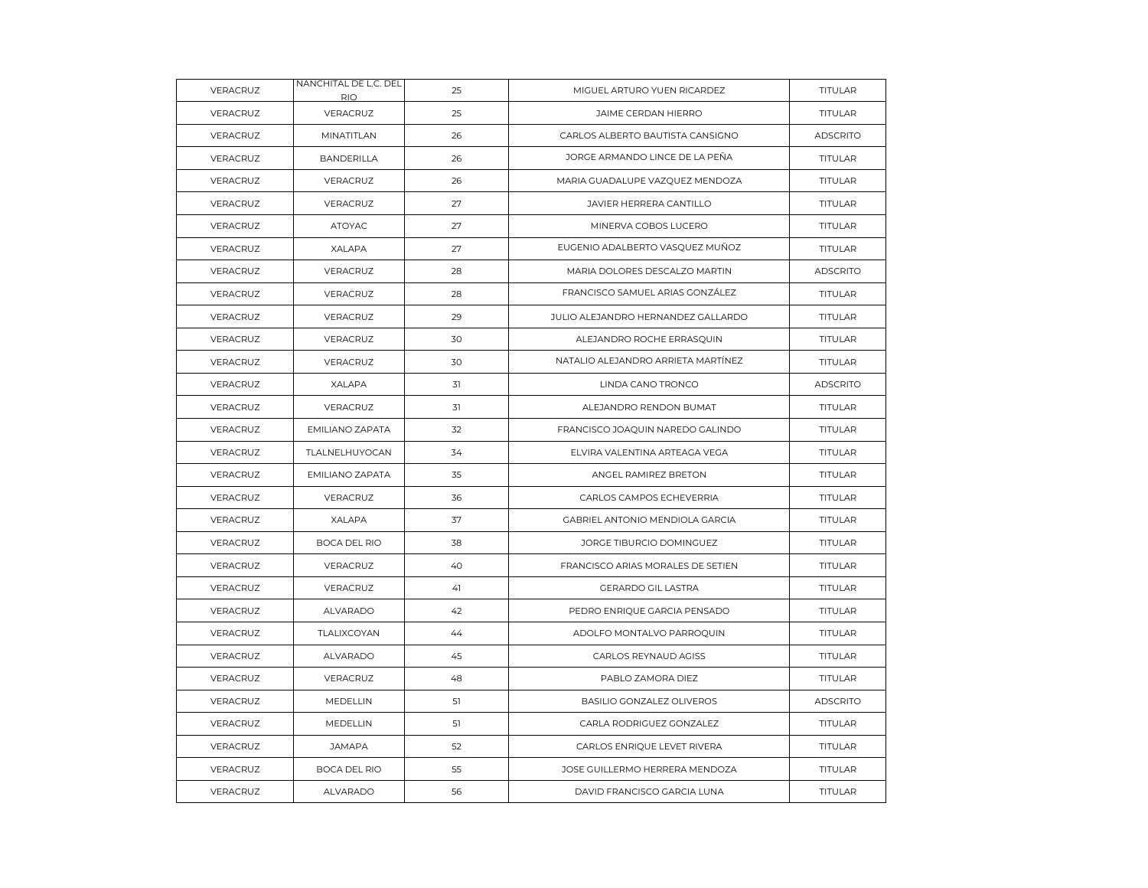| VERACRUZ | NANCHITAL DE L.C. DEL<br>RIO. | 25 | MIGUEL ARTURO YUEN RICARDEZ        | TITULAR         |
|----------|-------------------------------|----|------------------------------------|-----------------|
| VERACRUZ | VERACRUZ                      | 25 | JAIME CERDAN HIERRO                | <b>TITULAR</b>  |
| VERACRUZ | MINATITLAN                    | 26 | CARLOS ALBERTO BAUTISTA CANSIGNO   | <b>ADSCRITO</b> |
| VERACRUZ | <b>BANDERILLA</b>             | 26 | JORGE ARMANDO LINCE DE LA PEÑA     | TITULAR         |
| VERACRUZ | VERACRUZ                      | 26 | MARIA GUADALUPE VAZQUEZ MENDOZA    | TITULAR         |
| VERACRUZ | VERACRUZ                      | 27 | JAVIER HERRERA CANTILLO            | <b>TITULAR</b>  |
| VERACRUZ | <b>ATOYAC</b>                 | 27 | MINERVA COBOS LUCERO               | <b>TITULAR</b>  |
| VERACRUZ | XALAPA                        | 27 | EUGENIO ADALBERTO VASQUEZ MUÑOZ    | TITULAR         |
| VERACRUZ | VERACRUZ                      | 28 | MARIA DOLORES DESCALZO MARTIN      | <b>ADSCRITO</b> |
| VERACRUZ | VERACRUZ                      | 28 | FRANCISCO SAMUEL ARIAS GONZÁLEZ    | <b>TITULAR</b>  |
| VERACRUZ | VERACRUZ                      | 29 | JULIO ALEJANDRO HERNANDEZ GALLARDO | TITULAR         |
| VERACRUZ | VERACRUZ                      | 30 | ALEJANDRO ROCHE ERRASQUIN          | <b>TITULAR</b>  |
| VERACRUZ | VERACRUZ                      | 30 | NATALIO ALEJANDRO ARRIETA MARTÍNEZ | <b>TITULAR</b>  |
| VERACRUZ | XALAPA                        | 31 | LINDA CANO TRONCO                  | <b>ADSCRITO</b> |
| VERACRUZ | VERACRUZ                      | 31 | ALEJANDRO RENDON BUMAT             | <b>TITULAR</b>  |
| VERACRUZ | <b>EMILIANO ZAPATA</b>        | 32 | FRANCISCO JOAQUIN NAREDO GALINDO   | TITULAR         |
| VERACRUZ | TLALNELHUYOCAN                | 34 | ELVIRA VALENTINA ARTEAGA VEGA      | TITULAR         |
| VERACRUZ | EMILIANO ZAPATA               | 35 | ANGEL RAMIREZ BRETON               | TITULAR         |
| VERACRUZ | VERACRUZ                      | 36 | CARLOS CAMPOS ECHEVERRIA           | TITULAR         |
| VERACRUZ | XALAPA                        | 37 | GABRIEL ANTONIO MENDIOLA GARCIA    | TITULAR         |
| VERACRUZ | <b>BOCA DEL RIO</b>           | 38 | JORGE TIBURCIO DOMINGUEZ           | <b>TITULAR</b>  |
| VERACRUZ | VERACRUZ                      | 40 | FRANCISCO ARIAS MORALES DE SETIEN  | <b>TITULAR</b>  |
| VERACRUZ | VERACRUZ                      | 41 | <b>GERARDO GIL LASTRA</b>          | TITULAR         |
| VERACRUZ | <b>ALVARADO</b>               | 42 | PEDRO ENRIQUE GARCIA PENSADO       | TITULAR         |
| VERACRUZ | TLALIXCOYAN                   | 44 | ADOLFO MONTALVO PARROQUIN          | <b>TITULAR</b>  |
| VERACRUZ | ALVARADO                      | 45 | CARLOS REYNAUD AGISS               | TITULAR         |
| VERACRUZ | VERACRUZ                      | 48 | PABLO ZAMORA DIEZ                  | <b>TITULAR</b>  |
| VERACRUZ | MEDELLIN                      | 51 | BASILIO GONZALEZ OLIVEROS          | <b>ADSCRITO</b> |
| VERACRUZ | MEDELLIN                      | 51 | CARLA RODRIGUEZ GONZALEZ           | TITULAR         |
| VERACRUZ | <b>JAMAPA</b>                 | 52 | CARLOS ENRIQUE LEVET RIVERA        | TITULAR         |
| VERACRUZ | <b>BOCA DEL RIO</b>           | 55 | JOSE GUILLERMO HERRERA MENDOZA     | TITULAR         |
| VERACRUZ | <b>ALVARADO</b>               | 56 | DAVID FRANCISCO GARCIA LUNA        | TITULAR         |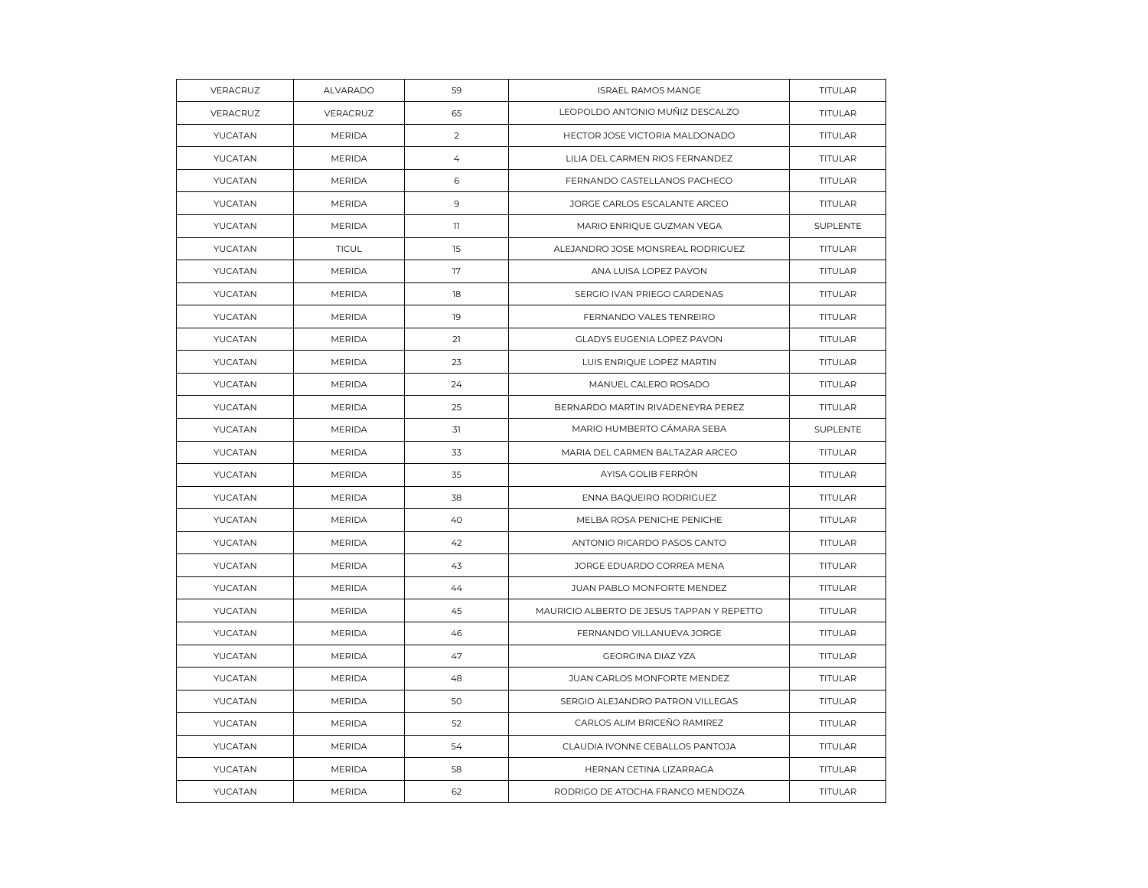| VERACRUZ | ALVARADO      | 59             | ISRAEL RAMOS MANGE                         | TITULAR        |
|----------|---------------|----------------|--------------------------------------------|----------------|
| VERACRUZ | VERACRUZ      | 65             | LEOPOLDO ANTONIO MUÑIZ DESCALZO            | TITULAR        |
| YUCATAN  | <b>MERIDA</b> | $\overline{2}$ | HECTOR JOSE VICTORIA MALDONADO             | TITULAR        |
| YUCATAN  | <b>MERIDA</b> | $\overline{4}$ | LILIA DEL CARMEN RIOS FERNANDEZ            | <b>TITULAR</b> |
| YUCATAN  | <b>MERIDA</b> | 6              | FERNANDO CASTELLANOS PACHECO               | <b>TITULAR</b> |
| YUCATAN  | <b>MERIDA</b> | 9              | JORGE CARLOS ESCALANTE ARCEO               | <b>TITULAR</b> |
| YUCATAN  | <b>MERIDA</b> | $\mathbf{1}$   | MARIO ENRIQUE GUZMAN VEGA                  | SUPLENTE       |
| YUCATAN  | <b>TICUL</b>  | 15             | ALEJANDRO JOSE MONSREAL RODRIGUEZ          | TITULAR        |
| YUCATAN  | <b>MERIDA</b> | 17             | ANA LUISA LOPEZ PAVON                      | <b>TITULAR</b> |
| YUCATAN  | <b>MERIDA</b> | 18             | SERGIO IVAN PRIEGO CARDENAS                | TITULAR        |
| YUCATAN  | <b>MERIDA</b> | 19             | FERNANDO VALES TENREIRO                    | TITULAR        |
| YUCATAN  | <b>MERIDA</b> | 21             | <b>GLADYS EUGENIA LOPEZ PAVON</b>          | <b>TITULAR</b> |
| YUCATAN  | <b>MERIDA</b> | 23             | LUIS ENRIQUE LOPEZ MARTIN                  | <b>TITULAR</b> |
| YUCATAN  | <b>MERIDA</b> | 24             | MANUEL CALERO ROSADO                       | TITULAR        |
| YUCATAN  | <b>MERIDA</b> | 25             | BERNARDO MARTIN RIVADENEYRA PEREZ          | TITULAR        |
| YUCATAN  | <b>MERIDA</b> | 31             | MARIO HUMBERTO CÁMARA SEBA                 | SUPLENTE       |
| YUCATAN  | <b>MERIDA</b> | 33             | MARIA DEL CARMEN BALTAZAR ARCEO            | TITULAR        |
| YUCATAN  | <b>MERIDA</b> | 35             | AYISA GOLIB FERRÓN                         | TITULAR        |
| YUCATAN  | <b>MERIDA</b> | 38             | ENNA BAQUEIRO RODRIGUEZ                    | TITULAR        |
| YUCATAN  | <b>MERIDA</b> | 40             | MELBA ROSA PENICHE PENICHE                 | <b>TITULAR</b> |
| YUCATAN  | <b>MERIDA</b> | 42             | ANTONIO RICARDO PASOS CANTO                | TITULAR        |
| YUCATAN  | <b>MERIDA</b> | 43             | JORGE EDUARDO CORREA MENA                  | TITULAR        |
| YUCATAN  | <b>MERIDA</b> | 44             | JUAN PABLO MONFORTE MENDEZ                 | TITULAR        |
| YUCATAN  | <b>MERIDA</b> | 45             | MAURICIO ALBERTO DE JESUS TAPPAN Y REPETTO | <b>TITULAR</b> |
| YUCATAN  | <b>MERIDA</b> | 46             | FERNANDO VILLANUEVA JORGE                  | TITULAR        |
| YUCATAN  | <b>MERIDA</b> | 47             | <b>GEORGINA DIAZ YZA</b>                   | <b>TITULAR</b> |
| YUCATAN  | <b>MERIDA</b> | 48             | JUAN CARLOS MONFORTE MENDEZ                | TITULAR        |
| YUCATAN  | <b>MERIDA</b> | 50             | SERGIO ALEJANDRO PATRON VILLEGAS           | TITULAR        |
| YUCATAN  | <b>MERIDA</b> | 52             | CARLOS ALIM BRICEÑO RAMIREZ                | <b>TITULAR</b> |
| YUCATAN  | <b>MERIDA</b> | 54             | CLAUDIA IVONNE CEBALLOS PANTOJA            | <b>TITULAR</b> |
| YUCATAN  | <b>MERIDA</b> | 58             | HERNAN CETINA LIZARRAGA                    | TITULAR        |
| YUCATAN  | <b>MERIDA</b> | 62             | RODRIGO DE ATOCHA FRANCO MENDOZA           | TITULAR        |